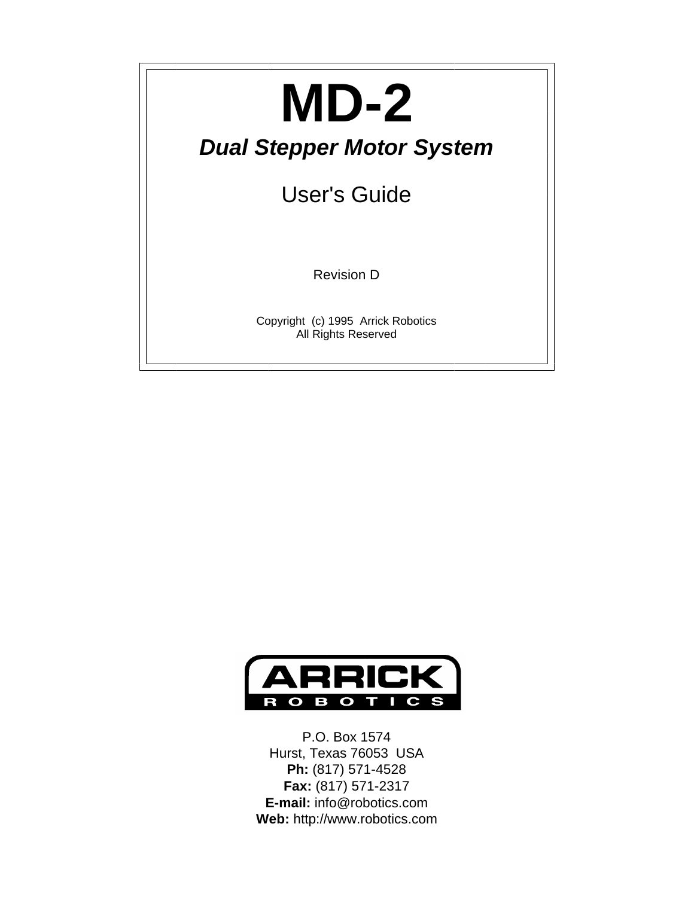# **MD-2**

### *Dual Stepper Motor System*

User's Guide

Revision D

Copyright (c) 1995 Arrick Robotics All Rights Reserved



P.O. Box 1574 Hurst, Texas 76053 USA **Ph:** (817) 571-4528 **Fax:** (817) 571-2317 **E-mail:** info@robotics.com **Web:** http://www.robotics.com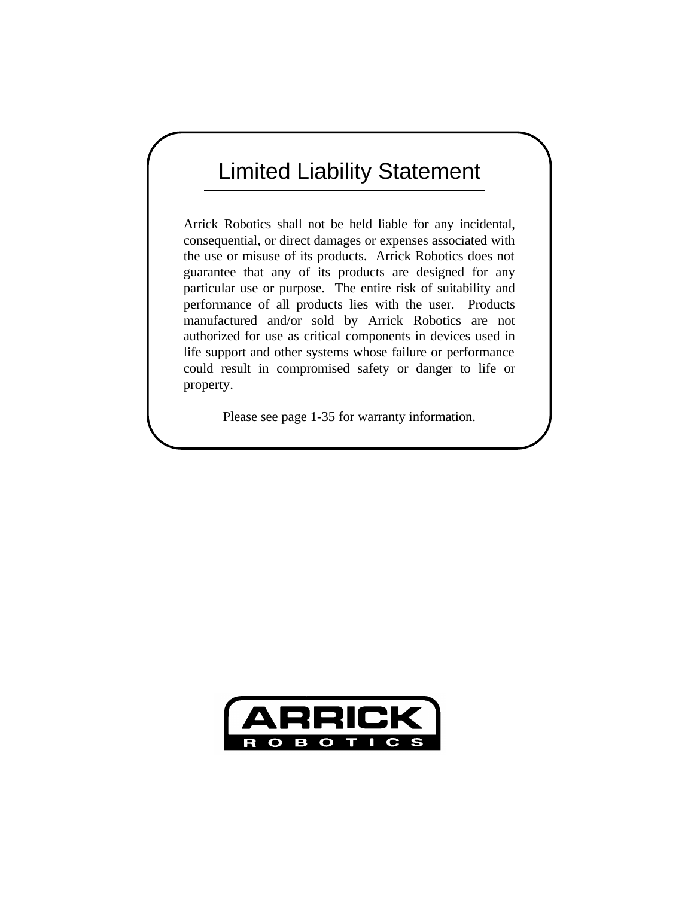### Limited Liability Statement

Arrick Robotics shall not be held liable for any incidental, consequential, or direct damages or expenses associated with the use or misuse of its products. Arrick Robotics does not guarantee that any of its products are designed for any particular use or purpose. The entire risk of suitability and performance of all products lies with the user. Products manufactured and/or sold by Arrick Robotics are not authorized for use as critical components in devices used in life support and other systems whose failure or performance could result in compromised safety or danger to life or property.

Please see page 1-35 for warranty information.

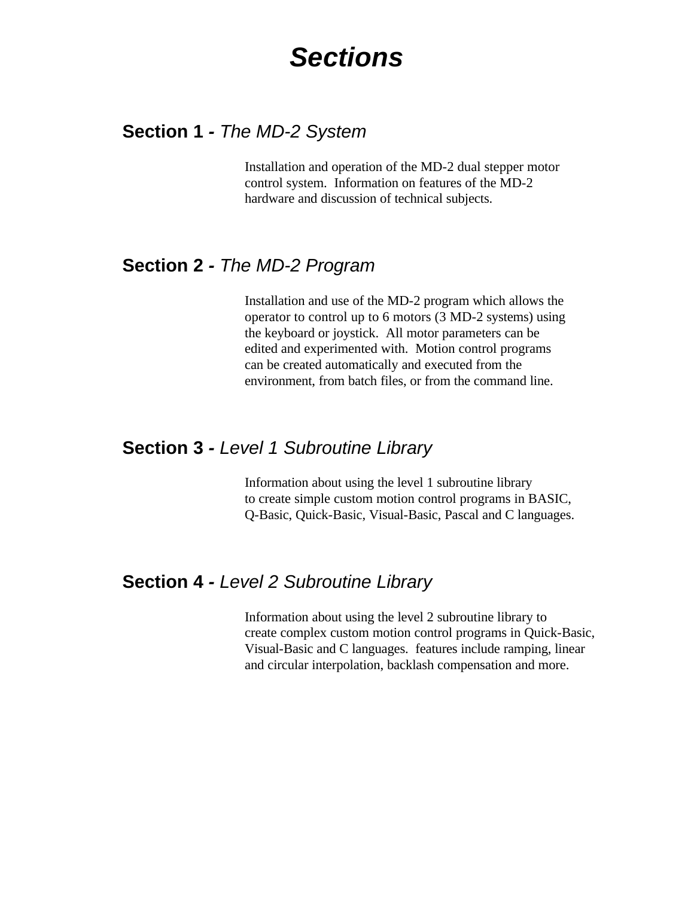### *Sections*

#### **Section 1** *- The MD-2 System*

Installation and operation of the MD-2 dual stepper motor control system. Information on features of the MD-2 hardware and discussion of technical subjects.

#### **Section 2** *- The MD-2 Program*

Installation and use of the MD-2 program which allows the operator to control up to 6 motors (3 MD-2 systems) using the keyboard or joystick. All motor parameters can be edited and experimented with. Motion control programs can be created automatically and executed from the environment, from batch files, or from the command line.

#### **Section 3** *- Level 1 Subroutine Library*

 Information about using the level 1 subroutine library to create simple custom motion control programs in BASIC, Q-Basic, Quick-Basic, Visual-Basic, Pascal and C languages.

#### **Section 4** *- Level 2 Subroutine Library*

 Information about using the level 2 subroutine library to create complex custom motion control programs in Quick-Basic, Visual-Basic and C languages. features include ramping, linear and circular interpolation, backlash compensation and more.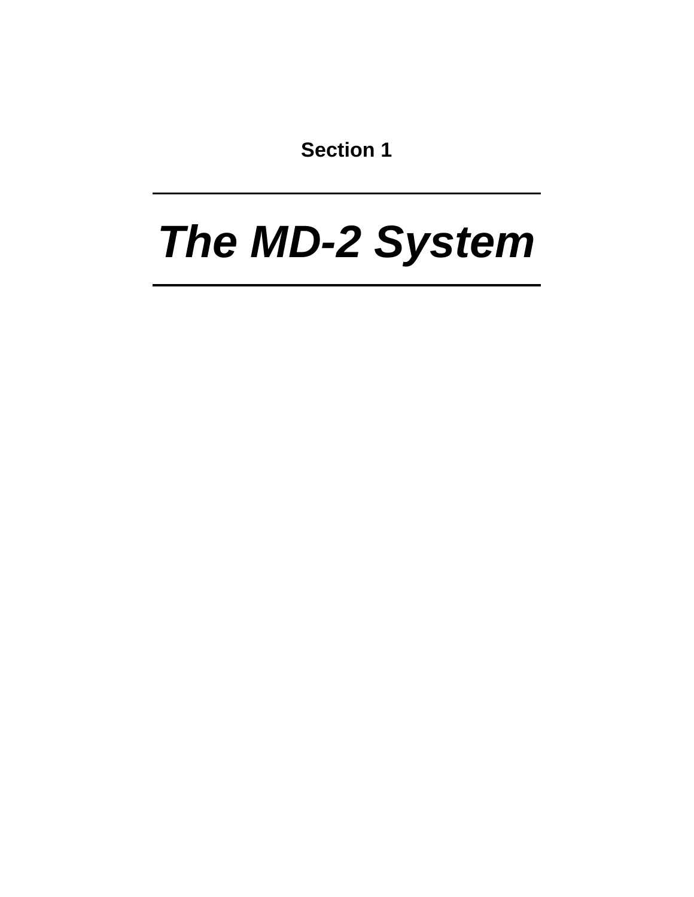**Section 1**

## *The MD-2 System*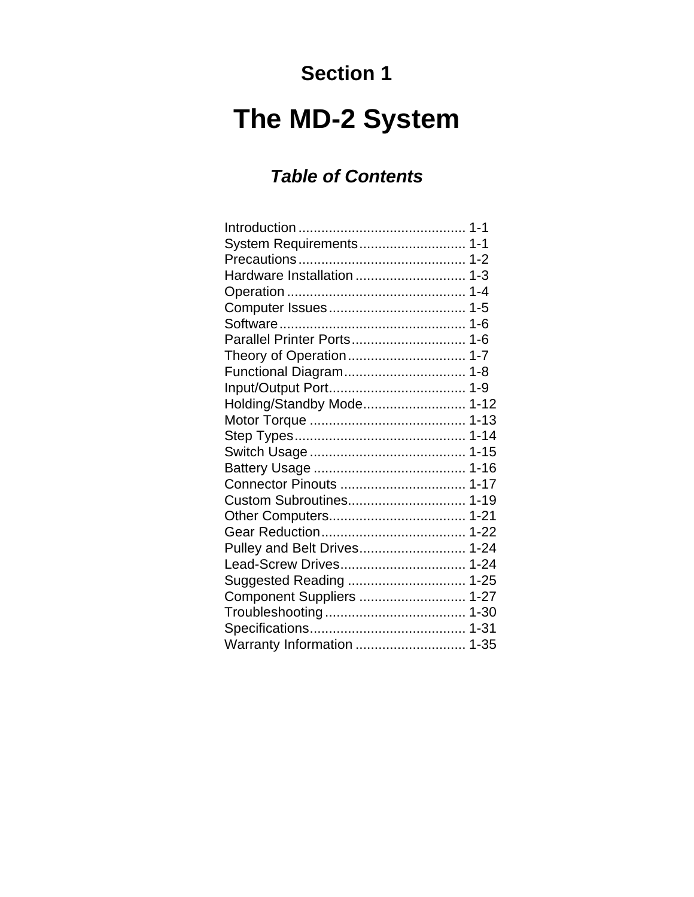### **Section 1**

### **The MD-2 System**

#### *Table of Contents*

| System Requirements 1-1     |  |
|-----------------------------|--|
|                             |  |
|                             |  |
|                             |  |
|                             |  |
|                             |  |
|                             |  |
|                             |  |
|                             |  |
|                             |  |
| Holding/Standby Mode 1-12   |  |
|                             |  |
|                             |  |
|                             |  |
|                             |  |
|                             |  |
|                             |  |
|                             |  |
|                             |  |
| Pulley and Belt Drives 1-24 |  |
| Lead-Screw Drives 1-24      |  |
|                             |  |
| Component Suppliers  1-27   |  |
|                             |  |
|                             |  |
|                             |  |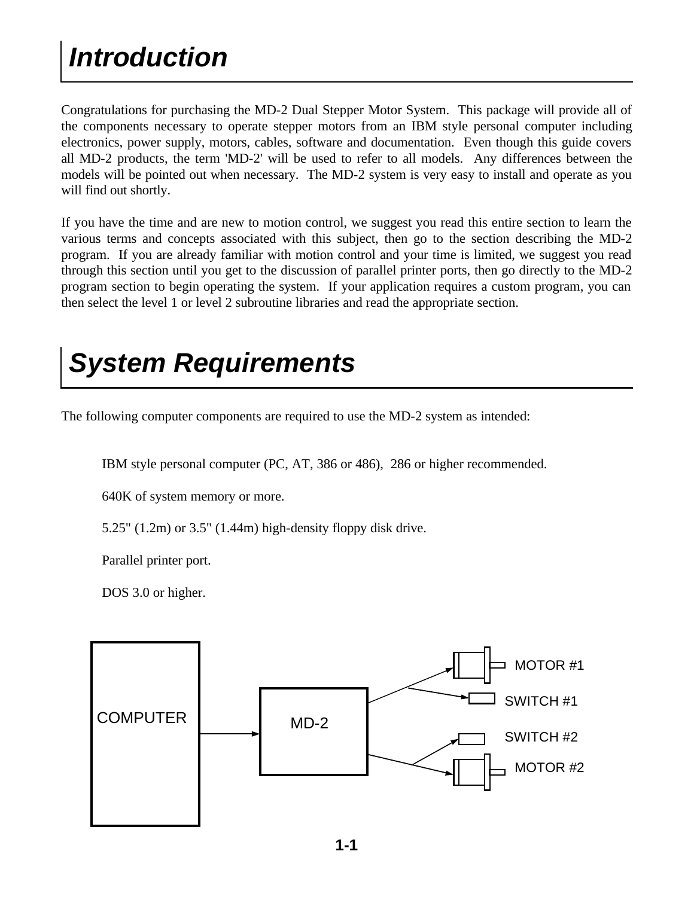### *Introduction*

Congratulations for purchasing the MD-2 Dual Stepper Motor System. This package will provide all of the components necessary to operate stepper motors from an IBM style personal computer including electronics, power supply, motors, cables, software and documentation. Even though this guide covers all MD-2 products, the term 'MD-2' will be used to refer to all models. Any differences between the models will be pointed out when necessary. The MD-2 system is very easy to install and operate as you will find out shortly.

If you have the time and are new to motion control, we suggest you read this entire section to learn the various terms and concepts associated with this subject, then go to the section describing the MD-2 program. If you are already familiar with motion control and your time is limited, we suggest you read through this section until you get to the discussion of parallel printer ports, then go directly to the MD-2 program section to begin operating the system. If your application requires a custom program, you can then select the level 1 or level 2 subroutine libraries and read the appropriate section.

### *System Requirements*

The following computer components are required to use the MD-2 system as intended:

IBM style personal computer (PC, AT, 386 or 486), 286 or higher recommended.

640K of system memory or more.

5.25" (1.2m) or 3.5" (1.44m) high-density floppy disk drive.

Parallel printer port.

DOS 3.0 or higher.

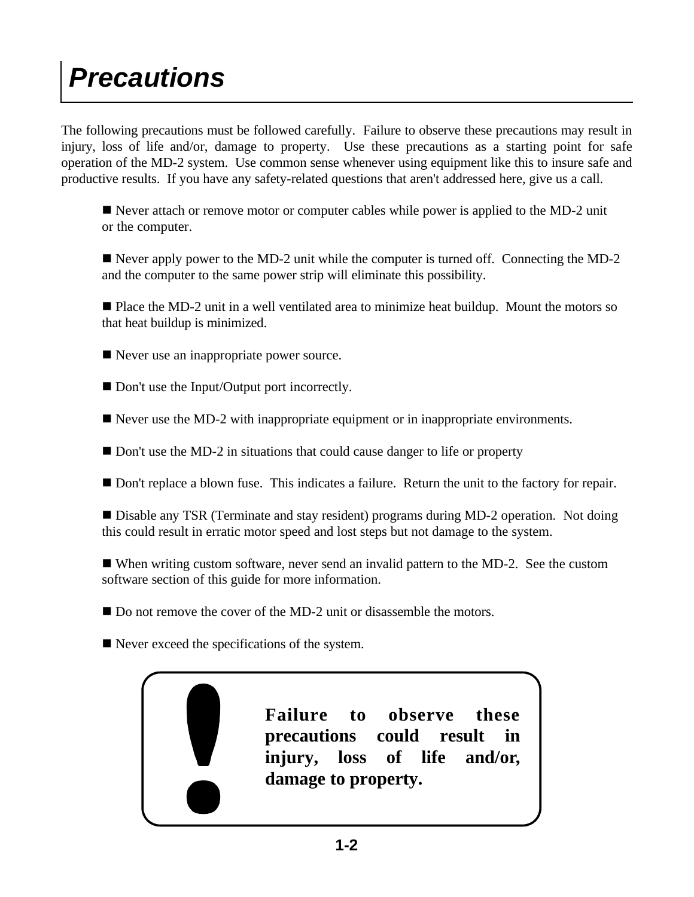### *Precautions*

The following precautions must be followed carefully. Failure to observe these precautions may result in injury, loss of life and/or, damage to property. Use these precautions as a starting point for safe operation of the MD-2 system. Use common sense whenever using equipment like this to insure safe and productive results. If you have any safety-related questions that aren't addressed here, give us a call.

 $\blacksquare$  Never attach or remove motor or computer cables while power is applied to the MD-2 unit or the computer.

■ Never apply power to the MD-2 unit while the computer is turned off. Connecting the MD-2 and the computer to the same power strip will eliminate this possibility.

■ Place the MD-2 unit in a well ventilated area to minimize heat buildup. Mount the motors so that heat buildup is minimized.

 $\blacksquare$  Never use an inappropriate power source.

■ Don't use the Input/Output port incorrectly.

 $\blacksquare$  Never use the MD-2 with inappropriate equipment or in inappropriate environments.

■ Don't use the MD-2 in situations that could cause danger to life or property

■ Don't replace a blown fuse. This indicates a failure. Return the unit to the factory for repair.

■ Disable any TSR (Terminate and stay resident) programs during MD-2 operation. Not doing this could result in erratic motor speed and lost steps but not damage to the system.

■ When writing custom software, never send an invalid pattern to the MD-2. See the custom software section of this guide for more information.

 $\blacksquare$  Do not remove the cover of the MD-2 unit or disassemble the motors.

 $\blacksquare$  Never exceed the specifications of the system.

**Failure to observe these precautions could result in injury, loss of life and/or, damage to property.**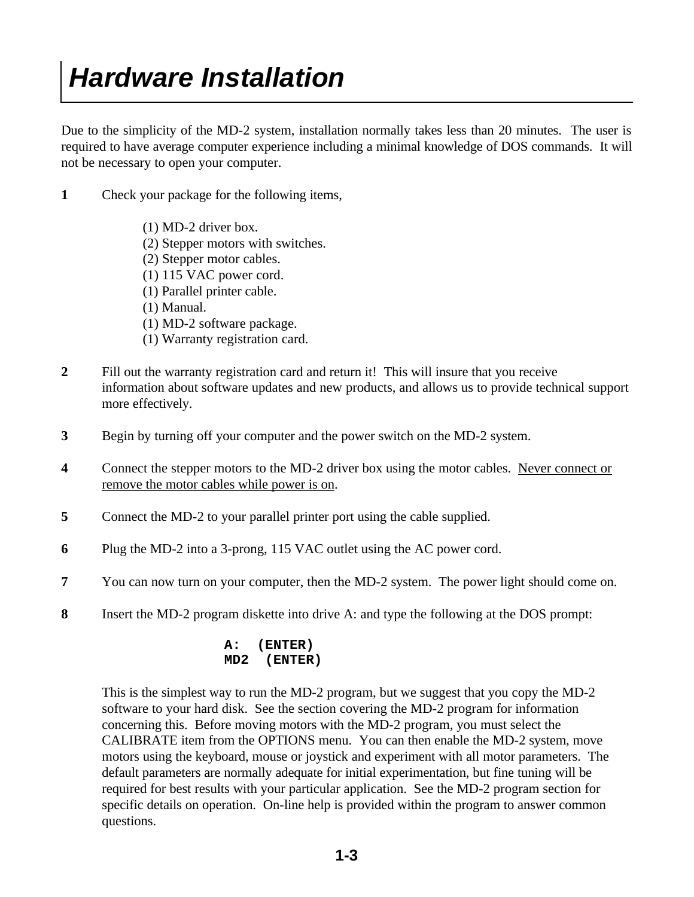Due to the simplicity of the MD-2 system, installation normally takes less than 20 minutes. The user is required to have average computer experience including a minimal knowledge of DOS commands. It will not be necessary to open your computer.

- **1** Check your package for the following items,
	- (1) MD-2 driver box.
	- (2) Stepper motors with switches.
	- (2) Stepper motor cables.
	- (1) 115 VAC power cord.
	- (1) Parallel printer cable.
	- (1) Manual.
	- (1) MD-2 software package.
	- (1) Warranty registration card.
- **2** Fill out the warranty registration card and return it! This will insure that you receive information about software updates and new products, and allows us to provide technical support more effectively.
- **3** Begin by turning off your computer and the power switch on the MD-2 system.
- **4** Connect the stepper motors to the MD-2 driver box using the motor cables. Never connect or remove the motor cables while power is on.
- **5** Connect the MD-2 to your parallel printer port using the cable supplied.
- **6** Plug the MD-2 into a 3-prong, 115 VAC outlet using the AC power cord.
- **7** You can now turn on your computer, then the MD-2 system. The power light should come on.
- **8** Insert the MD-2 program diskette into drive A: and type the following at the DOS prompt:

#### **A: (ENTER) MD2 (ENTER)**

 This is the simplest way to run the MD-2 program, but we suggest that you copy the MD-2 software to your hard disk. See the section covering the MD-2 program for information concerning this. Before moving motors with the MD-2 program, you must select the CALIBRATE item from the OPTIONS menu. You can then enable the MD-2 system, move motors using the keyboard, mouse or joystick and experiment with all motor parameters. The default parameters are normally adequate for initial experimentation, but fine tuning will be required for best results with your particular application. See the MD-2 program section for specific details on operation. On-line help is provided within the program to answer common questions.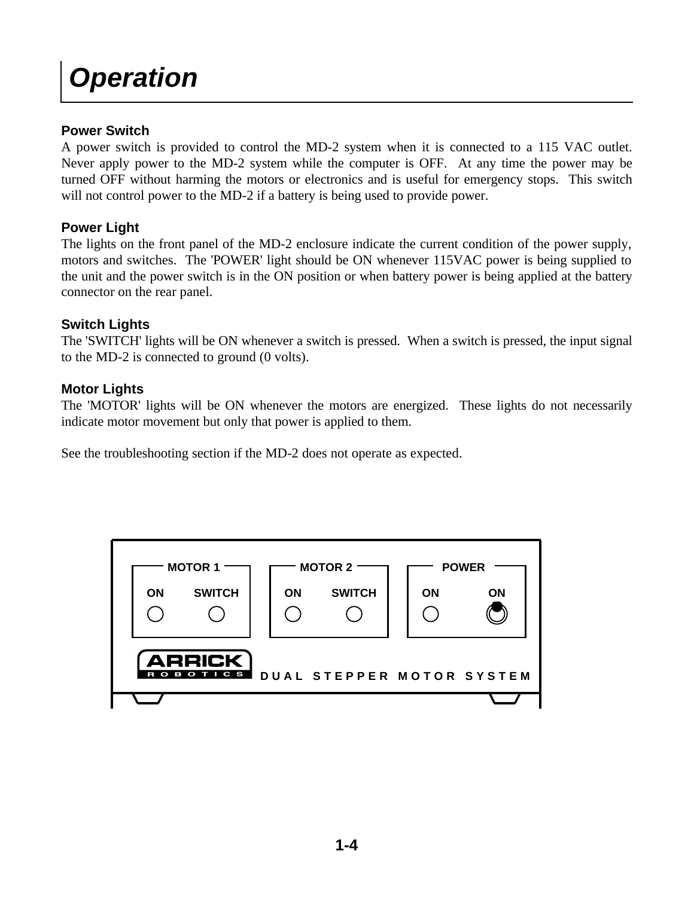### *Operation*

#### **Power Switch**

A power switch is provided to control the MD-2 system when it is connected to a 115 VAC outlet. Never apply power to the MD-2 system while the computer is OFF. At any time the power may be turned OFF without harming the motors or electronics and is useful for emergency stops. This switch will not control power to the MD-2 if a battery is being used to provide power.

#### **Power Light**

The lights on the front panel of the MD-2 enclosure indicate the current condition of the power supply, motors and switches. The 'POWER' light should be ON whenever 115VAC power is being supplied to the unit and the power switch is in the ON position or when battery power is being applied at the battery connector on the rear panel.

#### **Switch Lights**

The 'SWITCH' lights will be ON whenever a switch is pressed. When a switch is pressed, the input signal to the MD-2 is connected to ground (0 volts).

#### **Motor Lights**

The 'MOTOR' lights will be ON whenever the motors are energized. These lights do not necessarily indicate motor movement but only that power is applied to them.

See the troubleshooting section if the MD-2 does not operate as expected.

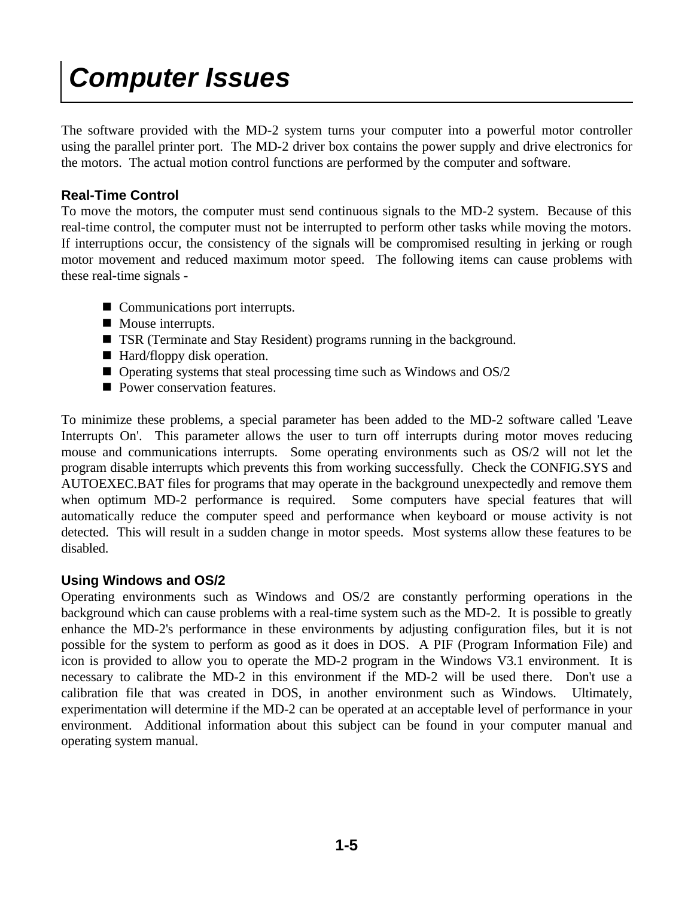### *Computer Issues*

The software provided with the MD-2 system turns your computer into a powerful motor controller using the parallel printer port. The MD-2 driver box contains the power supply and drive electronics for the motors. The actual motion control functions are performed by the computer and software.

#### **Real-Time Control**

To move the motors, the computer must send continuous signals to the MD-2 system. Because of this real-time control, the computer must not be interrupted to perform other tasks while moving the motors. If interruptions occur, the consistency of the signals will be compromised resulting in jerking or rough motor movement and reduced maximum motor speed. The following items can cause problems with these real-time signals -

- $\blacksquare$  Communications port interrupts.
- $\blacksquare$  Mouse interrupts.
- TSR (Terminate and Stay Resident) programs running in the background.
- $\blacksquare$  Hard/floppy disk operation.
- $\blacksquare$  Operating systems that steal processing time such as Windows and OS/2
- Power conservation features.

To minimize these problems, a special parameter has been added to the MD-2 software called 'Leave Interrupts On'. This parameter allows the user to turn off interrupts during motor moves reducing mouse and communications interrupts. Some operating environments such as OS/2 will not let the program disable interrupts which prevents this from working successfully. Check the CONFIG.SYS and AUTOEXEC.BAT files for programs that may operate in the background unexpectedly and remove them when optimum MD-2 performance is required. Some computers have special features that will automatically reduce the computer speed and performance when keyboard or mouse activity is not detected. This will result in a sudden change in motor speeds. Most systems allow these features to be disabled.

#### **Using Windows and OS/2**

Operating environments such as Windows and OS/2 are constantly performing operations in the background which can cause problems with a real-time system such as the MD-2. It is possible to greatly enhance the MD-2's performance in these environments by adjusting configuration files, but it is not possible for the system to perform as good as it does in DOS. A PIF (Program Information File) and icon is provided to allow you to operate the MD-2 program in the Windows V3.1 environment. It is necessary to calibrate the MD-2 in this environment if the MD-2 will be used there. Don't use a calibration file that was created in DOS, in another environment such as Windows. Ultimately, experimentation will determine if the MD-2 can be operated at an acceptable level of performance in your environment. Additional information about this subject can be found in your computer manual and operating system manual.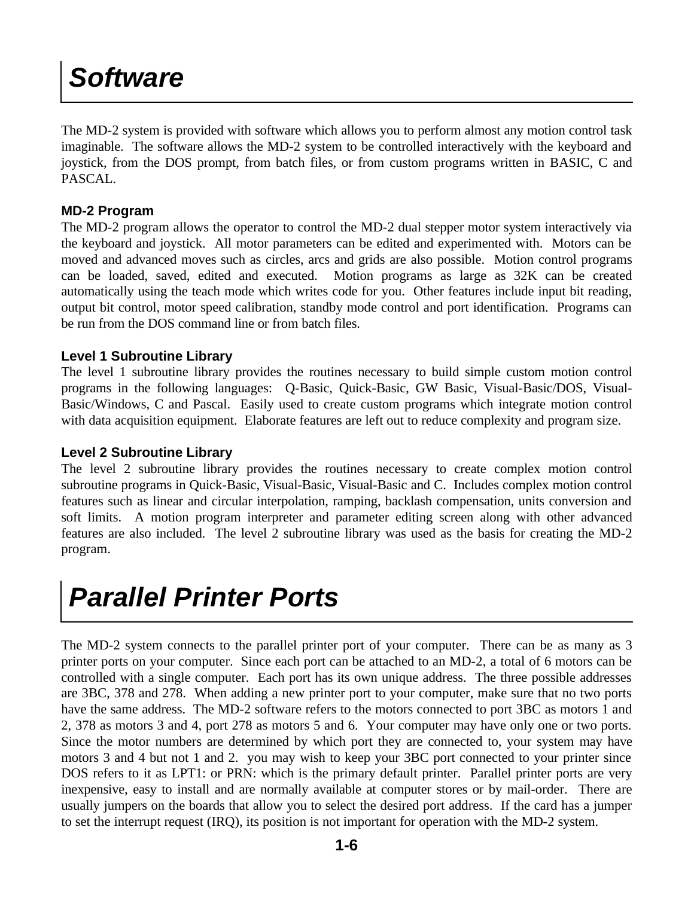### *Software*

The MD-2 system is provided with software which allows you to perform almost any motion control task imaginable. The software allows the MD-2 system to be controlled interactively with the keyboard and joystick, from the DOS prompt, from batch files, or from custom programs written in BASIC, C and PASCAL.

#### **MD-2 Program**

The MD-2 program allows the operator to control the MD-2 dual stepper motor system interactively via the keyboard and joystick. All motor parameters can be edited and experimented with. Motors can be moved and advanced moves such as circles, arcs and grids are also possible. Motion control programs can be loaded, saved, edited and executed. Motion programs as large as 32K can be created automatically using the teach mode which writes code for you. Other features include input bit reading, output bit control, motor speed calibration, standby mode control and port identification. Programs can be run from the DOS command line or from batch files.

#### **Level 1 Subroutine Library**

The level 1 subroutine library provides the routines necessary to build simple custom motion control programs in the following languages: Q-Basic, Quick-Basic, GW Basic, Visual-Basic/DOS, Visual-Basic/Windows, C and Pascal. Easily used to create custom programs which integrate motion control with data acquisition equipment. Elaborate features are left out to reduce complexity and program size.

#### **Level 2 Subroutine Library**

The level 2 subroutine library provides the routines necessary to create complex motion control subroutine programs in Quick-Basic, Visual-Basic, Visual-Basic and C. Includes complex motion control features such as linear and circular interpolation, ramping, backlash compensation, units conversion and soft limits. A motion program interpreter and parameter editing screen along with other advanced features are also included. The level 2 subroutine library was used as the basis for creating the MD-2 program.

### *Parallel Printer Ports*

The MD-2 system connects to the parallel printer port of your computer. There can be as many as 3 printer ports on your computer. Since each port can be attached to an MD-2, a total of 6 motors can be controlled with a single computer. Each port has its own unique address. The three possible addresses are 3BC, 378 and 278. When adding a new printer port to your computer, make sure that no two ports have the same address. The MD-2 software refers to the motors connected to port 3BC as motors 1 and 2, 378 as motors 3 and 4, port 278 as motors 5 and 6. Your computer may have only one or two ports. Since the motor numbers are determined by which port they are connected to, your system may have motors 3 and 4 but not 1 and 2. you may wish to keep your 3BC port connected to your printer since DOS refers to it as LPT1: or PRN: which is the primary default printer. Parallel printer ports are very inexpensive, easy to install and are normally available at computer stores or by mail-order. There are usually jumpers on the boards that allow you to select the desired port address. If the card has a jumper to set the interrupt request (IRQ), its position is not important for operation with the MD-2 system.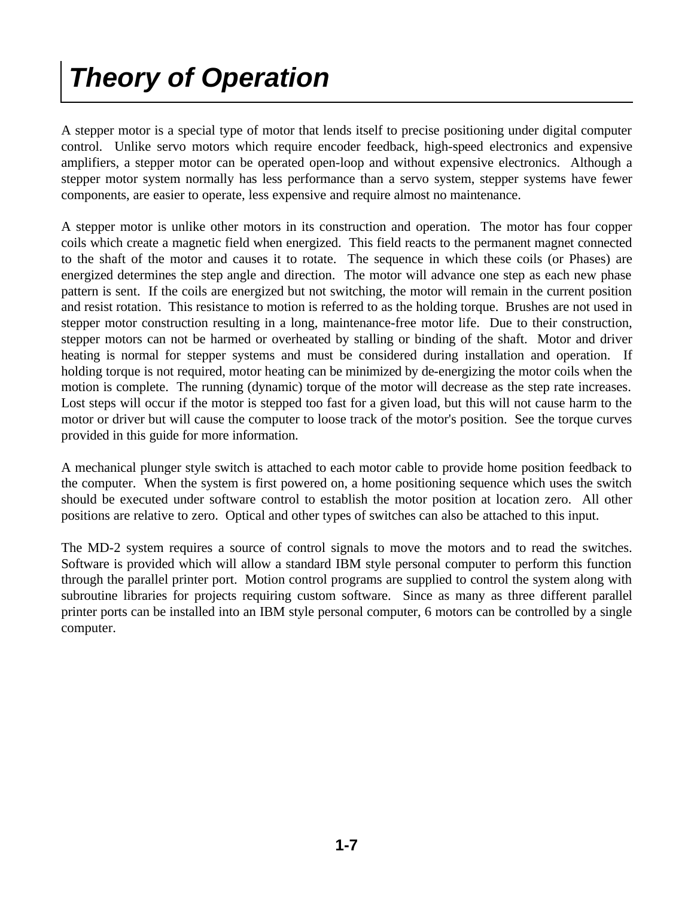### *Theory of Operation*

A stepper motor is a special type of motor that lends itself to precise positioning under digital computer control. Unlike servo motors which require encoder feedback, high-speed electronics and expensive amplifiers, a stepper motor can be operated open-loop and without expensive electronics. Although a stepper motor system normally has less performance than a servo system, stepper systems have fewer components, are easier to operate, less expensive and require almost no maintenance.

A stepper motor is unlike other motors in its construction and operation. The motor has four copper coils which create a magnetic field when energized. This field reacts to the permanent magnet connected to the shaft of the motor and causes it to rotate. The sequence in which these coils (or Phases) are energized determines the step angle and direction. The motor will advance one step as each new phase pattern is sent. If the coils are energized but not switching, the motor will remain in the current position and resist rotation. This resistance to motion is referred to as the holding torque. Brushes are not used in stepper motor construction resulting in a long, maintenance-free motor life. Due to their construction, stepper motors can not be harmed or overheated by stalling or binding of the shaft. Motor and driver heating is normal for stepper systems and must be considered during installation and operation. If holding torque is not required, motor heating can be minimized by de-energizing the motor coils when the motion is complete. The running (dynamic) torque of the motor will decrease as the step rate increases. Lost steps will occur if the motor is stepped too fast for a given load, but this will not cause harm to the motor or driver but will cause the computer to loose track of the motor's position. See the torque curves provided in this guide for more information.

A mechanical plunger style switch is attached to each motor cable to provide home position feedback to the computer. When the system is first powered on, a home positioning sequence which uses the switch should be executed under software control to establish the motor position at location zero. All other positions are relative to zero. Optical and other types of switches can also be attached to this input.

The MD-2 system requires a source of control signals to move the motors and to read the switches. Software is provided which will allow a standard IBM style personal computer to perform this function through the parallel printer port. Motion control programs are supplied to control the system along with subroutine libraries for projects requiring custom software. Since as many as three different parallel printer ports can be installed into an IBM style personal computer, 6 motors can be controlled by a single computer.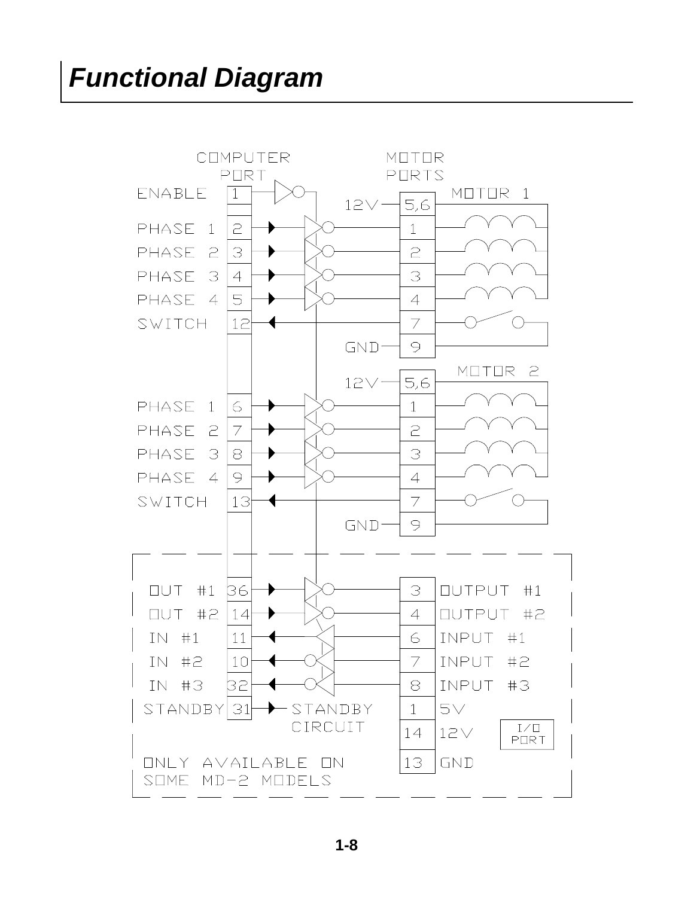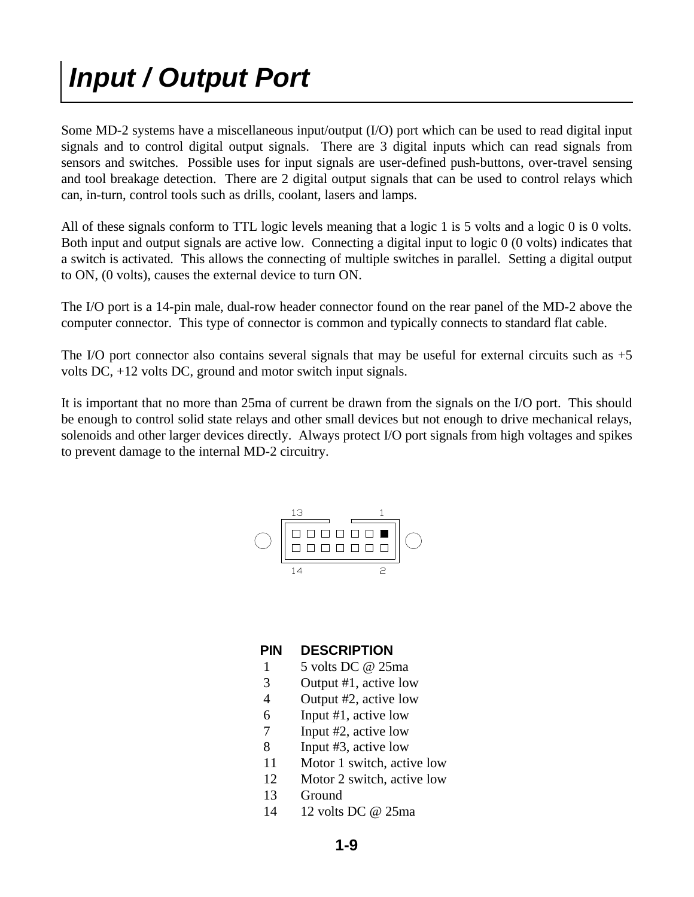### *Input / Output Port*

Some MD-2 systems have a miscellaneous input/output (I/O) port which can be used to read digital input signals and to control digital output signals. There are 3 digital inputs which can read signals from sensors and switches. Possible uses for input signals are user-defined push-buttons, over-travel sensing and tool breakage detection. There are 2 digital output signals that can be used to control relays which can, in-turn, control tools such as drills, coolant, lasers and lamps.

All of these signals conform to TTL logic levels meaning that a logic 1 is 5 volts and a logic 0 is 0 volts. Both input and output signals are active low. Connecting a digital input to logic 0 (0 volts) indicates that a switch is activated. This allows the connecting of multiple switches in parallel. Setting a digital output to ON, (0 volts), causes the external device to turn ON.

The I/O port is a 14-pin male, dual-row header connector found on the rear panel of the MD-2 above the computer connector. This type of connector is common and typically connects to standard flat cable.

The I/O port connector also contains several signals that may be useful for external circuits such as  $+5$ volts DC, +12 volts DC, ground and motor switch input signals.

It is important that no more than 25ma of current be drawn from the signals on the I/O port. This should be enough to control solid state relays and other small devices but not enough to drive mechanical relays, solenoids and other larger devices directly. Always protect I/O port signals from high voltages and spikes to prevent damage to the internal MD-2 circuitry.



#### **PIN DESCRIPTION**

- 1 5 volts DC @ 25ma
- 3 Output #1, active low
- 4 Output #2, active low
- 6 Input #1, active low
- 7 Input #2, active low
- 8 Input #3, active low
- 11 Motor 1 switch, active low
- 12 Motor 2 switch, active low
- 13 Ground
- 14 12 volts DC @ 25ma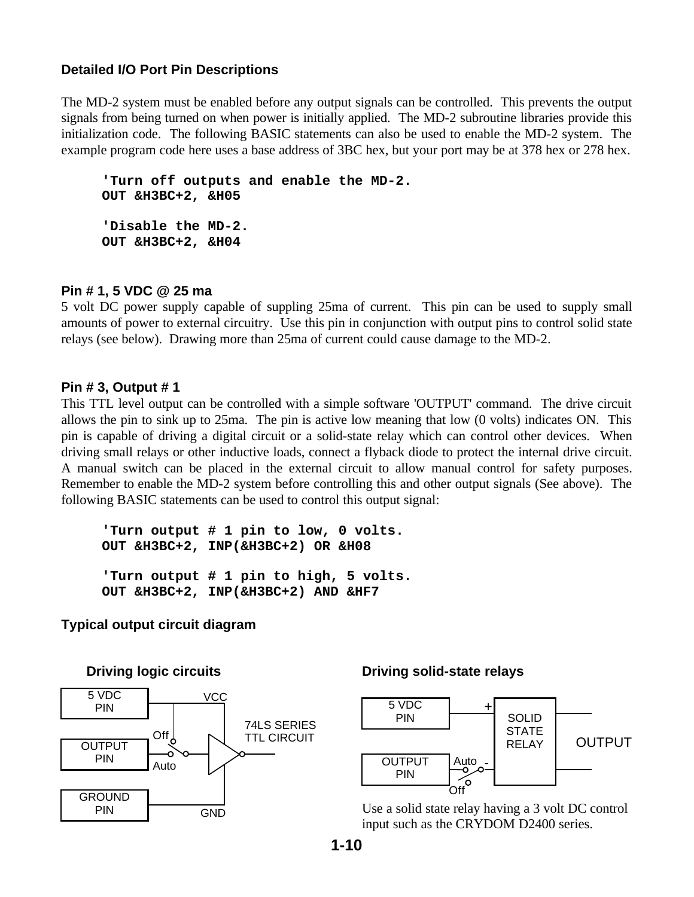#### **Detailed I/O Port Pin Descriptions**

The MD-2 system must be enabled before any output signals can be controlled. This prevents the output signals from being turned on when power is initially applied. The MD-2 subroutine libraries provide this initialization code. The following BASIC statements can also be used to enable the MD-2 system. The example program code here uses a base address of 3BC hex, but your port may be at 378 hex or 278 hex.

 **'Turn off outputs and enable the MD-2. OUT &H3BC+2, &H05 'Disable the MD-2. OUT &H3BC+2, &H04**

#### **Pin # 1, 5 VDC @ 25 ma**

5 volt DC power supply capable of suppling 25ma of current. This pin can be used to supply small amounts of power to external circuitry. Use this pin in conjunction with output pins to control solid state relays (see below). Drawing more than 25ma of current could cause damage to the MD-2.

#### **Pin # 3, Output # 1**

This TTL level output can be controlled with a simple software 'OUTPUT' command. The drive circuit allows the pin to sink up to 25ma. The pin is active low meaning that low (0 volts) indicates ON. This pin is capable of driving a digital circuit or a solid-state relay which can control other devices. When driving small relays or other inductive loads, connect a flyback diode to protect the internal drive circuit. A manual switch can be placed in the external circuit to allow manual control for safety purposes. Remember to enable the MD-2 system before controlling this and other output signals (See above). The following BASIC statements can be used to control this output signal:

 **'Turn output # 1 pin to low, 0 volts. OUT &H3BC+2, INP(&H3BC+2) OR &H08 'Turn output # 1 pin to high, 5 volts. OUT &H3BC+2, INP(&H3BC+2) AND &HF7**

#### **Typical output circuit diagram**



#### **Driving solid-state relays**



Use a solid state relay having a 3 volt DC control input such as the CRYDOM D2400 series.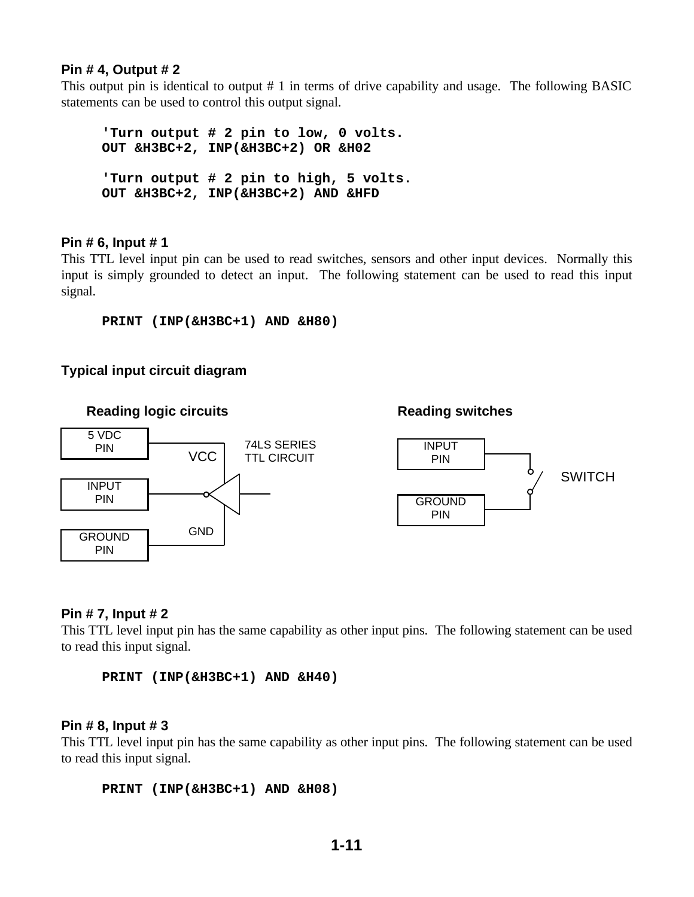#### **Pin # 4, Output # 2**

This output pin is identical to output # 1 in terms of drive capability and usage. The following BASIC statements can be used to control this output signal.

 **'Turn output # 2 pin to low, 0 volts. OUT &H3BC+2, INP(&H3BC+2) OR &H02 'Turn output # 2 pin to high, 5 volts. OUT &H3BC+2, INP(&H3BC+2) AND &HFD**

#### **Pin # 6, Input # 1**

This TTL level input pin can be used to read switches, sensors and other input devices. Normally this input is simply grounded to detect an input. The following statement can be used to read this input signal.

 **PRINT (INP(&H3BC+1) AND &H80)** 

#### **Typical input circuit diagram**



#### **Pin # 7, Input # 2**

This TTL level input pin has the same capability as other input pins. The following statement can be used to read this input signal.

 **PRINT (INP(&H3BC+1) AND &H40)** 

#### **Pin # 8, Input # 3**

This TTL level input pin has the same capability as other input pins. The following statement can be used to read this input signal.

```
 PRINT (INP(&H3BC+1) AND &H08)
```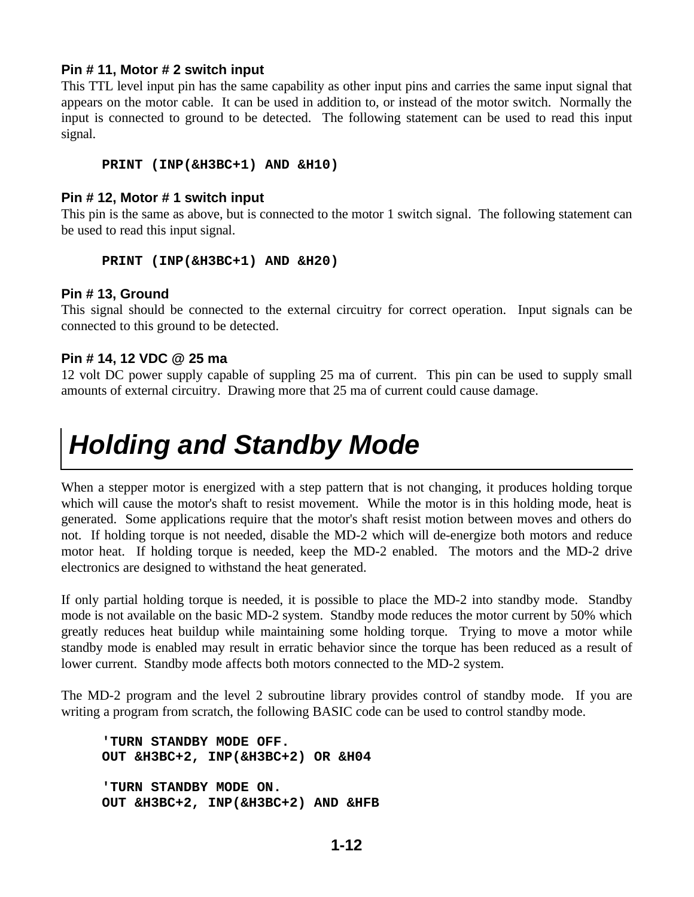#### **Pin # 11, Motor # 2 switch input**

This TTL level input pin has the same capability as other input pins and carries the same input signal that appears on the motor cable. It can be used in addition to, or instead of the motor switch. Normally the input is connected to ground to be detected. The following statement can be used to read this input signal.

#### **PRINT (INP(&H3BC+1) AND &H10)**

#### **Pin # 12, Motor # 1 switch input**

This pin is the same as above, but is connected to the motor 1 switch signal. The following statement can be used to read this input signal.

#### **PRINT (INP(&H3BC+1) AND &H20)**

#### **Pin # 13, Ground**

This signal should be connected to the external circuitry for correct operation. Input signals can be connected to this ground to be detected.

#### **Pin # 14, 12 VDC @ 25 ma**

12 volt DC power supply capable of suppling 25 ma of current. This pin can be used to supply small amounts of external circuitry. Drawing more that 25 ma of current could cause damage.

### *Holding and Standby Mode*

When a stepper motor is energized with a step pattern that is not changing, it produces holding torque which will cause the motor's shaft to resist movement. While the motor is in this holding mode, heat is generated. Some applications require that the motor's shaft resist motion between moves and others do not. If holding torque is not needed, disable the MD-2 which will de-energize both motors and reduce motor heat. If holding torque is needed, keep the MD-2 enabled. The motors and the MD-2 drive electronics are designed to withstand the heat generated.

If only partial holding torque is needed, it is possible to place the MD-2 into standby mode. Standby mode is not available on the basic MD-2 system. Standby mode reduces the motor current by 50% which greatly reduces heat buildup while maintaining some holding torque. Trying to move a motor while standby mode is enabled may result in erratic behavior since the torque has been reduced as a result of lower current. Standby mode affects both motors connected to the MD-2 system.

The MD-2 program and the level 2 subroutine library provides control of standby mode. If you are writing a program from scratch, the following BASIC code can be used to control standby mode.

 **'TURN STANDBY MODE OFF. OUT &H3BC+2, INP(&H3BC+2) OR &H04 'TURN STANDBY MODE ON. OUT &H3BC+2, INP(&H3BC+2) AND &HFB**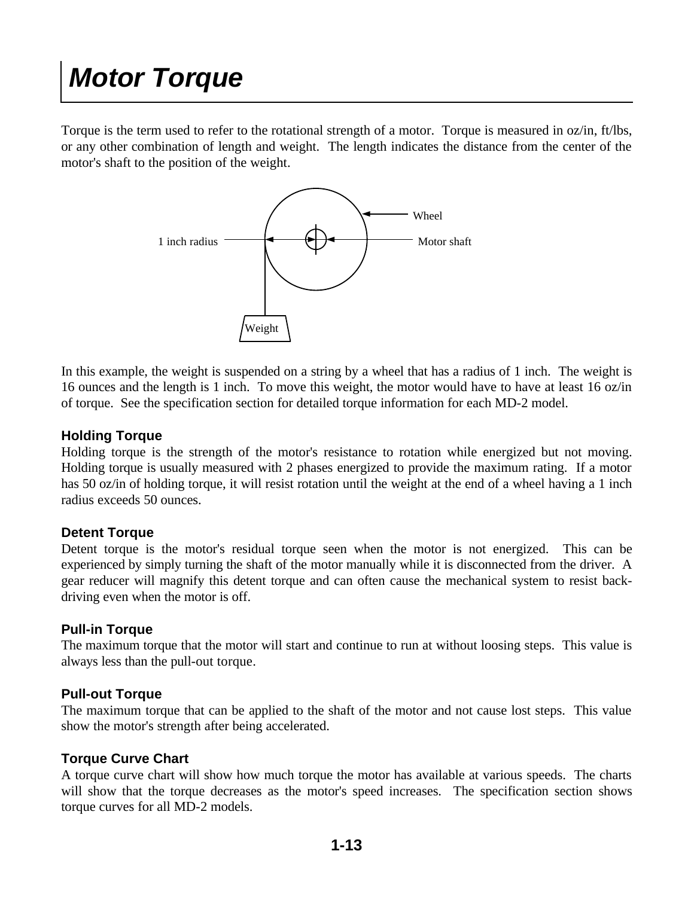### *Motor Torque*

Torque is the term used to refer to the rotational strength of a motor. Torque is measured in oz/in, ft/lbs, or any other combination of length and weight. The length indicates the distance from the center of the motor's shaft to the position of the weight.



In this example, the weight is suspended on a string by a wheel that has a radius of 1 inch. The weight is 16 ounces and the length is 1 inch. To move this weight, the motor would have to have at least 16 oz/in of torque. See the specification section for detailed torque information for each MD-2 model.

#### **Holding Torque**

Holding torque is the strength of the motor's resistance to rotation while energized but not moving. Holding torque is usually measured with 2 phases energized to provide the maximum rating. If a motor has 50 oz/in of holding torque, it will resist rotation until the weight at the end of a wheel having a 1 inch radius exceeds 50 ounces.

#### **Detent Torque**

Detent torque is the motor's residual torque seen when the motor is not energized. This can be experienced by simply turning the shaft of the motor manually while it is disconnected from the driver. A gear reducer will magnify this detent torque and can often cause the mechanical system to resist backdriving even when the motor is off.

#### **Pull-in Torque**

The maximum torque that the motor will start and continue to run at without loosing steps. This value is always less than the pull-out torque.

#### **Pull-out Torque**

The maximum torque that can be applied to the shaft of the motor and not cause lost steps. This value show the motor's strength after being accelerated.

#### **Torque Curve Chart**

A torque curve chart will show how much torque the motor has available at various speeds. The charts will show that the torque decreases as the motor's speed increases. The specification section shows torque curves for all MD-2 models.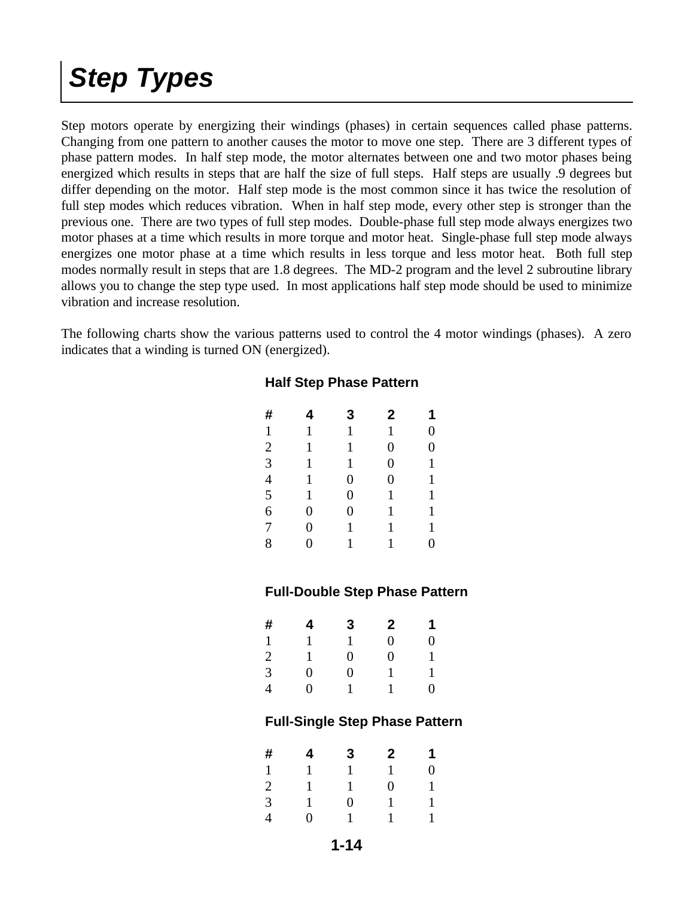### *Step Types*

Step motors operate by energizing their windings (phases) in certain sequences called phase patterns. Changing from one pattern to another causes the motor to move one step. There are 3 different types of phase pattern modes. In half step mode, the motor alternates between one and two motor phases being energized which results in steps that are half the size of full steps. Half steps are usually .9 degrees but differ depending on the motor. Half step mode is the most common since it has twice the resolution of full step modes which reduces vibration. When in half step mode, every other step is stronger than the previous one. There are two types of full step modes. Double-phase full step mode always energizes two motor phases at a time which results in more torque and motor heat. Single-phase full step mode always energizes one motor phase at a time which results in less torque and less motor heat. Both full step modes normally result in steps that are 1.8 degrees. The MD-2 program and the level 2 subroutine library allows you to change the step type used. In most applications half step mode should be used to minimize vibration and increase resolution.

The following charts show the various patterns used to control the 4 motor windings (phases). A zero indicates that a winding is turned ON (energized).

| #              | 4              | 3              | $\mathbf 2$    | 1              |
|----------------|----------------|----------------|----------------|----------------|
| $\mathbf{1}$   | 1              | 1              | 1              | $\overline{0}$ |
| $\overline{2}$ | 1              | 1              | $\overline{0}$ | $\overline{0}$ |
| $\overline{3}$ | 1              | 1              | $\overline{0}$ | $\mathbf{1}$   |
| $\overline{4}$ | 1              | $\overline{0}$ | $\overline{0}$ | $\mathbf{1}$   |
| $\overline{5}$ | 1              | $\overline{0}$ | 1              | 1              |
| 6              | $\overline{0}$ | $\overline{0}$ | 1              | $\mathbf{1}$   |
| $\overline{7}$ | $\overline{0}$ | 1              | 1              | $\mathbf{1}$   |
| 8              | $\overline{0}$ | 1              | 1              | $\overline{0}$ |

#### **Half Step Phase Pattern**

#### **Full-Double Step Phase Pattern**

| #              | 4 | 3 | $\mathbf{2}$ | 1 |
|----------------|---|---|--------------|---|
| $\mathbf{1}$   | 1 | 1 | 0            | 0 |
| $\overline{c}$ | 1 | 0 | 0            | 1 |
| 3              | 0 | 0 |              | 1 |
| 4              | 0 | 1 |              | 0 |

#### **Full-Single Step Phase Pattern**

| #              | 4 | 3              | $\mathbf{2}$   | 1              |
|----------------|---|----------------|----------------|----------------|
| $\mathbf{1}$   | 1 | 1              | $\mathbf{1}$   | $\overline{0}$ |
| $\overline{2}$ | 1 | 1              | $\overline{0}$ | 1              |
| 3              | 1 | $\overline{0}$ | 1              | 1              |
| $\overline{4}$ | 0 | 1              | 1              | 1              |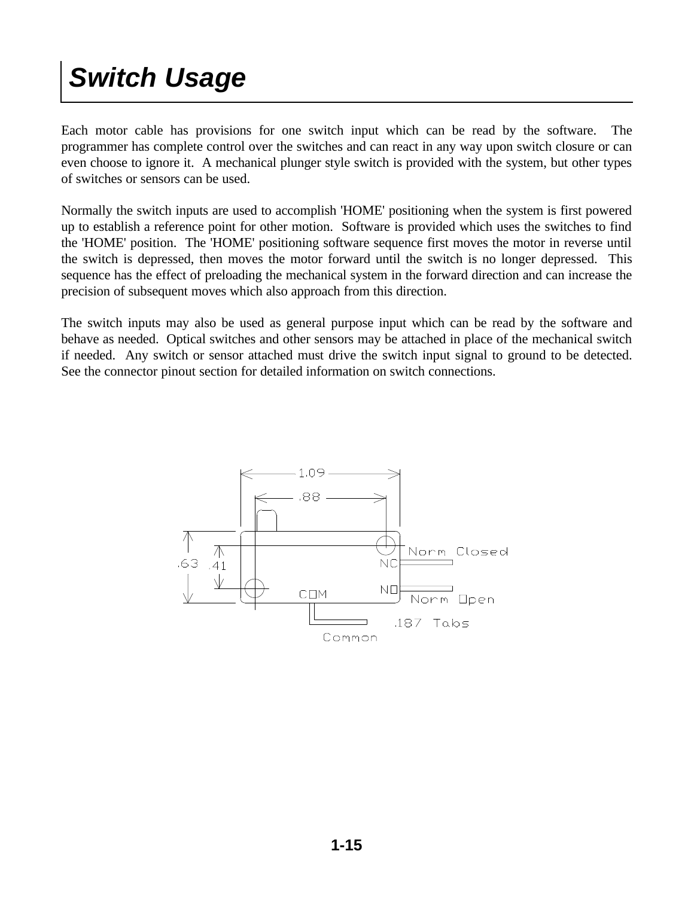### *Switch Usage*

Each motor cable has provisions for one switch input which can be read by the software. The programmer has complete control over the switches and can react in any way upon switch closure or can even choose to ignore it. A mechanical plunger style switch is provided with the system, but other types of switches or sensors can be used.

Normally the switch inputs are used to accomplish 'HOME' positioning when the system is first powered up to establish a reference point for other motion. Software is provided which uses the switches to find the 'HOME' position. The 'HOME' positioning software sequence first moves the motor in reverse until the switch is depressed, then moves the motor forward until the switch is no longer depressed. This sequence has the effect of preloading the mechanical system in the forward direction and can increase the precision of subsequent moves which also approach from this direction.

The switch inputs may also be used as general purpose input which can be read by the software and behave as needed. Optical switches and other sensors may be attached in place of the mechanical switch if needed. Any switch or sensor attached must drive the switch input signal to ground to be detected. See the connector pinout section for detailed information on switch connections.

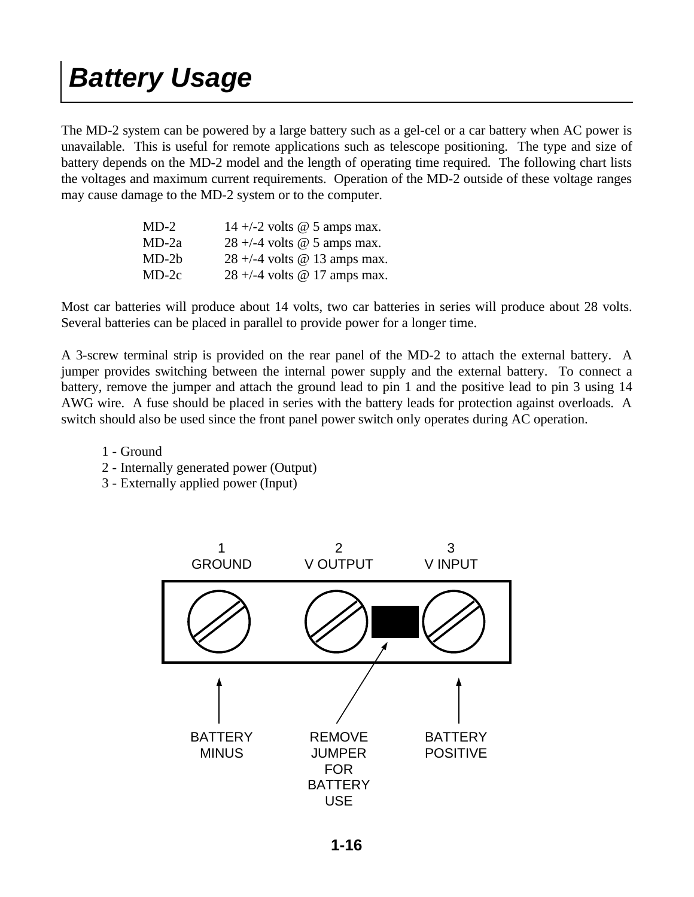### *Battery Usage*

The MD-2 system can be powered by a large battery such as a gel-cel or a car battery when AC power is unavailable. This is useful for remote applications such as telescope positioning. The type and size of battery depends on the MD-2 model and the length of operating time required. The following chart lists the voltages and maximum current requirements. Operation of the MD-2 outside of these voltage ranges may cause damage to the MD-2 system or to the computer.

| $MD-2$  | 14 +/-2 volts $\omega$ 5 amps max. |
|---------|------------------------------------|
| $MD-2a$ | $28 + (-4$ volts @ 5 amps max.     |
| $MD-2b$ | $28 + (-4$ volts @ 13 amps max.    |
| $MD-2c$ | $28 + (-4$ volts @ 17 amps max.    |

Most car batteries will produce about 14 volts, two car batteries in series will produce about 28 volts. Several batteries can be placed in parallel to provide power for a longer time.

A 3-screw terminal strip is provided on the rear panel of the MD-2 to attach the external battery. A jumper provides switching between the internal power supply and the external battery. To connect a battery, remove the jumper and attach the ground lead to pin 1 and the positive lead to pin 3 using 14 AWG wire. A fuse should be placed in series with the battery leads for protection against overloads. A switch should also be used since the front panel power switch only operates during AC operation.

- 1 Ground
- 2 Internally generated power (Output)
- 3 Externally applied power (Input)

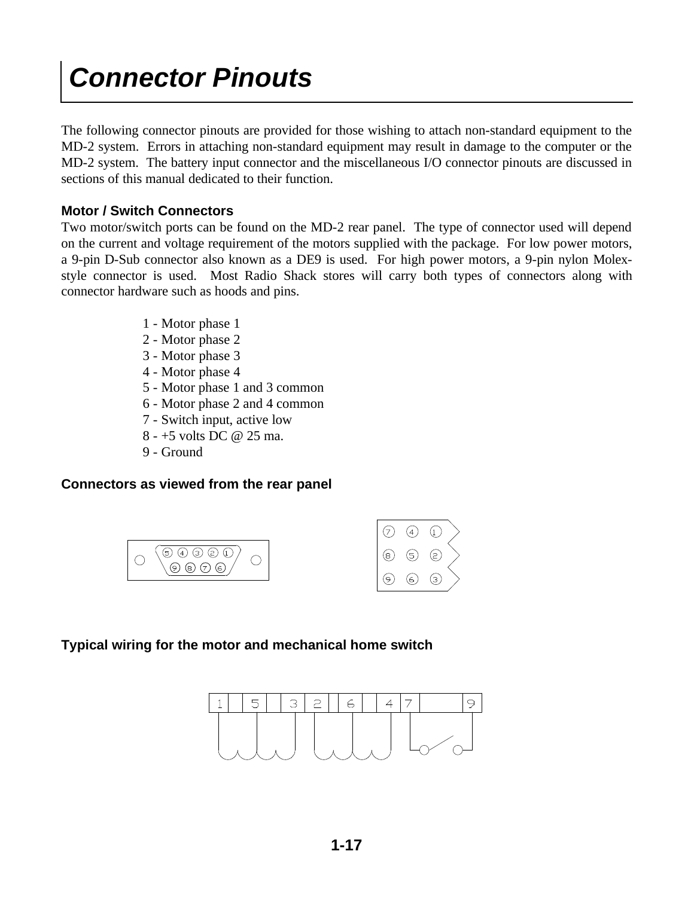### *Connector Pinouts*

The following connector pinouts are provided for those wishing to attach non-standard equipment to the MD-2 system. Errors in attaching non-standard equipment may result in damage to the computer or the MD-2 system. The battery input connector and the miscellaneous I/O connector pinouts are discussed in sections of this manual dedicated to their function.

#### **Motor / Switch Connectors**

Two motor/switch ports can be found on the MD-2 rear panel. The type of connector used will depend on the current and voltage requirement of the motors supplied with the package. For low power motors, a 9-pin D-Sub connector also known as a DE9 is used. For high power motors, a 9-pin nylon Molexstyle connector is used. Most Radio Shack stores will carry both types of connectors along with connector hardware such as hoods and pins.

- 1 Motor phase 1
- 2 Motor phase 2
- 3 Motor phase 3
- 4 Motor phase 4
- 5 Motor phase 1 and 3 common
- 6 Motor phase 2 and 4 common
- 7 Switch input, active low
- 8 +5 volts DC @ 25 ma.
- 9 Ground

#### **Connectors as viewed from the rear panel**





#### **Typical wiring for the motor and mechanical home switch**

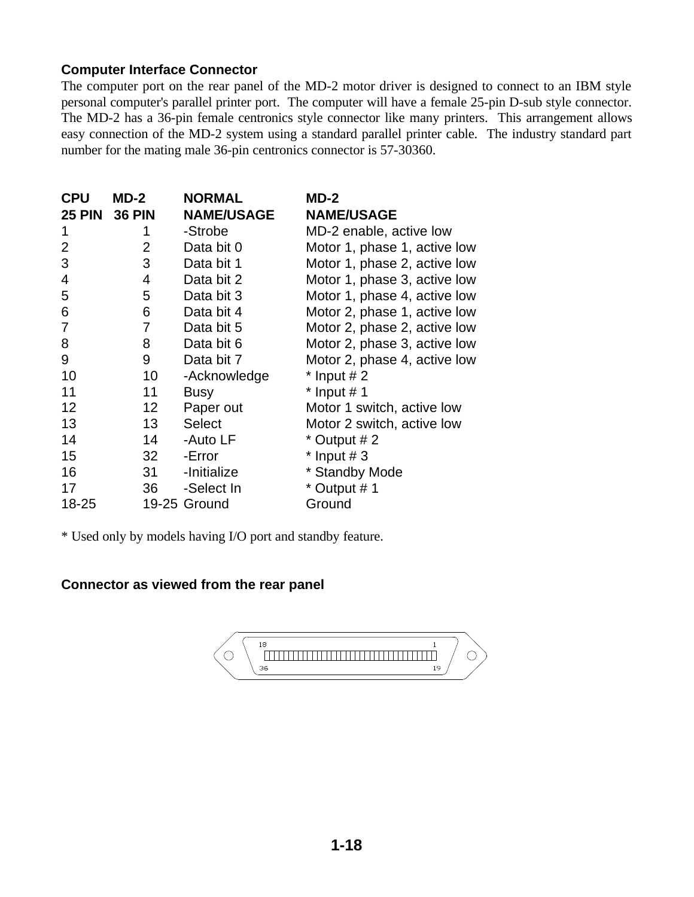#### **Computer Interface Connector**

The computer port on the rear panel of the MD-2 motor driver is designed to connect to an IBM style personal computer's parallel printer port. The computer will have a female 25-pin D-sub style connector. The MD-2 has a 36-pin female centronics style connector like many printers. This arrangement allows easy connection of the MD-2 system using a standard parallel printer cable. The industry standard part number for the mating male 36-pin centronics connector is 57-30360.

| <b>CPU</b><br><b>25 PIN 36 PIN</b> | $MD-2$          | <b>NORMAL</b><br><b>NAME/USAGE</b> | $MD-2$<br><b>NAME/USAGE</b>  |
|------------------------------------|-----------------|------------------------------------|------------------------------|
| 1                                  | 1               | -Strobe                            | MD-2 enable, active low      |
| $\overline{2}$                     | $\overline{2}$  | Data bit 0                         | Motor 1, phase 1, active low |
| 3                                  | 3               | Data bit 1                         | Motor 1, phase 2, active low |
| 4                                  | 4               | Data bit 2                         | Motor 1, phase 3, active low |
| 5                                  | 5               | Data bit 3                         | Motor 1, phase 4, active low |
| 6                                  | 6               | Data bit 4                         | Motor 2, phase 1, active low |
| 7                                  | 7               | Data bit 5                         | Motor 2, phase 2, active low |
| 8                                  | 8               | Data bit 6                         | Motor 2, phase 3, active low |
| 9                                  | 9               | Data bit 7                         | Motor 2, phase 4, active low |
| 10                                 | 10              | -Acknowledge                       | $*$ Input # 2                |
| 11                                 | 11              | <b>Busy</b>                        | $*$ Input # 1                |
| 12                                 | 12 <sup>2</sup> | Paper out                          | Motor 1 switch, active low   |
| 13                                 | 13 <sup>°</sup> | <b>Select</b>                      | Motor 2 switch, active low   |
| 14                                 | 14              | -Auto LF                           | * Output # 2                 |
| 15                                 | 32 <sup>2</sup> | -Error                             | $*$ Input # 3                |
| 16                                 | 31              | -Initialize                        | * Standby Mode               |
| 17                                 | 36              | -Select In                         | * Output #1                  |
| 18-25                              |                 | 19-25 Ground                       | Ground                       |

\* Used only by models having I/O port and standby feature.

#### **Connector as viewed from the rear panel**

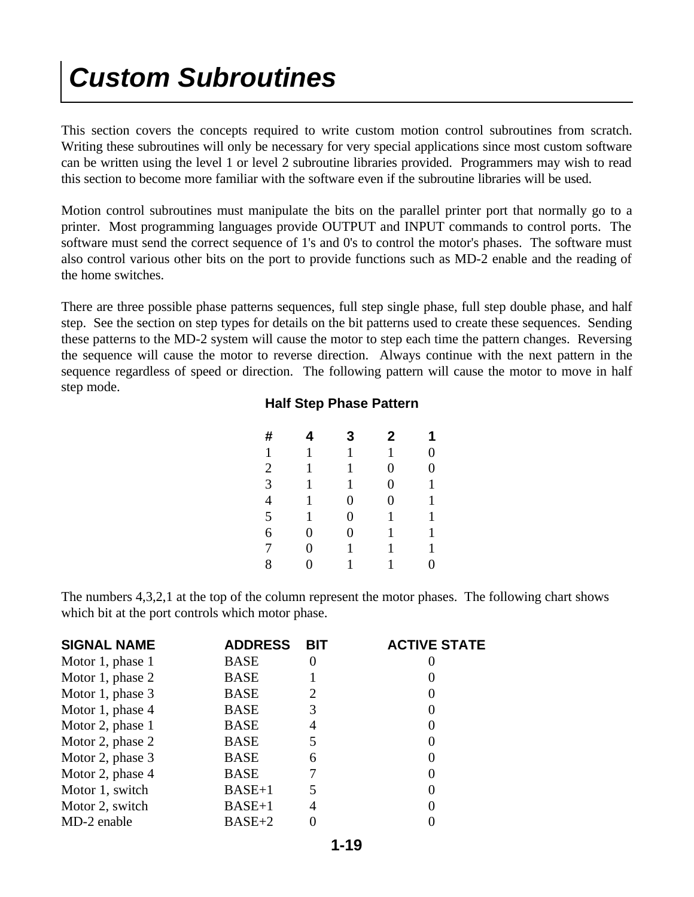### *Custom Subroutines*

This section covers the concepts required to write custom motion control subroutines from scratch. Writing these subroutines will only be necessary for very special applications since most custom software can be written using the level 1 or level 2 subroutine libraries provided. Programmers may wish to read this section to become more familiar with the software even if the subroutine libraries will be used.

Motion control subroutines must manipulate the bits on the parallel printer port that normally go to a printer. Most programming languages provide OUTPUT and INPUT commands to control ports. The software must send the correct sequence of 1's and 0's to control the motor's phases. The software must also control various other bits on the port to provide functions such as MD-2 enable and the reading of the home switches.

There are three possible phase patterns sequences, full step single phase, full step double phase, and half step. See the section on step types for details on the bit patterns used to create these sequences. Sending these patterns to the MD-2 system will cause the motor to step each time the pattern changes. Reversing the sequence will cause the motor to reverse direction. Always continue with the next pattern in the sequence regardless of speed or direction. The following pattern will cause the motor to move in half step mode.

#### **Half Step Phase Pattern**

| #              | 4              | 3              | 2              | 1              |
|----------------|----------------|----------------|----------------|----------------|
| $\mathbf{1}$   | 1              | $\mathbf{1}$   | 1              | $\overline{0}$ |
| $\mathbf{2}$   | 1              | 1              | $\overline{0}$ | $\overline{0}$ |
| $\mathfrak{Z}$ | 1              | $\mathbf 1$    | $\overline{0}$ | $\mathbf{1}$   |
| $\overline{4}$ | 1              | $\overline{0}$ | $\overline{0}$ | $\mathbf{1}$   |
| 5              | 1              | $\overline{0}$ | 1              | 1              |
| 6              | $\overline{0}$ | $\overline{0}$ | 1              | 1              |
| 7              | $\overline{0}$ | 1              | 1              | $\mathbf{1}$   |
| 8              | $\overline{0}$ | 1              | 1              | $\overline{0}$ |
|                |                |                |                |                |

The numbers 4,3,2,1 at the top of the column represent the motor phases. The following chart shows which bit at the port controls which motor phase.

| <b>SIGNAL NAME</b> | <b>ADDRESS</b> | <b>BIT</b> | <b>ACTIVE STATE</b> |
|--------------------|----------------|------------|---------------------|
| Motor 1, phase 1   | <b>BASE</b>    | $\theta$   |                     |
| Motor 1, phase 2   | <b>BASE</b>    |            |                     |
| Motor 1, phase 3   | <b>BASE</b>    | 2          |                     |
| Motor 1, phase 4   | <b>BASE</b>    | 3          |                     |
| Motor 2, phase 1   | <b>BASE</b>    | 4          |                     |
| Motor 2, phase 2   | <b>BASE</b>    | 5          |                     |
| Motor 2, phase 3   | <b>BASE</b>    | 6          |                     |
| Motor 2, phase 4   | <b>BASE</b>    |            |                     |
| Motor 1, switch    | $BASE+1$       | 5          |                     |
| Motor 2, switch    | $BASE+1$       | 4          |                     |
| MD-2 enable        | $BASE+2$       |            |                     |
|                    |                |            |                     |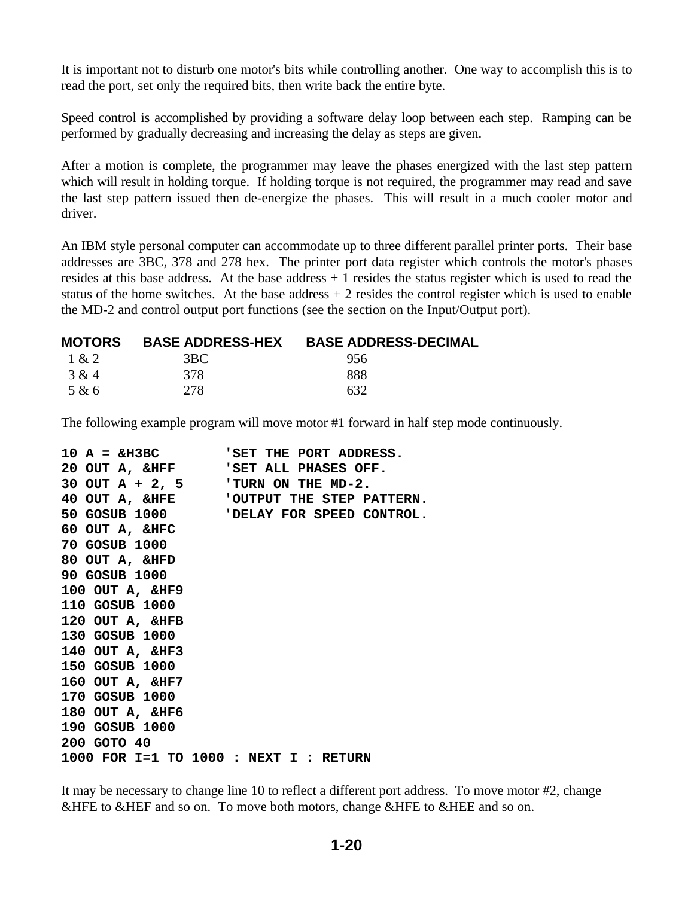It is important not to disturb one motor's bits while controlling another. One way to accomplish this is to read the port, set only the required bits, then write back the entire byte.

Speed control is accomplished by providing a software delay loop between each step. Ramping can be performed by gradually decreasing and increasing the delay as steps are given.

After a motion is complete, the programmer may leave the phases energized with the last step pattern which will result in holding torque. If holding torque is not required, the programmer may read and save the last step pattern issued then de-energize the phases. This will result in a much cooler motor and driver.

An IBM style personal computer can accommodate up to three different parallel printer ports. Their base addresses are 3BC, 378 and 278 hex. The printer port data register which controls the motor's phases resides at this base address. At the base address + 1 resides the status register which is used to read the status of the home switches. At the base address  $+2$  resides the control register which is used to enable the MD-2 and control output port functions (see the section on the Input/Output port).

|       | <b>MOTORS BASE ADDRESS-HEX</b> | <b>BASE ADDRESS-DECIMAL</b> |
|-------|--------------------------------|-----------------------------|
| 1 & 2 | 3BC.                           | 956                         |
| 3 & 4 | 378                            | 888                         |
| 5 & 6 | 278                            | 632                         |

The following example program will move motor #1 forward in half step mode continuously.

|                                          | $10 A = \text{\#}3BC$ 'SET THE PORT ADDRESS. |
|------------------------------------------|----------------------------------------------|
|                                          | 20 OUT A, &HFF SET ALL PHASES OFF.           |
| 30 OUT A + 2, 5 TURN ON THE MD-2.        |                                              |
|                                          | 40 OUT A, &HFE 'OUTPUT THE STEP PATTERN.     |
|                                          | 50 GOSUB 1000 'DELAY FOR SPEED CONTROL.      |
| 60 OUT A, &HFC                           |                                              |
| 70 GOSUB 1000                            |                                              |
| 80 OUT A, &HFD                           |                                              |
| 90 GOSUB 1000                            |                                              |
| 100 OUT A, $\&$ HF9                      |                                              |
| 110 GOSUB 1000                           |                                              |
| 120 OUT A, &HFB                          |                                              |
| 130 GOSUB 1000                           |                                              |
| 140 OUT A, &HF3                          |                                              |
| 150 GOSUB 1000                           |                                              |
| 160 OUT A, &HF7                          |                                              |
| 170 GOSUB 1000                           |                                              |
| 180 OUT A, &HF6                          |                                              |
| 190 GOSUB 1000                           |                                              |
| 200 GOTO 40                              |                                              |
| 1000 FOR $I=1$ TO 1000 : NEXT I : RETURN |                                              |

It may be necessary to change line 10 to reflect a different port address. To move motor #2, change &HFE to &HEF and so on. To move both motors, change &HFE to &HEE and so on.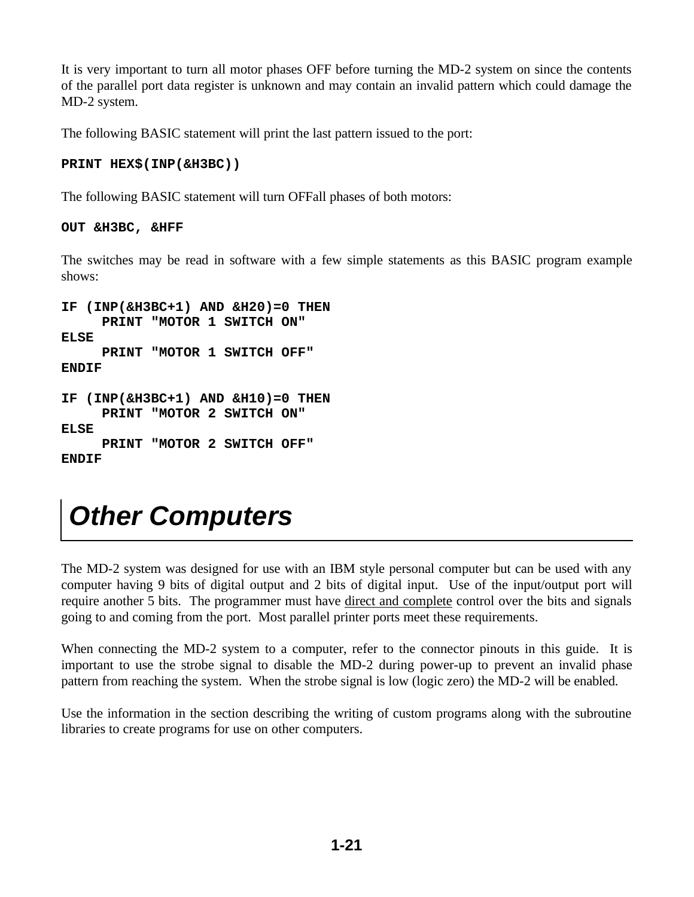It is very important to turn all motor phases OFF before turning the MD-2 system on since the contents of the parallel port data register is unknown and may contain an invalid pattern which could damage the MD-2 system.

The following BASIC statement will print the last pattern issued to the port:

#### **PRINT HEX\$(INP(&H3BC))**

The following BASIC statement will turn OFFall phases of both motors:

#### **OUT &H3BC, &HFF**

The switches may be read in software with a few simple statements as this BASIC program example shows:

```
IF (INP(&H3BC+1) AND &H20)=0 THEN 
      PRINT "MOTOR 1 SWITCH ON"
ELSE
      PRINT "MOTOR 1 SWITCH OFF"
ENDIF
IF (INP(&H3BC+1) AND &H10)=0 THEN
      PRINT "MOTOR 2 SWITCH ON"
ELSE
      PRINT "MOTOR 2 SWITCH OFF"
ENDIF
```
### *Other Computers*

The MD-2 system was designed for use with an IBM style personal computer but can be used with any computer having 9 bits of digital output and 2 bits of digital input. Use of the input/output port will require another 5 bits. The programmer must have direct and complete control over the bits and signals going to and coming from the port. Most parallel printer ports meet these requirements.

When connecting the MD-2 system to a computer, refer to the connector pinouts in this guide. It is important to use the strobe signal to disable the MD-2 during power-up to prevent an invalid phase pattern from reaching the system. When the strobe signal is low (logic zero) the MD-2 will be enabled.

Use the information in the section describing the writing of custom programs along with the subroutine libraries to create programs for use on other computers.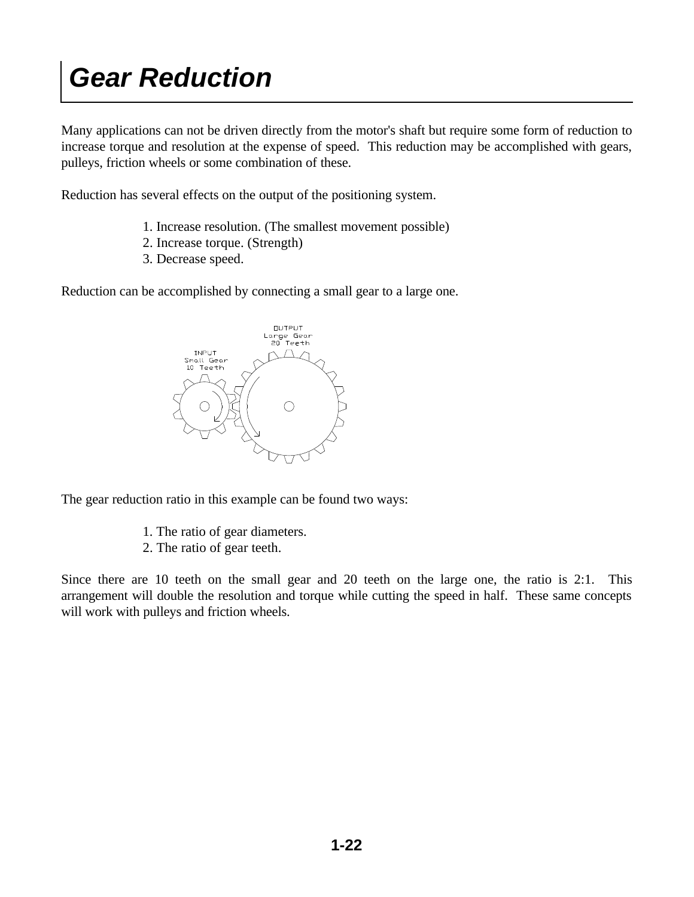### *Gear Reduction*

Many applications can not be driven directly from the motor's shaft but require some form of reduction to increase torque and resolution at the expense of speed. This reduction may be accomplished with gears, pulleys, friction wheels or some combination of these.

Reduction has several effects on the output of the positioning system.

- 1. Increase resolution. (The smallest movement possible)
- 2. Increase torque. (Strength)
- 3. Decrease speed.

Reduction can be accomplished by connecting a small gear to a large one.



The gear reduction ratio in this example can be found two ways:

- 1. The ratio of gear diameters.
- 2. The ratio of gear teeth.

Since there are 10 teeth on the small gear and 20 teeth on the large one, the ratio is 2:1. This arrangement will double the resolution and torque while cutting the speed in half. These same concepts will work with pulleys and friction wheels.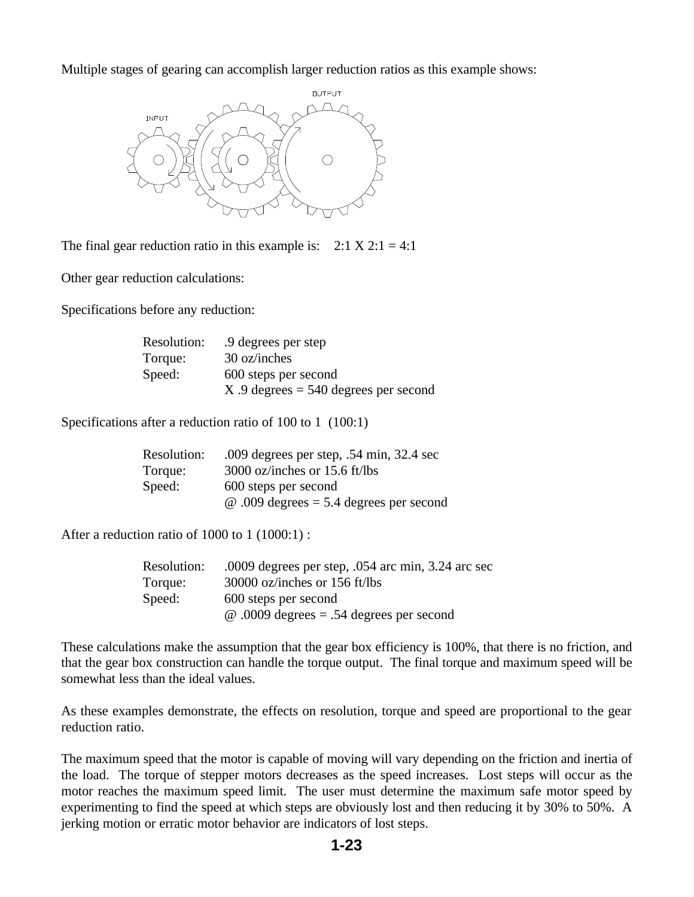Multiple stages of gearing can accomplish larger reduction ratios as this example shows:



The final gear reduction ratio in this example is:  $2:1 \times 2:1 = 4:1$ 

Other gear reduction calculations:

Specifications before any reduction:

| Resolution: | .9 degrees per step                    |
|-------------|----------------------------------------|
| Torque:     | 30 oz/inches                           |
| Speed:      | 600 steps per second                   |
|             | $X.9$ degrees = 540 degrees per second |

Specifications after a reduction ratio of 100 to 1 (100:1)

| Resolution: | .009 degrees per step, .54 min, $32.4$ sec     |
|-------------|------------------------------------------------|
| Torque:     | 3000 oz/inches or 15.6 ft/lbs                  |
| Speed:      | 600 steps per second                           |
|             | $\omega$ .009 degrees = 5.4 degrees per second |

After a reduction ratio of 1000 to 1 (1000:1) :

| Resolution: | .0009 degrees per step, $.054$ arc min, 3.24 arc sec |
|-------------|------------------------------------------------------|
| Torque:     | 30000 oz/inches or 156 ft/lbs                        |
| Speed:      | 600 steps per second                                 |
|             | $\omega$ .0009 degrees = .54 degrees per second      |

These calculations make the assumption that the gear box efficiency is 100%, that there is no friction, and that the gear box construction can handle the torque output. The final torque and maximum speed will be somewhat less than the ideal values.

As these examples demonstrate, the effects on resolution, torque and speed are proportional to the gear reduction ratio.

The maximum speed that the motor is capable of moving will vary depending on the friction and inertia of the load. The torque of stepper motors decreases as the speed increases. Lost steps will occur as the motor reaches the maximum speed limit. The user must determine the maximum safe motor speed by experimenting to find the speed at which steps are obviously lost and then reducing it by 30% to 50%. A jerking motion or erratic motor behavior are indicators of lost steps.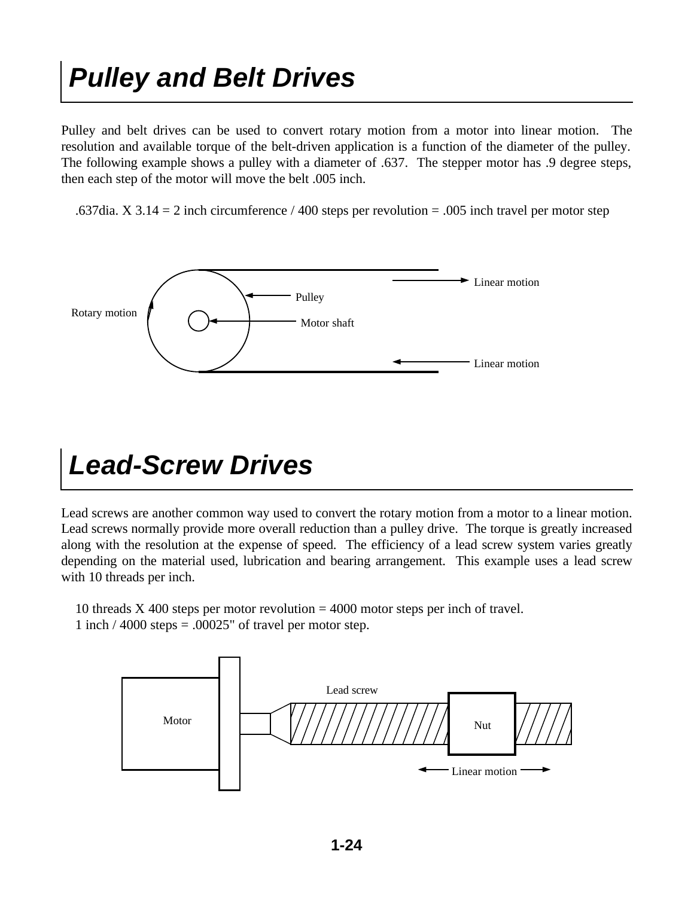### *Pulley and Belt Drives*

Pulley and belt drives can be used to convert rotary motion from a motor into linear motion. The resolution and available torque of the belt-driven application is a function of the diameter of the pulley. The following example shows a pulley with a diameter of .637. The stepper motor has .9 degree steps, then each step of the motor will move the belt .005 inch.

.637dia. X 3.14 = 2 inch circumference / 400 steps per revolution = .005 inch travel per motor step



### *Lead-Screw Drives*

Lead screws are another common way used to convert the rotary motion from a motor to a linear motion. Lead screws normally provide more overall reduction than a pulley drive. The torque is greatly increased along with the resolution at the expense of speed. The efficiency of a lead screw system varies greatly depending on the material used, lubrication and bearing arrangement. This example uses a lead screw with 10 threads per inch.

 10 threads X 400 steps per motor revolution = 4000 motor steps per inch of travel. 1 inch  $/$  4000 steps = .00025" of travel per motor step.

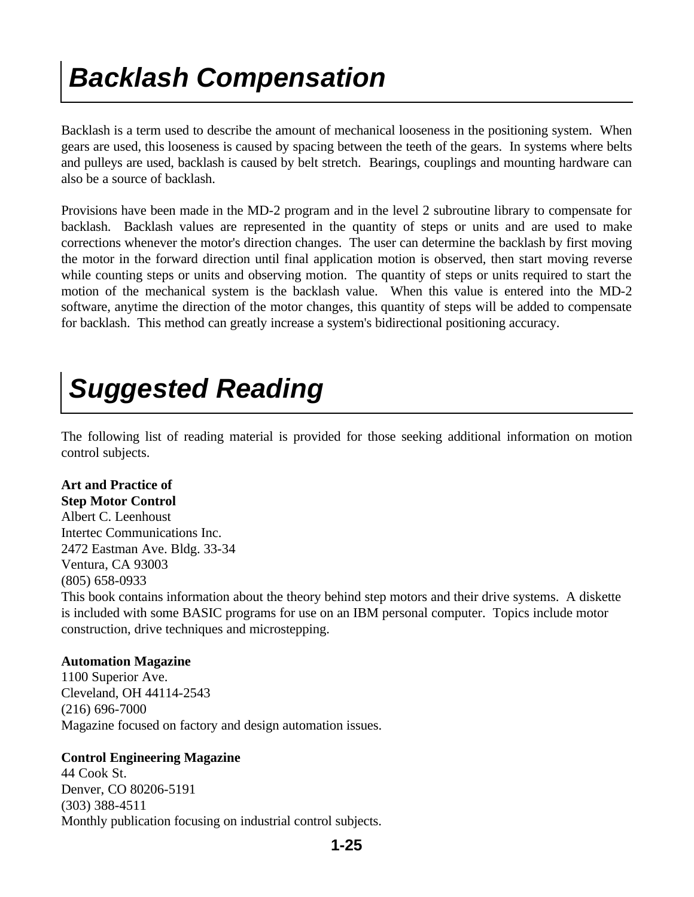### *Backlash Compensation*

Backlash is a term used to describe the amount of mechanical looseness in the positioning system. When gears are used, this looseness is caused by spacing between the teeth of the gears. In systems where belts and pulleys are used, backlash is caused by belt stretch. Bearings, couplings and mounting hardware can also be a source of backlash.

Provisions have been made in the MD-2 program and in the level 2 subroutine library to compensate for backlash. Backlash values are represented in the quantity of steps or units and are used to make corrections whenever the motor's direction changes. The user can determine the backlash by first moving the motor in the forward direction until final application motion is observed, then start moving reverse while counting steps or units and observing motion. The quantity of steps or units required to start the motion of the mechanical system is the backlash value. When this value is entered into the MD-2 software, anytime the direction of the motor changes, this quantity of steps will be added to compensate for backlash. This method can greatly increase a system's bidirectional positioning accuracy.

### *Suggested Reading*

The following list of reading material is provided for those seeking additional information on motion control subjects.

#### **Art and Practice of**

**Step Motor Control** Albert C. Leenhoust Intertec Communications Inc. 2472 Eastman Ave. Bldg. 33-34 Ventura, CA 93003 (805) 658-0933 This book contains information about the theory behind step motors and their drive systems. A diskette is included with some BASIC programs for use on an IBM personal computer. Topics include motor construction, drive techniques and microstepping.

#### **Automation Magazine**

1100 Superior Ave. Cleveland, OH 44114-2543 (216) 696-7000 Magazine focused on factory and design automation issues.

#### **Control Engineering Magazine**

44 Cook St. Denver, CO 80206-5191 (303) 388-4511 Monthly publication focusing on industrial control subjects.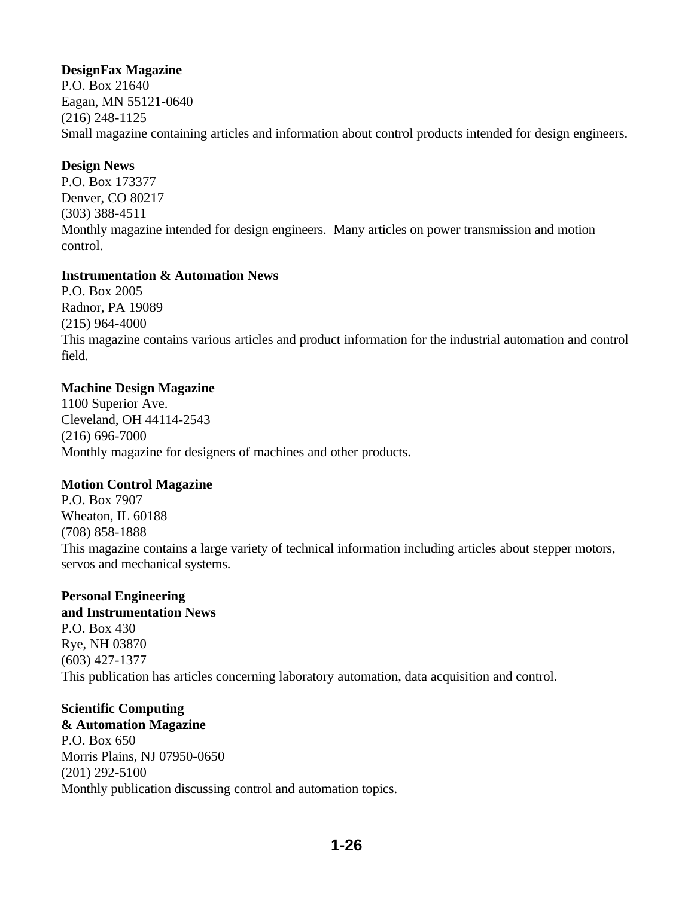#### **DesignFax Magazine**

P.O. Box 21640 Eagan, MN 55121-0640 (216) 248-1125 Small magazine containing articles and information about control products intended for design engineers.

#### **Design News**

P.O. Box 173377 Denver, CO 80217 (303) 388-4511 Monthly magazine intended for design engineers. Many articles on power transmission and motion control.

#### **Instrumentation & Automation News**

P.O. Box 2005 Radnor, PA 19089 (215) 964-4000 This magazine contains various articles and product information for the industrial automation and control field.

#### **Machine Design Magazine**

1100 Superior Ave. Cleveland, OH 44114-2543 (216) 696-7000 Monthly magazine for designers of machines and other products.

#### **Motion Control Magazine**

P.O. Box 7907 Wheaton, IL 60188 (708) 858-1888 This magazine contains a large variety of technical information including articles about stepper motors, servos and mechanical systems.

#### **Personal Engineering**

**and Instrumentation News** P.O. Box 430 Rye, NH 03870 (603) 427-1377 This publication has articles concerning laboratory automation, data acquisition and control.

#### **Scientific Computing**

**& Automation Magazine** P.O. Box 650 Morris Plains, NJ 07950-0650 (201) 292-5100 Monthly publication discussing control and automation topics.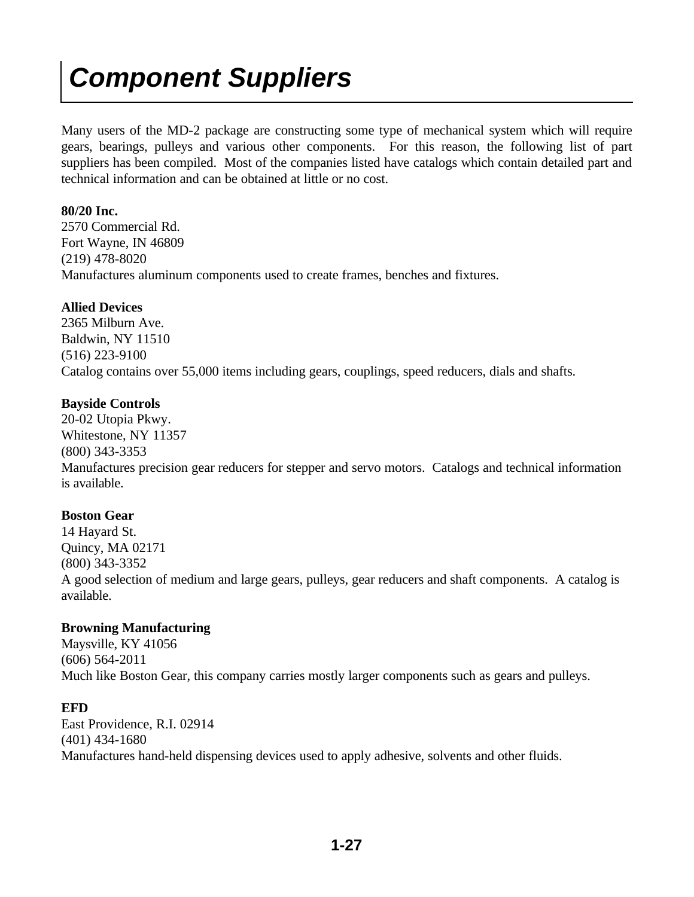### *Component Suppliers*

Many users of the MD-2 package are constructing some type of mechanical system which will require gears, bearings, pulleys and various other components. For this reason, the following list of part suppliers has been compiled. Most of the companies listed have catalogs which contain detailed part and technical information and can be obtained at little or no cost.

#### **80/20 Inc.**

2570 Commercial Rd. Fort Wayne, IN 46809 (219) 478-8020 Manufactures aluminum components used to create frames, benches and fixtures.

#### **Allied Devices**

2365 Milburn Ave. Baldwin, NY 11510 (516) 223-9100 Catalog contains over 55,000 items including gears, couplings, speed reducers, dials and shafts.

#### **Bayside Controls**

20-02 Utopia Pkwy. Whitestone, NY 11357 (800) 343-3353 Manufactures precision gear reducers for stepper and servo motors. Catalogs and technical information is available.

#### **Boston Gear**

14 Hayard St. Quincy, MA 02171 (800) 343-3352 A good selection of medium and large gears, pulleys, gear reducers and shaft components. A catalog is available.

#### **Browning Manufacturing**

Maysville, KY 41056 (606) 564-2011 Much like Boston Gear, this company carries mostly larger components such as gears and pulleys.

#### **EFD**

East Providence, R.I. 02914 (401) 434-1680 Manufactures hand-held dispensing devices used to apply adhesive, solvents and other fluids.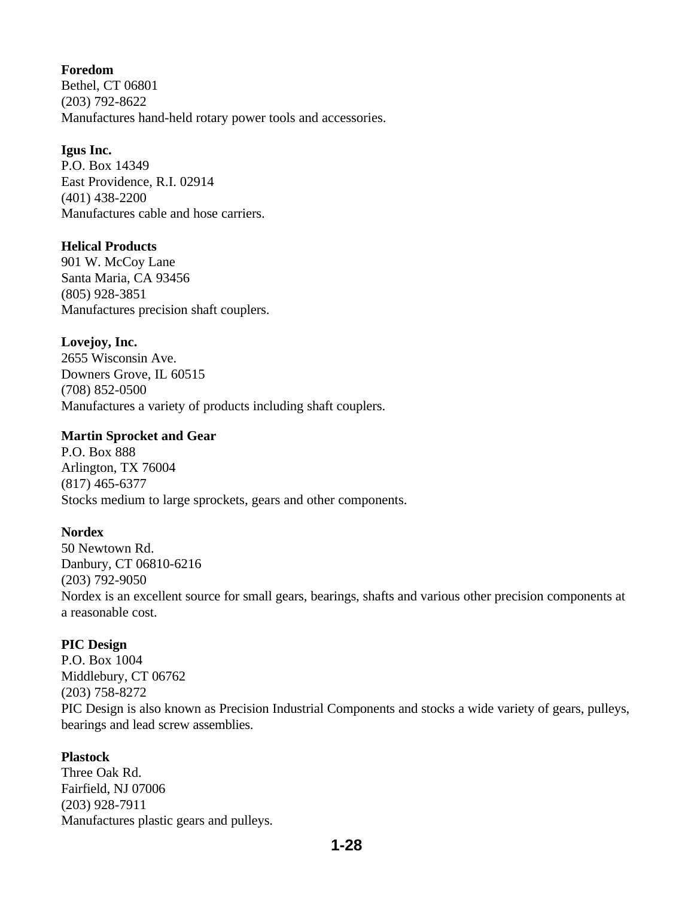#### **Foredom**

Bethel, CT 06801 (203) 792-8622 Manufactures hand-held rotary power tools and accessories.

#### **Igus Inc.**

P.O. Box 14349 East Providence, R.I. 02914 (401) 438-2200 Manufactures cable and hose carriers.

#### **Helical Products**

901 W. McCoy Lane Santa Maria, CA 93456 (805) 928-3851 Manufactures precision shaft couplers.

#### **Lovejoy, Inc.**

2655 Wisconsin Ave. Downers Grove, IL 60515 (708) 852-0500 Manufactures a variety of products including shaft couplers.

#### **Martin Sprocket and Gear**

P.O. Box 888 Arlington, TX 76004 (817) 465-6377 Stocks medium to large sprockets, gears and other components.

#### **Nordex**

50 Newtown Rd. Danbury, CT 06810-6216 (203) 792-9050 Nordex is an excellent source for small gears, bearings, shafts and various other precision components at a reasonable cost.

#### **PIC Design**

P.O. Box 1004 Middlebury, CT 06762 (203) 758-8272 PIC Design is also known as Precision Industrial Components and stocks a wide variety of gears, pulleys, bearings and lead screw assemblies.

#### **Plastock**

Three Oak Rd. Fairfield, NJ 07006 (203) 928-7911 Manufactures plastic gears and pulleys.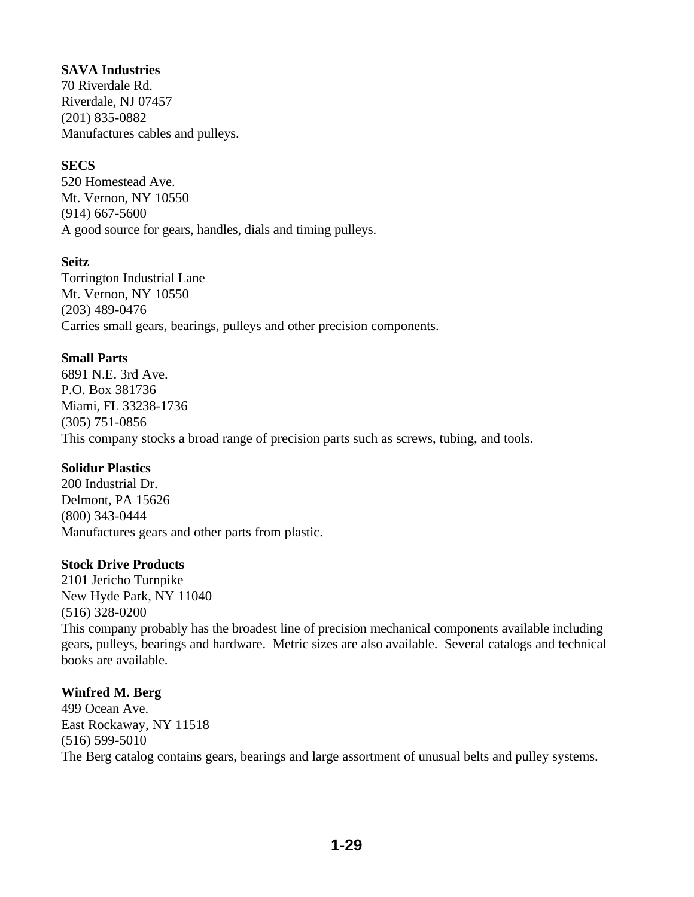#### **SAVA Industries**

70 Riverdale Rd. Riverdale, NJ 07457 (201) 835-0882 Manufactures cables and pulleys.

#### **SECS**

520 Homestead Ave. Mt. Vernon, NY 10550 (914) 667-5600 A good source for gears, handles, dials and timing pulleys.

#### **Seitz**

Torrington Industrial Lane Mt. Vernon, NY 10550 (203) 489-0476 Carries small gears, bearings, pulleys and other precision components.

#### **Small Parts**

6891 N.E. 3rd Ave. P.O. Box 381736 Miami, FL 33238-1736 (305) 751-0856 This company stocks a broad range of precision parts such as screws, tubing, and tools.

#### **Solidur Plastics**

200 Industrial Dr. Delmont, PA 15626 (800) 343-0444 Manufactures gears and other parts from plastic.

#### **Stock Drive Products**

2101 Jericho Turnpike New Hyde Park, NY 11040 (516) 328-0200 This company probably has the broadest line of precision mechanical components available including gears, pulleys, bearings and hardware. Metric sizes are also available. Several catalogs and technical books are available.

#### **Winfred M. Berg**

499 Ocean Ave. East Rockaway, NY 11518 (516) 599-5010 The Berg catalog contains gears, bearings and large assortment of unusual belts and pulley systems.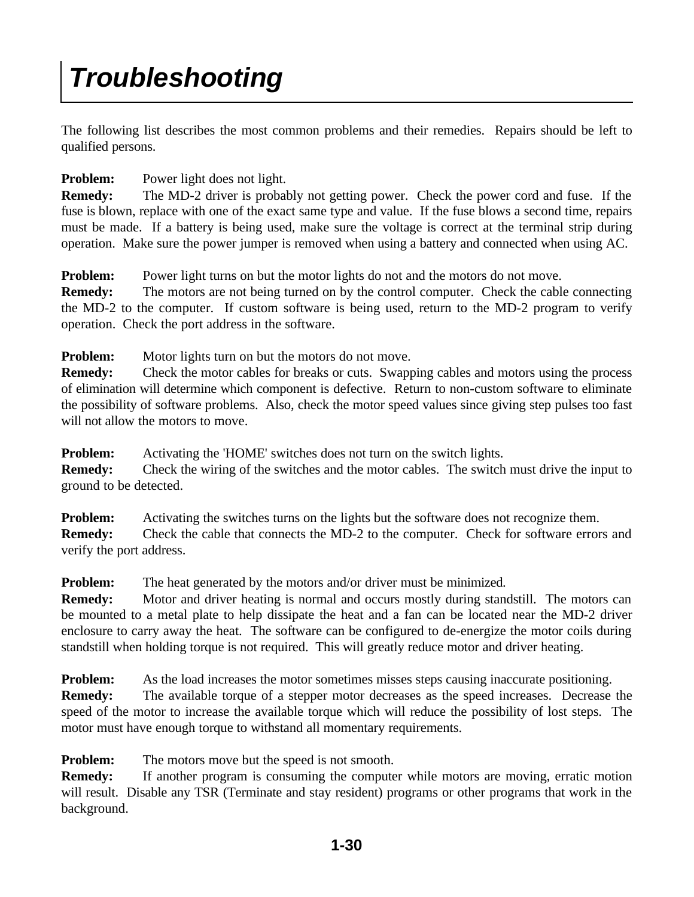### *Troubleshooting*

The following list describes the most common problems and their remedies. Repairs should be left to qualified persons.

#### **Problem:** Power light does not light.

**Remedy:** The MD-2 driver is probably not getting power. Check the power cord and fuse. If the fuse is blown, replace with one of the exact same type and value. If the fuse blows a second time, repairs must be made. If a battery is being used, make sure the voltage is correct at the terminal strip during operation. Make sure the power jumper is removed when using a battery and connected when using AC.

**Problem:** Power light turns on but the motor lights do not and the motors do not move.

**Remedy:** The motors are not being turned on by the control computer. Check the cable connecting the MD-2 to the computer. If custom software is being used, return to the MD-2 program to verify operation. Check the port address in the software.

**Problem:** Motor lights turn on but the motors do not move.

**Remedy:** Check the motor cables for breaks or cuts. Swapping cables and motors using the process of elimination will determine which component is defective. Return to non-custom software to eliminate the possibility of software problems. Also, check the motor speed values since giving step pulses too fast will not allow the motors to move.

**Problem:** Activating the 'HOME' switches does not turn on the switch lights. **Remedy:** Check the wiring of the switches and the motor cables. The switch must drive the input to ground to be detected.

**Problem:** Activating the switches turns on the lights but the software does not recognize them. **Remedy:** Check the cable that connects the MD-2 to the computer. Check for software errors and verify the port address.

**Problem:** The heat generated by the motors and/or driver must be minimized.

**Remedy:** Motor and driver heating is normal and occurs mostly during standstill. The motors can be mounted to a metal plate to help dissipate the heat and a fan can be located near the MD-2 driver enclosure to carry away the heat. The software can be configured to de-energize the motor coils during standstill when holding torque is not required. This will greatly reduce motor and driver heating.

**Problem:** As the load increases the motor sometimes misses steps causing inaccurate positioning.

**Remedy:** The available torque of a stepper motor decreases as the speed increases. Decrease the speed of the motor to increase the available torque which will reduce the possibility of lost steps. The motor must have enough torque to withstand all momentary requirements.

**Problem:** The motors move but the speed is not smooth.

**Remedy:** If another program is consuming the computer while motors are moving, erratic motion will result. Disable any TSR (Terminate and stay resident) programs or other programs that work in the background.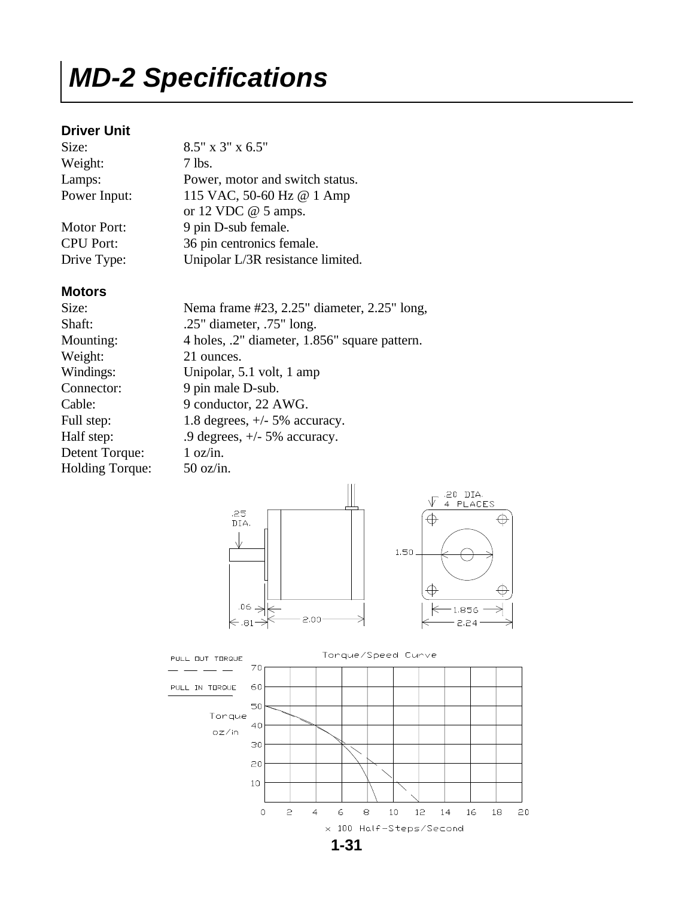### *MD-2 Specifications*

#### **Driver Unit**

| Size:              | $8.5"$ x 3" x 6.5"                |
|--------------------|-----------------------------------|
| Weight:            | 7 lbs.                            |
| Lamps:             | Power, motor and switch status.   |
| Power Input:       | 115 VAC, 50-60 Hz @ 1 Amp         |
|                    | or 12 VDC $@$ 5 amps.             |
| <b>Motor Port:</b> | 9 pin D-sub female.               |
| <b>CPU Port:</b>   | 36 pin centronics female.         |
| Drive Type:        | Unipolar L/3R resistance limited. |

#### **Motors**

| Size:                  | Nema frame #23, 2.25" diameter, 2.25" long,   |
|------------------------|-----------------------------------------------|
| Shaft:                 | .25" diameter, $.75$ " long.                  |
| Mounting:              | 4 holes, .2" diameter, 1.856" square pattern. |
| Weight:                | 21 ounces.                                    |
| Windings:              | Unipolar, 5.1 volt, 1 amp                     |
| Connector:             | 9 pin male D-sub.                             |
| Cable:                 | 9 conductor, 22 AWG.                          |
| Full step:             | 1.8 degrees, $+/-$ 5% accuracy.               |
| Half step:             | .9 degrees, $+/- 5\%$ accuracy.               |
| Detent Torque:         | 1 oz/in.                                      |
| <b>Holding Torque:</b> | $50 \text{ oz/in.}$                           |

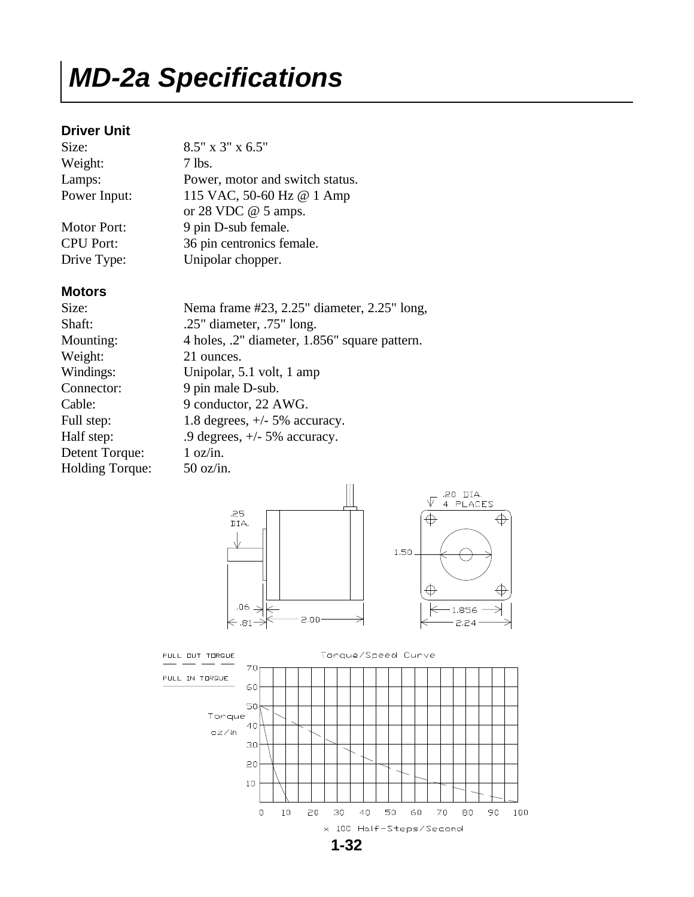#### *MD-2a Specifications*

#### **Driver Unit**

| Size:              | 8.5" x 3" x 6.5"                |
|--------------------|---------------------------------|
| Weight:            | 7 lbs.                          |
| Lamps:             | Power, motor and switch status. |
| Power Input:       | 115 VAC, 50-60 Hz @ 1 Amp       |
|                    | or 28 VDC $@$ 5 amps.           |
| <b>Motor Port:</b> | 9 pin D-sub female.             |
| <b>CPU Port:</b>   | 36 pin centronics female.       |
| Drive Type:        | Unipolar chopper.               |

#### **Motors**

| Size:                  | Nema frame #23, 2.25" diameter, 2.25" long,   |
|------------------------|-----------------------------------------------|
| Shaft:                 | .25" diameter, $.75$ " long.                  |
| Mounting:              | 4 holes, .2" diameter, 1.856" square pattern. |
| Weight:                | 21 ounces.                                    |
| Windings:              | Unipolar, 5.1 volt, 1 amp                     |
| Connector:             | 9 pin male D-sub.                             |
| Cable:                 | 9 conductor, 22 AWG.                          |
| Full step:             | 1.8 degrees, $+/-$ 5% accuracy.               |
| Half step:             | .9 degrees, $+/- 5\%$ accuracy.               |
| Detent Torque:         | 1 oz/in.                                      |
| <b>Holding Torque:</b> | $50 \text{ oz/in.}$                           |

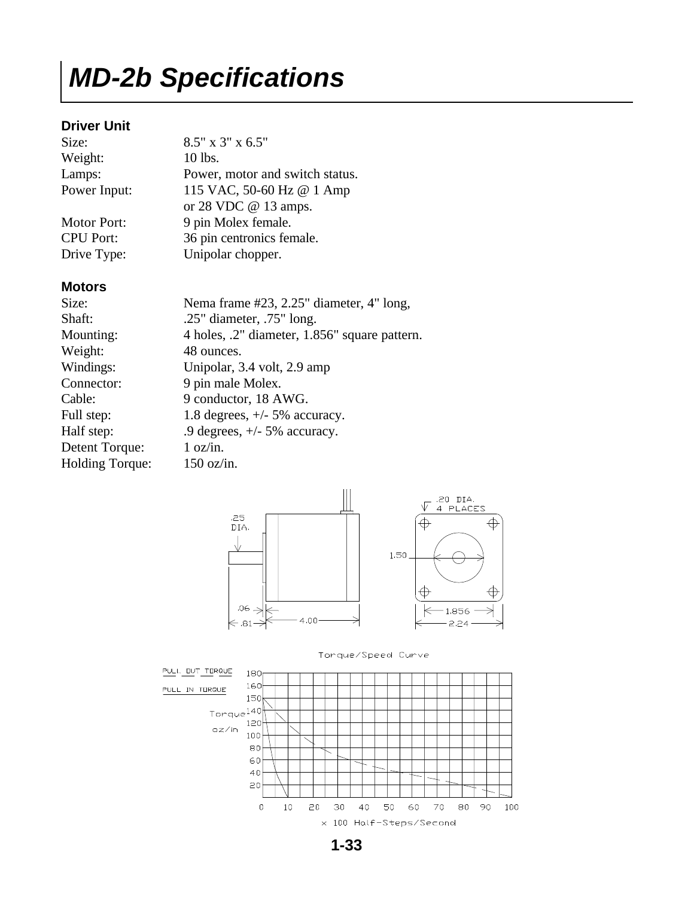#### *MD-2b Specifications*

#### **Driver Unit**

| 8.5" x 3" x 6.5"                |
|---------------------------------|
| 10 lbs.                         |
| Power, motor and switch status. |
| 115 VAC, 50-60 Hz @ 1 Amp       |
| or 28 VDC $@$ 13 amps.          |
| 9 pin Molex female.             |
| 36 pin centronics female.       |
|                                 |

Drive Type: Unipolar chopper.

#### **Motors**

| Size:                  | Nema frame #23, 2.25" diameter, 4" long,      |
|------------------------|-----------------------------------------------|
| Shaft:                 | .25" diameter, $.75$ " long.                  |
| Mounting:              | 4 holes, .2" diameter, 1.856" square pattern. |
| Weight:                | 48 ounces.                                    |
| Windings:              | Unipolar, 3.4 volt, 2.9 amp                   |
| Connector:             | 9 pin male Molex.                             |
| Cable:                 | 9 conductor, 18 AWG.                          |
| Full step:             | 1.8 degrees, $+/-$ 5% accuracy.               |
| Half step:             | .9 degrees, $+/- 5\%$ accuracy.               |
| Detent Torque:         | 1 oz/in.                                      |
| <b>Holding Torque:</b> | $150 \text{ oz/in.}$                          |







**1-33**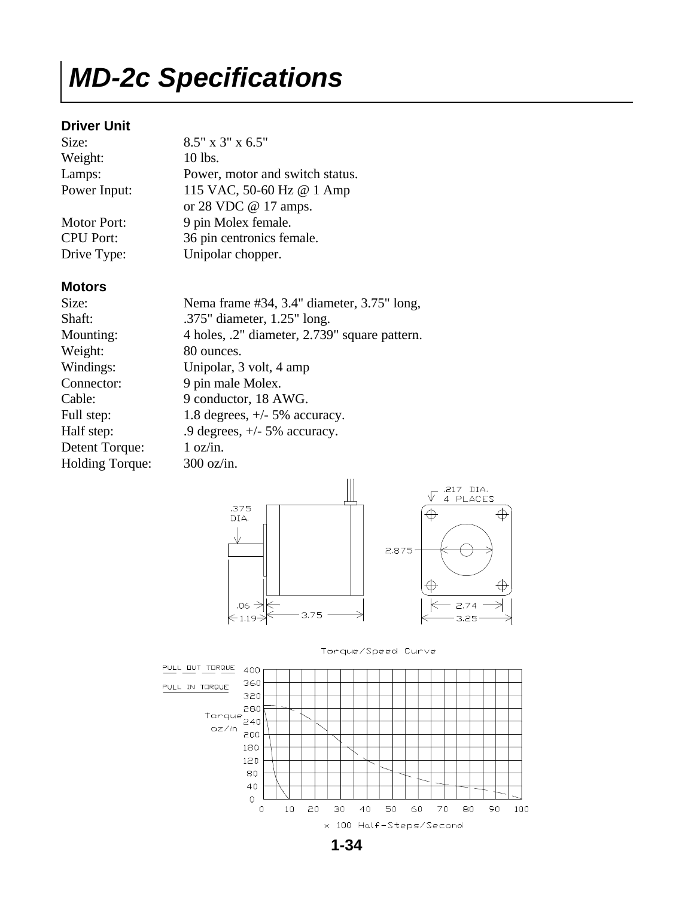#### *MD-2c Specifications*

#### **Driver Unit**

| Size:              | $8.5"$ x 3" x 6.5"              |
|--------------------|---------------------------------|
| Weight:            | 10 lbs.                         |
| Lamps:             | Power, motor and switch status. |
| Power Input:       | 115 VAC, 50-60 Hz @ 1 Amp       |
|                    | or 28 VDC $@$ 17 amps.          |
| <b>Motor Port:</b> | 9 pin Molex female.             |
| <b>CPU Port:</b>   | 36 pin centronics female.       |
| Drive Type:        | Unipolar chopper.               |

#### **Motors**

| Size:                  | Nema frame #34, 3.4" diameter, 3.75" long,    |
|------------------------|-----------------------------------------------|
| Shaft:                 | .375" diameter, 1.25" long.                   |
| Mounting:              | 4 holes, .2" diameter, 2.739" square pattern. |
| Weight:                | 80 ounces.                                    |
| Windings:              | Unipolar, 3 volt, 4 amp                       |
| Connector:             | 9 pin male Molex.                             |
| Cable:                 | 9 conductor, 18 AWG.                          |
| Full step:             | 1.8 degrees, $+/-$ 5% accuracy.               |
| Half step:             | .9 degrees, $+/- 5\%$ accuracy.               |
| Detent Torque:         | 1 oz/in.                                      |
| <b>Holding Torque:</b> | $300$ oz/in.                                  |







**1-34**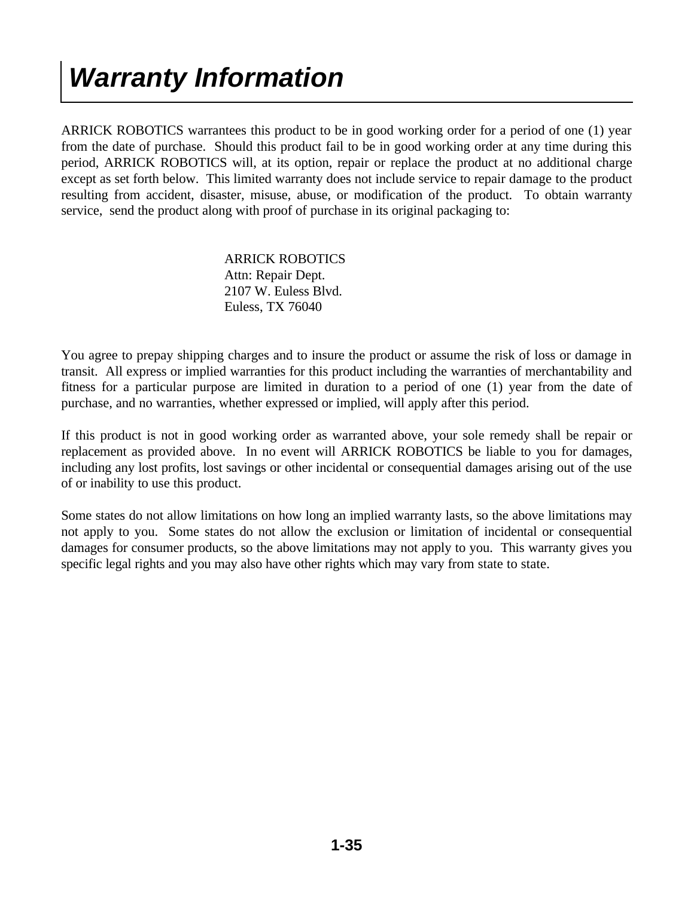### *Warranty Information*

ARRICK ROBOTICS warrantees this product to be in good working order for a period of one (1) year from the date of purchase. Should this product fail to be in good working order at any time during this period, ARRICK ROBOTICS will, at its option, repair or replace the product at no additional charge except as set forth below. This limited warranty does not include service to repair damage to the product resulting from accident, disaster, misuse, abuse, or modification of the product. To obtain warranty service, send the product along with proof of purchase in its original packaging to:

> ARRICK ROBOTICS Attn: Repair Dept. 2107 W. Euless Blvd. Euless, TX 76040

You agree to prepay shipping charges and to insure the product or assume the risk of loss or damage in transit. All express or implied warranties for this product including the warranties of merchantability and fitness for a particular purpose are limited in duration to a period of one (1) year from the date of purchase, and no warranties, whether expressed or implied, will apply after this period.

If this product is not in good working order as warranted above, your sole remedy shall be repair or replacement as provided above. In no event will ARRICK ROBOTICS be liable to you for damages, including any lost profits, lost savings or other incidental or consequential damages arising out of the use of or inability to use this product.

Some states do not allow limitations on how long an implied warranty lasts, so the above limitations may not apply to you. Some states do not allow the exclusion or limitation of incidental or consequential damages for consumer products, so the above limitations may not apply to you. This warranty gives you specific legal rights and you may also have other rights which may vary from state to state.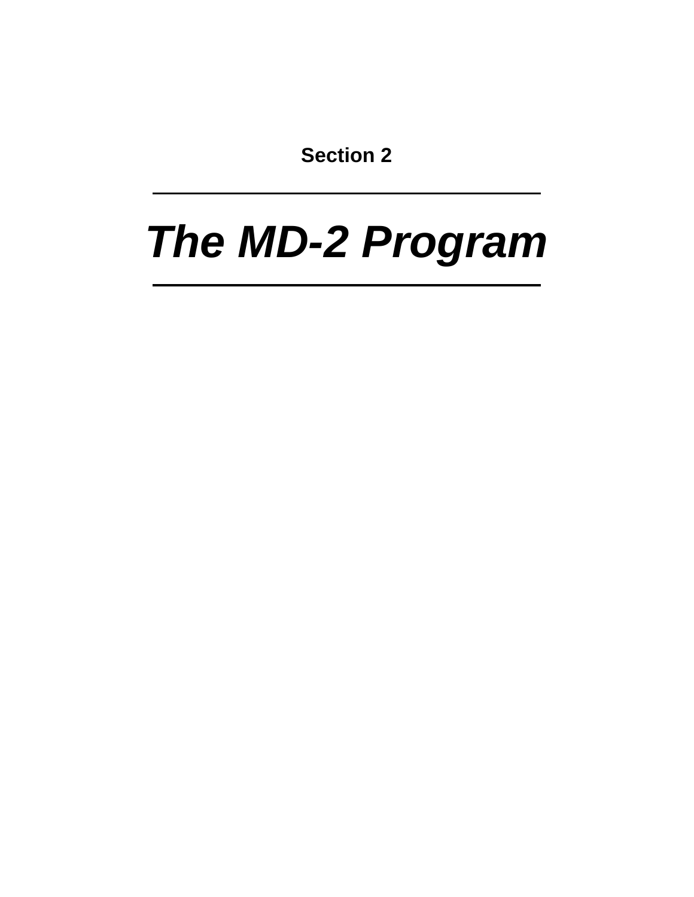**Section 2**

# *The MD-2 Program*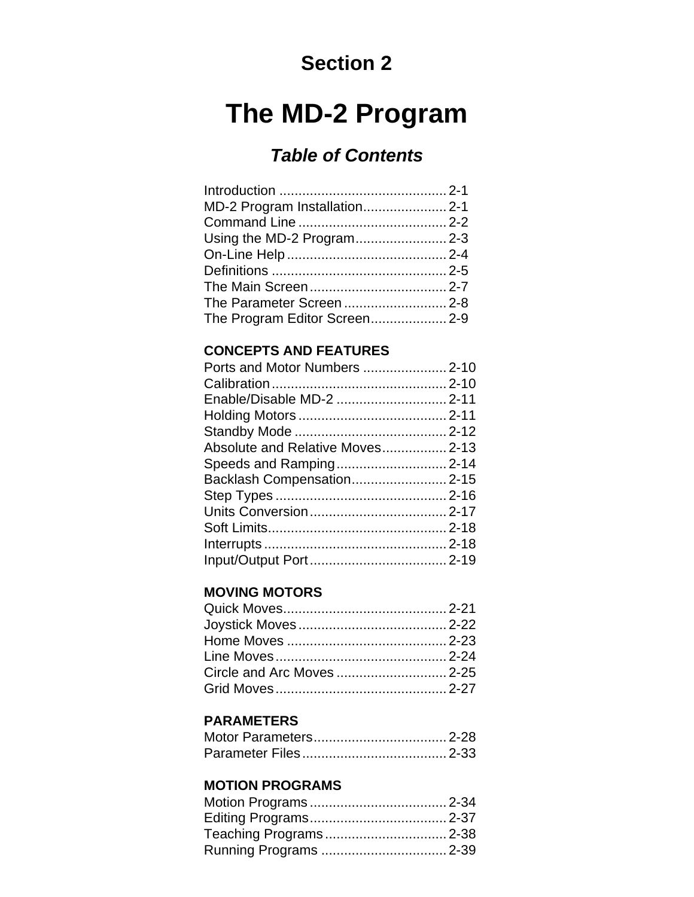#### **Section 2**

#### **The MD-2 Program**

#### *Table of Contents*

#### **CONCEPTS AND FEATURES**

| Enable/Disable MD-2  2-11       |  |
|---------------------------------|--|
|                                 |  |
|                                 |  |
| Absolute and Relative Moves2-13 |  |
| Speeds and Ramping 2-14         |  |
| Backlash Compensation2-15       |  |
|                                 |  |
|                                 |  |
|                                 |  |
|                                 |  |
|                                 |  |
|                                 |  |

#### **MOVING MOTORS**

#### **PARAMETERS**

#### **MOTION PROGRAMS**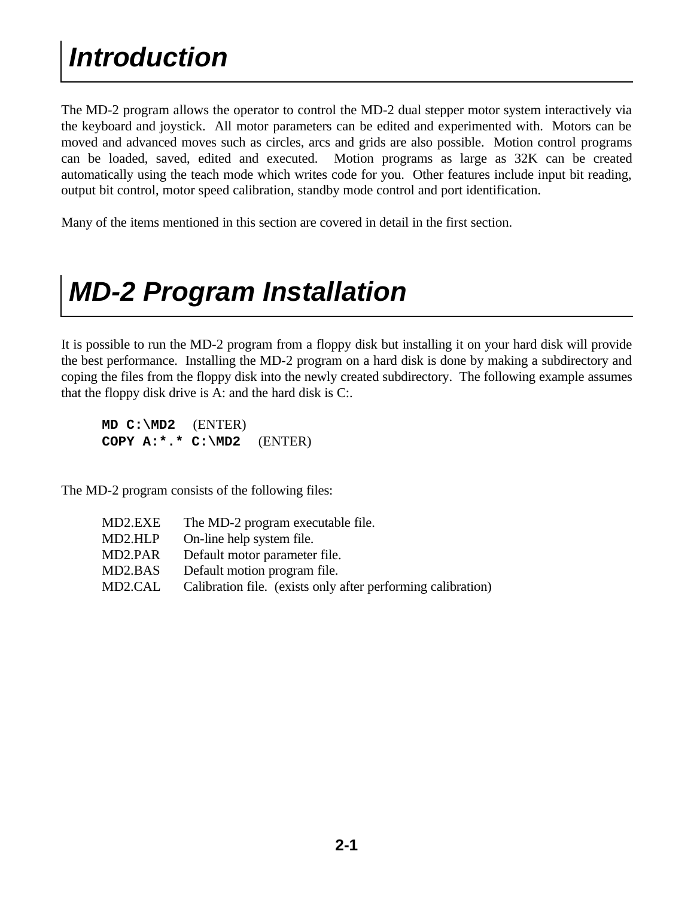The MD-2 program allows the operator to control the MD-2 dual stepper motor system interactively via the keyboard and joystick. All motor parameters can be edited and experimented with. Motors can be moved and advanced moves such as circles, arcs and grids are also possible. Motion control programs can be loaded, saved, edited and executed. Motion programs as large as 32K can be created automatically using the teach mode which writes code for you. Other features include input bit reading, output bit control, motor speed calibration, standby mode control and port identification.

Many of the items mentioned in this section are covered in detail in the first section.

### *MD-2 Program Installation*

It is possible to run the MD-2 program from a floppy disk but installing it on your hard disk will provide the best performance. Installing the MD-2 program on a hard disk is done by making a subdirectory and coping the files from the floppy disk into the newly created subdirectory. The following example assumes that the floppy disk drive is A: and the hard disk is C:.

 **MD C:\MD2** (ENTER) **COPY A:\*.\* C:\MD2** (ENTER)

The MD-2 program consists of the following files:

| MD2.EXE | The MD-2 program executable file.                            |
|---------|--------------------------------------------------------------|
| MD2.HLP | On-line help system file.                                    |
| MD2.PAR | Default motor parameter file.                                |
| MD2.BAS | Default motion program file.                                 |
| MD2.CAL | Calibration file. (exists only after performing calibration) |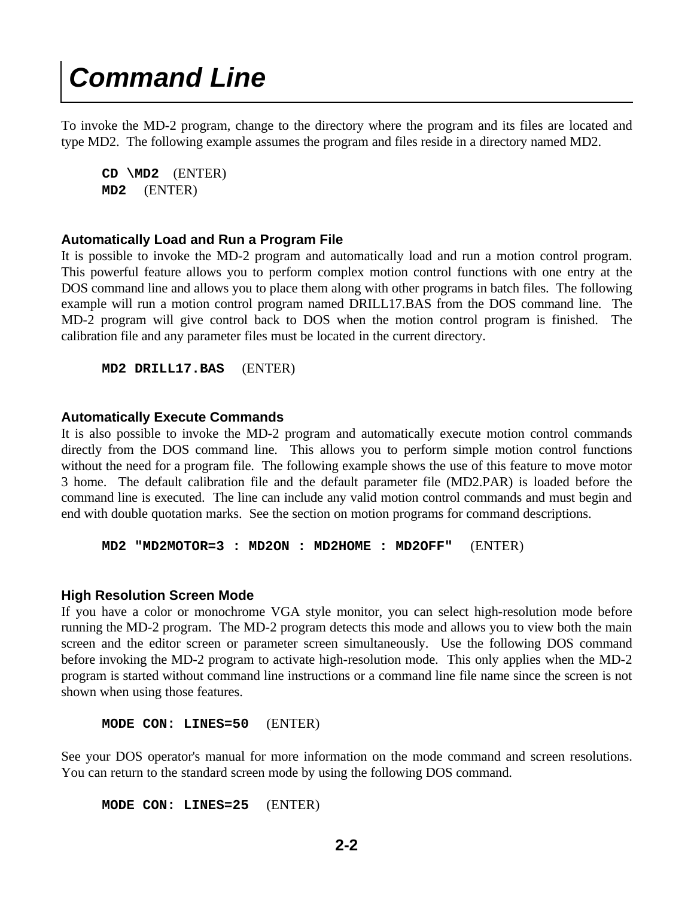#### *Command Line*

To invoke the MD-2 program, change to the directory where the program and its files are located and type MD2. The following example assumes the program and files reside in a directory named MD2.

 **CD \MD2** (ENTER) **MD2** (ENTER)

#### **Automatically Load and Run a Program File**

It is possible to invoke the MD-2 program and automatically load and run a motion control program. This powerful feature allows you to perform complex motion control functions with one entry at the DOS command line and allows you to place them along with other programs in batch files. The following example will run a motion control program named DRILL17.BAS from the DOS command line. The MD-2 program will give control back to DOS when the motion control program is finished. The calibration file and any parameter files must be located in the current directory.

**MD2 DRILL17.BAS** (ENTER)

#### **Automatically Execute Commands**

It is also possible to invoke the MD-2 program and automatically execute motion control commands directly from the DOS command line. This allows you to perform simple motion control functions without the need for a program file. The following example shows the use of this feature to move motor 3 home. The default calibration file and the default parameter file (MD2.PAR) is loaded before the command line is executed. The line can include any valid motion control commands and must begin and end with double quotation marks. See the section on motion programs for command descriptions.

**MD2 "MD2MOTOR=3 : MD2ON : MD2HOME : MD2OFF"** (ENTER)

#### **High Resolution Screen Mode**

If you have a color or monochrome VGA style monitor, you can select high-resolution mode before running the MD-2 program. The MD-2 program detects this mode and allows you to view both the main screen and the editor screen or parameter screen simultaneously. Use the following DOS command before invoking the MD-2 program to activate high-resolution mode. This only applies when the MD-2 program is started without command line instructions or a command line file name since the screen is not shown when using those features.

**MODE CON: LINES=50** (ENTER)

See your DOS operator's manual for more information on the mode command and screen resolutions. You can return to the standard screen mode by using the following DOS command.

**MODE CON: LINES=25** (ENTER)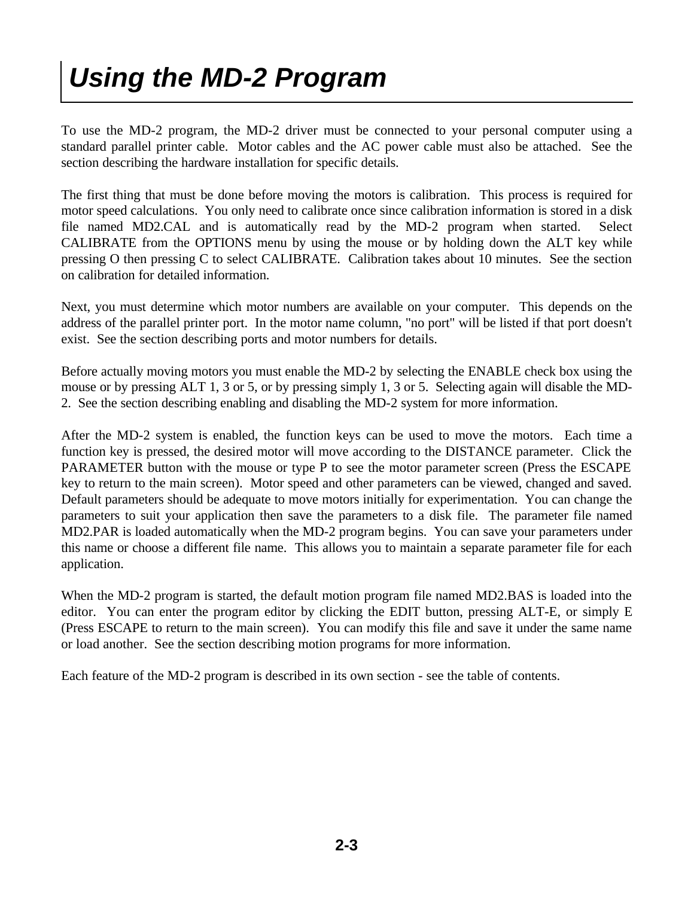# *Using the MD-2 Program*

To use the MD-2 program, the MD-2 driver must be connected to your personal computer using a standard parallel printer cable. Motor cables and the AC power cable must also be attached. See the section describing the hardware installation for specific details.

The first thing that must be done before moving the motors is calibration. This process is required for motor speed calculations. You only need to calibrate once since calibration information is stored in a disk file named MD2.CAL and is automatically read by the MD-2 program when started. Select CALIBRATE from the OPTIONS menu by using the mouse or by holding down the ALT key while pressing O then pressing C to select CALIBRATE. Calibration takes about 10 minutes. See the section on calibration for detailed information.

Next, you must determine which motor numbers are available on your computer. This depends on the address of the parallel printer port. In the motor name column, "no port" will be listed if that port doesn't exist. See the section describing ports and motor numbers for details.

Before actually moving motors you must enable the MD-2 by selecting the ENABLE check box using the mouse or by pressing ALT 1, 3 or 5, or by pressing simply 1, 3 or 5. Selecting again will disable the MD-2. See the section describing enabling and disabling the MD-2 system for more information.

After the MD-2 system is enabled, the function keys can be used to move the motors. Each time a function key is pressed, the desired motor will move according to the DISTANCE parameter. Click the PARAMETER button with the mouse or type P to see the motor parameter screen (Press the ESCAPE key to return to the main screen). Motor speed and other parameters can be viewed, changed and saved. Default parameters should be adequate to move motors initially for experimentation. You can change the parameters to suit your application then save the parameters to a disk file. The parameter file named MD2.PAR is loaded automatically when the MD-2 program begins. You can save your parameters under this name or choose a different file name. This allows you to maintain a separate parameter file for each application.

When the MD-2 program is started, the default motion program file named MD2.BAS is loaded into the editor. You can enter the program editor by clicking the EDIT button, pressing ALT-E, or simply E (Press ESCAPE to return to the main screen). You can modify this file and save it under the same name or load another. See the section describing motion programs for more information.

Each feature of the MD-2 program is described in its own section - see the table of contents.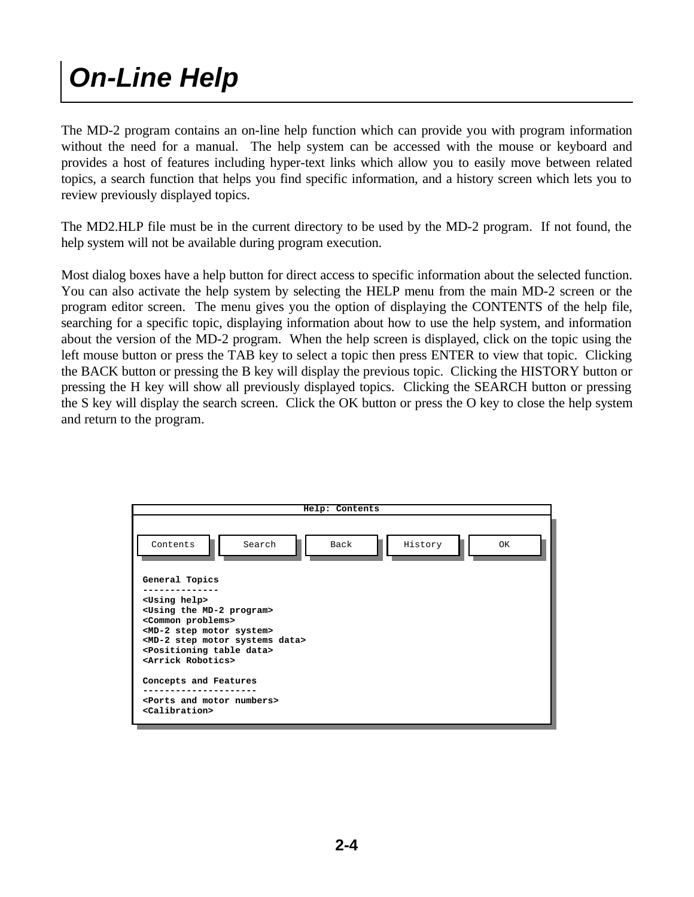# *On-Line Help*

The MD-2 program contains an on-line help function which can provide you with program information without the need for a manual. The help system can be accessed with the mouse or keyboard and provides a host of features including hyper-text links which allow you to easily move between related topics, a search function that helps you find specific information, and a history screen which lets you to review previously displayed topics.

The MD2.HLP file must be in the current directory to be used by the MD-2 program. If not found, the help system will not be available during program execution.

Most dialog boxes have a help button for direct access to specific information about the selected function. You can also activate the help system by selecting the HELP menu from the main MD-2 screen or the program editor screen. The menu gives you the option of displaying the CONTENTS of the help file, searching for a specific topic, displaying information about how to use the help system, and information about the version of the MD-2 program. When the help screen is displayed, click on the topic using the left mouse button or press the TAB key to select a topic then press ENTER to view that topic. Clicking the BACK button or pressing the B key will display the previous topic. Clicking the HISTORY button or pressing the H key will show all previously displayed topics. Clicking the SEARCH button or pressing the S key will display the search screen. Click the OK button or press the O key to close the help system and return to the program.

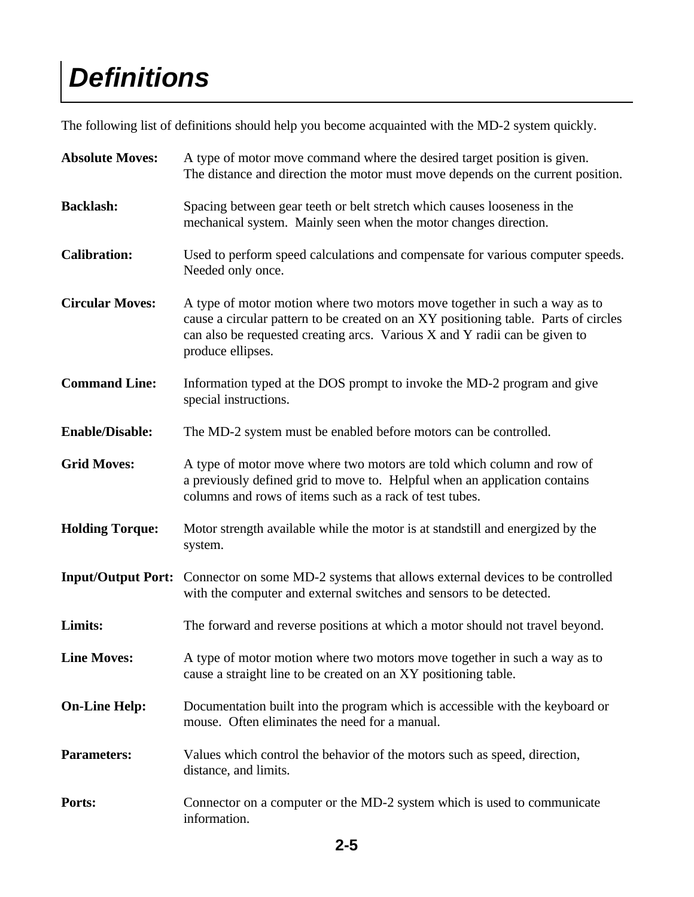# *Definitions*

The following list of definitions should help you become acquainted with the MD-2 system quickly.

| <b>Absolute Moves:</b> | A type of motor move command where the desired target position is given.<br>The distance and direction the motor must move depends on the current position.                                                                                                         |
|------------------------|---------------------------------------------------------------------------------------------------------------------------------------------------------------------------------------------------------------------------------------------------------------------|
| <b>Backlash:</b>       | Spacing between gear teeth or belt stretch which causes looseness in the<br>mechanical system. Mainly seen when the motor changes direction.                                                                                                                        |
| <b>Calibration:</b>    | Used to perform speed calculations and compensate for various computer speeds.<br>Needed only once.                                                                                                                                                                 |
| <b>Circular Moves:</b> | A type of motor motion where two motors move together in such a way as to<br>cause a circular pattern to be created on an XY positioning table. Parts of circles<br>can also be requested creating arcs. Various X and Y radii can be given to<br>produce ellipses. |
| <b>Command Line:</b>   | Information typed at the DOS prompt to invoke the MD-2 program and give<br>special instructions.                                                                                                                                                                    |
| <b>Enable/Disable:</b> | The MD-2 system must be enabled before motors can be controlled.                                                                                                                                                                                                    |
| <b>Grid Moves:</b>     | A type of motor move where two motors are told which column and row of<br>a previously defined grid to move to. Helpful when an application contains<br>columns and rows of items such as a rack of test tubes.                                                     |
| <b>Holding Torque:</b> | Motor strength available while the motor is at standstill and energized by the<br>system.                                                                                                                                                                           |
|                        | Input/Output Port: Connector on some MD-2 systems that allows external devices to be controlled<br>with the computer and external switches and sensors to be detected.                                                                                              |
| Limits:                | The forward and reverse positions at which a motor should not travel beyond.                                                                                                                                                                                        |
| <b>Line Moves:</b>     | A type of motor motion where two motors move together in such a way as to<br>cause a straight line to be created on an XY positioning table.                                                                                                                        |
| <b>On-Line Help:</b>   | Documentation built into the program which is accessible with the keyboard or<br>mouse. Often eliminates the need for a manual.                                                                                                                                     |
| <b>Parameters:</b>     | Values which control the behavior of the motors such as speed, direction,<br>distance, and limits.                                                                                                                                                                  |
| Ports:                 | Connector on a computer or the MD-2 system which is used to communicate<br>information.                                                                                                                                                                             |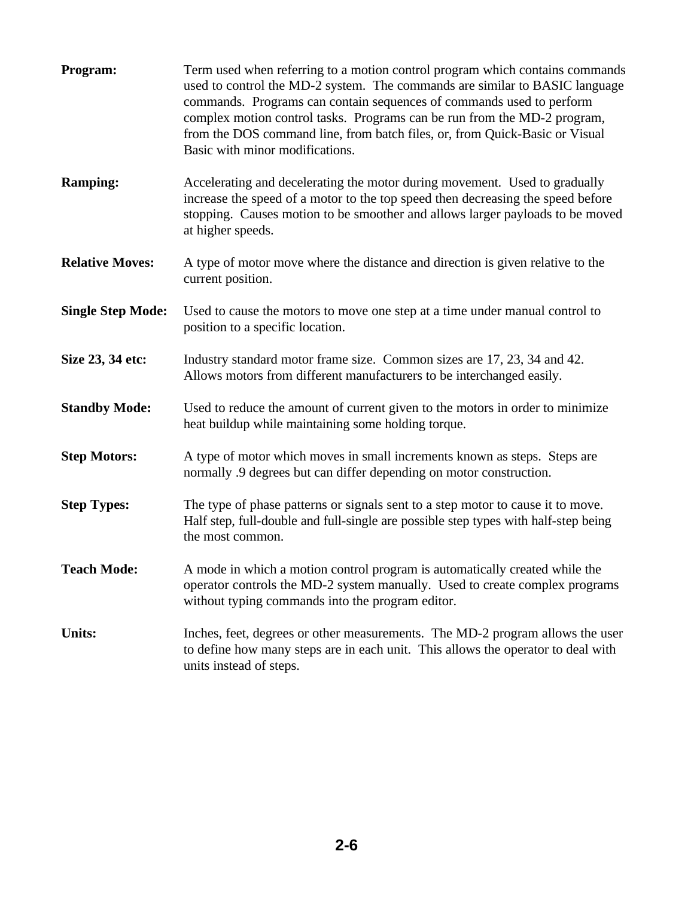| Program:                 | Term used when referring to a motion control program which contains commands<br>used to control the MD-2 system. The commands are similar to BASIC language<br>commands. Programs can contain sequences of commands used to perform<br>complex motion control tasks. Programs can be run from the MD-2 program,<br>from the DOS command line, from batch files, or, from Quick-Basic or Visual<br>Basic with minor modifications. |
|--------------------------|-----------------------------------------------------------------------------------------------------------------------------------------------------------------------------------------------------------------------------------------------------------------------------------------------------------------------------------------------------------------------------------------------------------------------------------|
| <b>Ramping:</b>          | Accelerating and decelerating the motor during movement. Used to gradually<br>increase the speed of a motor to the top speed then decreasing the speed before<br>stopping. Causes motion to be smoother and allows larger payloads to be moved<br>at higher speeds.                                                                                                                                                               |
| <b>Relative Moves:</b>   | A type of motor move where the distance and direction is given relative to the<br>current position.                                                                                                                                                                                                                                                                                                                               |
| <b>Single Step Mode:</b> | Used to cause the motors to move one step at a time under manual control to<br>position to a specific location.                                                                                                                                                                                                                                                                                                                   |
| Size 23, 34 etc:         | Industry standard motor frame size. Common sizes are 17, 23, 34 and 42.<br>Allows motors from different manufacturers to be interchanged easily.                                                                                                                                                                                                                                                                                  |
| <b>Standby Mode:</b>     | Used to reduce the amount of current given to the motors in order to minimize<br>heat buildup while maintaining some holding torque.                                                                                                                                                                                                                                                                                              |
| <b>Step Motors:</b>      | A type of motor which moves in small increments known as steps. Steps are<br>normally .9 degrees but can differ depending on motor construction.                                                                                                                                                                                                                                                                                  |
| <b>Step Types:</b>       | The type of phase patterns or signals sent to a step motor to cause it to move.<br>Half step, full-double and full-single are possible step types with half-step being<br>the most common.                                                                                                                                                                                                                                        |
| <b>Teach Mode:</b>       | A mode in which a motion control program is automatically created while the<br>operator controls the MD-2 system manually. Used to create complex programs<br>without typing commands into the program editor.                                                                                                                                                                                                                    |
| <b>Units:</b>            | Inches, feet, degrees or other measurements. The MD-2 program allows the user<br>to define how many steps are in each unit. This allows the operator to deal with<br>units instead of steps.                                                                                                                                                                                                                                      |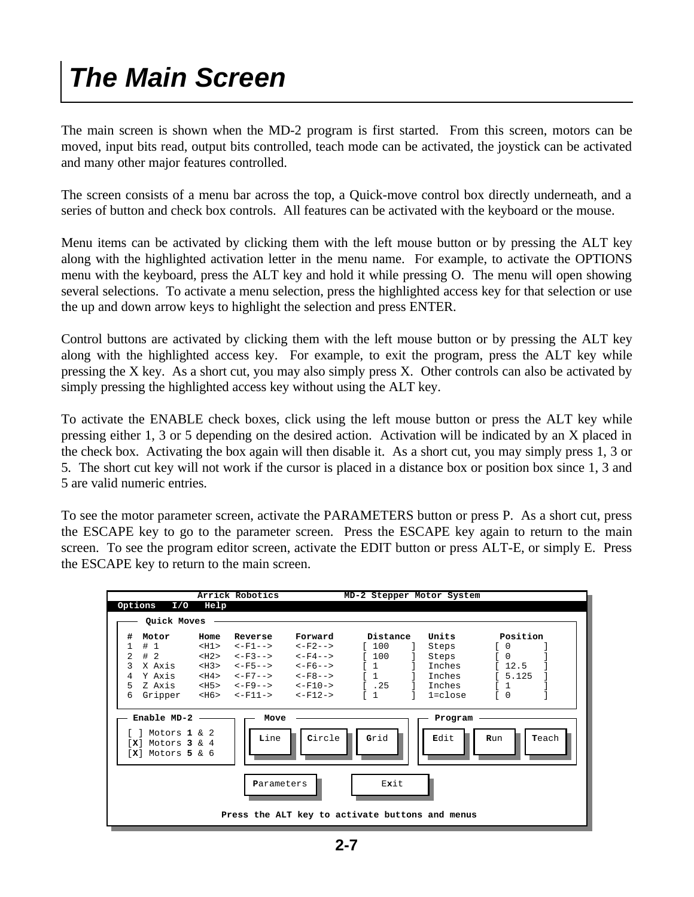### *The Main Screen*

The main screen is shown when the MD-2 program is first started. From this screen, motors can be moved, input bits read, output bits controlled, teach mode can be activated, the joystick can be activated and many other major features controlled.

The screen consists of a menu bar across the top, a Quick-move control box directly underneath, and a series of button and check box controls. All features can be activated with the keyboard or the mouse.

Menu items can be activated by clicking them with the left mouse button or by pressing the ALT key along with the highlighted activation letter in the menu name. For example, to activate the OPTIONS menu with the keyboard, press the ALT key and hold it while pressing O. The menu will open showing several selections. To activate a menu selection, press the highlighted access key for that selection or use the up and down arrow keys to highlight the selection and press ENTER.

Control buttons are activated by clicking them with the left mouse button or by pressing the ALT key along with the highlighted access key. For example, to exit the program, press the ALT key while pressing the X key. As a short cut, you may also simply press X. Other controls can also be activated by simply pressing the highlighted access key without using the ALT key.

To activate the ENABLE check boxes, click using the left mouse button or press the ALT key while pressing either 1, 3 or 5 depending on the desired action. Activation will be indicated by an X placed in the check box. Activating the box again will then disable it. As a short cut, you may simply press 1, 3 or 5. The short cut key will not work if the cursor is placed in a distance box or position box since 1, 3 and 5 are valid numeric entries.

To see the motor parameter screen, activate the PARAMETERS button or press P. As a short cut, press the ESCAPE key to go to the parameter screen. Press the ESCAPE key again to return to the main screen. To see the program editor screen, activate the EDIT button or press ALT-E, or simply E. Press the ESCAPE key to return to the main screen.

|         |                                                                                                |            | Arrick Robotics |                                                            | MD-2 Stepper Motor System                                                                                                                                                                                                                                                                                                                                                                                                    |                 |                                   |
|---------|------------------------------------------------------------------------------------------------|------------|-----------------|------------------------------------------------------------|------------------------------------------------------------------------------------------------------------------------------------------------------------------------------------------------------------------------------------------------------------------------------------------------------------------------------------------------------------------------------------------------------------------------------|-----------------|-----------------------------------|
| Options | I/O                                                                                            | Help       |                 |                                                            |                                                                                                                                                                                                                                                                                                                                                                                                                              |                 |                                   |
|         | Quick Moves                                                                                    |            |                 |                                                            |                                                                                                                                                                                                                                                                                                                                                                                                                              |                 |                                   |
| #       | Motor                                                                                          | Home       | Reverse         | Forward                                                    | Distance                                                                                                                                                                                                                                                                                                                                                                                                                     | Units           | Position                          |
| 1       | #1                                                                                             | $<$ H $1>$ |                 | $\leftarrow F1- \leftarrow F2--$                           | $[100$                                                                                                                                                                                                                                                                                                                                                                                                                       | Steps           | $\begin{bmatrix} 0 \end{bmatrix}$ |
| 2       | #2                                                                                             | $<$ H2>    |                 | $<-F3-->$ $<-F4-->$                                        | $\sqrt{200}$                                                                                                                                                                                                                                                                                                                                                                                                                 | Steps           | $\begin{bmatrix} 0 \end{bmatrix}$ |
| ς       | X Axis                                                                                         | $<$ H3>    |                 |                                                            | $\sqrt{1}$                                                                                                                                                                                                                                                                                                                                                                                                                   | Inches          | 12.5                              |
| 4       | Y Axis                                                                                         |            |                 | $\textrm{<}H4$ > $\textrm{<} -F7$ --> $\textrm{<} -F8$ --> | $\begin{array}{ccc} \text{1} & \text{1} & \text{1} & \text{1} & \text{1} & \text{1} & \text{1} & \text{1} & \text{1} & \text{1} & \text{1} & \text{1} & \text{1} & \text{1} & \text{1} & \text{1} & \text{1} & \text{1} & \text{1} & \text{1} & \text{1} & \text{1} & \text{1} & \text{1} & \text{1} & \text{1} & \text{1} & \text{1} & \text{1} & \text{1} & \text{1} & \text{1} & \text{1} & \text{1} & \text{1} & \text{$ | Inches          | 5.125                             |
| 5       | Z Axis                                                                                         |            |                 | $$\texttt{}$$ $$\texttt{<-F9-->}$$ $$\texttt{<-F10->}$}$   | 1.25                                                                                                                                                                                                                                                                                                                                                                                                                         | Inches          | $\mathbf{1}$                      |
| 6       | Gripper                                                                                        |            |                 | <h6> &lt;-F11-&gt; &lt;-F12-&gt;</h6>                      | ſ1                                                                                                                                                                                                                                                                                                                                                                                                                           | $1 = c \cdot c$ | $\begin{bmatrix} 0 \end{bmatrix}$ |
|         |                                                                                                |            |                 |                                                            |                                                                                                                                                                                                                                                                                                                                                                                                                              |                 |                                   |
|         | Enable $MD-2$ $\longrightarrow$<br>Motors $1 \& 2$<br>$[X]$ Motors 3 & 4<br>$[X]$ Motors 5 & 6 |            | Move<br>Line    | Circle                                                     | Grid                                                                                                                                                                                                                                                                                                                                                                                                                         | Program<br>Edit | Teach<br>Run                      |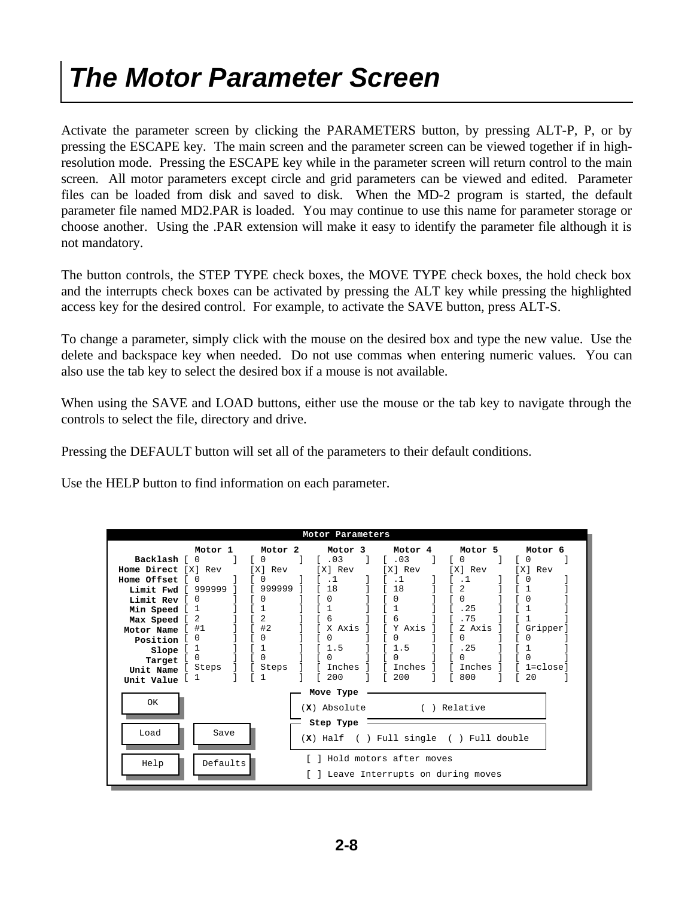### *The Motor Parameter Screen*

Activate the parameter screen by clicking the PARAMETERS button, by pressing ALT-P, P, or by pressing the ESCAPE key. The main screen and the parameter screen can be viewed together if in highresolution mode. Pressing the ESCAPE key while in the parameter screen will return control to the main screen. All motor parameters except circle and grid parameters can be viewed and edited. Parameter files can be loaded from disk and saved to disk. When the MD-2 program is started, the default parameter file named MD2.PAR is loaded. You may continue to use this name for parameter storage or choose another. Using the .PAR extension will make it easy to identify the parameter file although it is not mandatory.

The button controls, the STEP TYPE check boxes, the MOVE TYPE check boxes, the hold check box and the interrupts check boxes can be activated by pressing the ALT key while pressing the highlighted access key for the desired control. For example, to activate the SAVE button, press ALT-S.

To change a parameter, simply click with the mouse on the desired box and type the new value. Use the delete and backspace key when needed. Do not use commas when entering numeric values. You can also use the tab key to select the desired box if a mouse is not available.

When using the SAVE and LOAD buttons, either use the mouse or the tab key to navigate through the controls to select the file, directory and drive.

Pressing the DEFAULT button will set all of the parameters to their default conditions.

Use the HELP button to find information on each parameter.

| Motor Parameters |              |                    |                                            |                         |           |                |
|------------------|--------------|--------------------|--------------------------------------------|-------------------------|-----------|----------------|
|                  | Motor 1      | Motor <sub>2</sub> | Motor 3                                    | Motor 4                 | Motor 5   | Motor 6        |
| Backlash [       | $\Omega$     | 0                  | .03<br>ſ.                                  | .03                     | $\Omega$  | 0              |
| Home Direct      | [X] Rev      | [X]<br>Rev         | [X] Rev                                    | [X] Rev                 | [X] Rev   | [X]<br>Rev     |
| Home Offset      |              |                    | . 1                                        | $\cdot$ 1               | $\cdot$ 1 |                |
| Limit Fwd        | 999999       | 999999             | 18                                         | 18                      |           |                |
| Limit Rev        | 0            |                    |                                            | O                       | U         | $\Omega$       |
| Min Speed [      |              |                    |                                            |                         | .25       |                |
| Max Speed L      | 2            | 2                  | 6                                          | 6                       | .75       |                |
| Motor Name       | #1           | #2                 | X Axis                                     | Y Axis                  | Z Axis    | Gripper]       |
| Position         | <sup>0</sup> |                    |                                            |                         | 0         | 0              |
| Slope            |              |                    | - 5                                        | . 5                     | 25        |                |
| Target           | 0            | 0                  |                                            |                         |           | 0              |
| Unit Name        | Steps        | [ Steps            | Inches                                     | Inches                  | Inches    | $1 = c \log c$ |
| Unit Value       |              |                    | 200                                        | 200                     | 800       | 20             |
|                  |              |                    | Move Type                                  |                         |           |                |
| OK               |              |                    |                                            |                         |           |                |
|                  |              |                    | (X) Absolute                               | ( ) Relative            |           |                |
|                  |              |                    | Step Type                                  |                         |           |                |
| Load             | Save         |                    | $(X)$ Half ( ) Full single ( ) Full double |                         |           |                |
|                  |              |                    |                                            |                         |           |                |
|                  |              |                    |                                            | Hold motors after moves |           |                |
| Help             | Defaults     |                    |                                            |                         |           |                |
|                  |              |                    | [ ] Leave Interrupts on during moves       |                         |           |                |
|                  |              |                    |                                            |                         |           |                |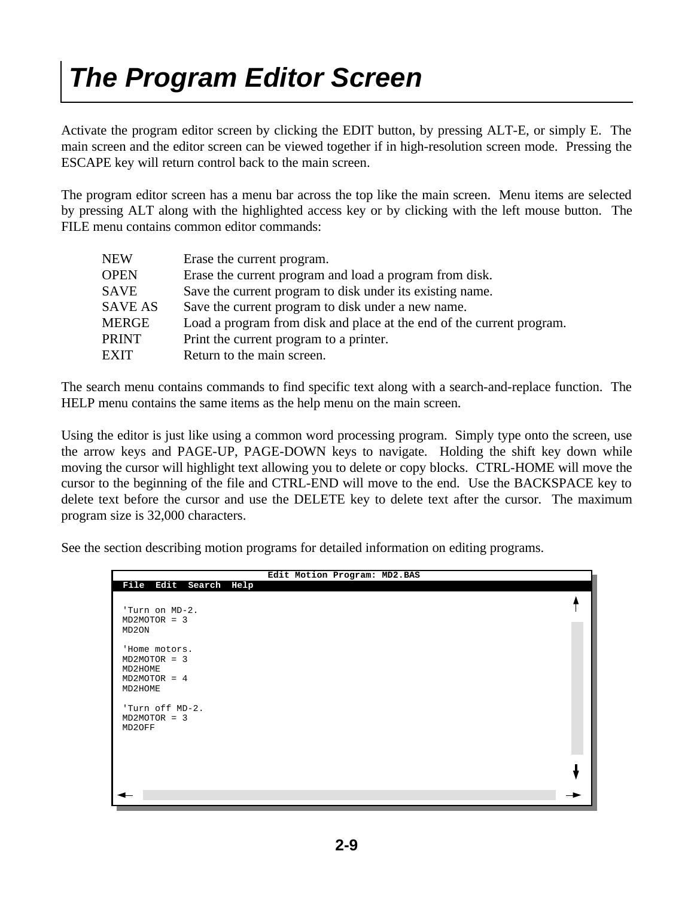### *The Program Editor Screen*

Activate the program editor screen by clicking the EDIT button, by pressing ALT-E, or simply E. The main screen and the editor screen can be viewed together if in high-resolution screen mode. Pressing the ESCAPE key will return control back to the main screen.

The program editor screen has a menu bar across the top like the main screen. Menu items are selected by pressing ALT along with the highlighted access key or by clicking with the left mouse button. The FILE menu contains common editor commands:

| <b>NEW</b>     | Erase the current program.                                            |
|----------------|-----------------------------------------------------------------------|
| <b>OPEN</b>    | Erase the current program and load a program from disk.               |
| <b>SAVE</b>    | Save the current program to disk under its existing name.             |
| <b>SAVE AS</b> | Save the current program to disk under a new name.                    |
| <b>MERGE</b>   | Load a program from disk and place at the end of the current program. |
| <b>PRINT</b>   | Print the current program to a printer.                               |
| <b>EXIT</b>    | Return to the main screen.                                            |

The search menu contains commands to find specific text along with a search-and-replace function. The HELP menu contains the same items as the help menu on the main screen.

Using the editor is just like using a common word processing program. Simply type onto the screen, use the arrow keys and PAGE-UP, PAGE-DOWN keys to navigate. Holding the shift key down while moving the cursor will highlight text allowing you to delete or copy blocks. CTRL-HOME will move the cursor to the beginning of the file and CTRL-END will move to the end. Use the BACKSPACE key to delete text before the cursor and use the DELETE key to delete text after the cursor. The maximum program size is 32,000 characters.

See the section describing motion programs for detailed information on editing programs.

|                                                                         | Edit Motion Program: MD2.BAS |  |
|-------------------------------------------------------------------------|------------------------------|--|
| File Edit Search Help                                                   |                              |  |
| 'Turn on MD-2.<br>$MD2MOTOR = 3$<br>MD2ON                               |                              |  |
| 'Home motors.<br>$MD2MOTOR = 3$<br>MD2HOME<br>$MD2MOTOR = 4$<br>MD2HOME |                              |  |
| 'Turn off MD-2.<br>$MD2MOTOR = 3$<br>MD2OFF                             |                              |  |
|                                                                         |                              |  |
|                                                                         |                              |  |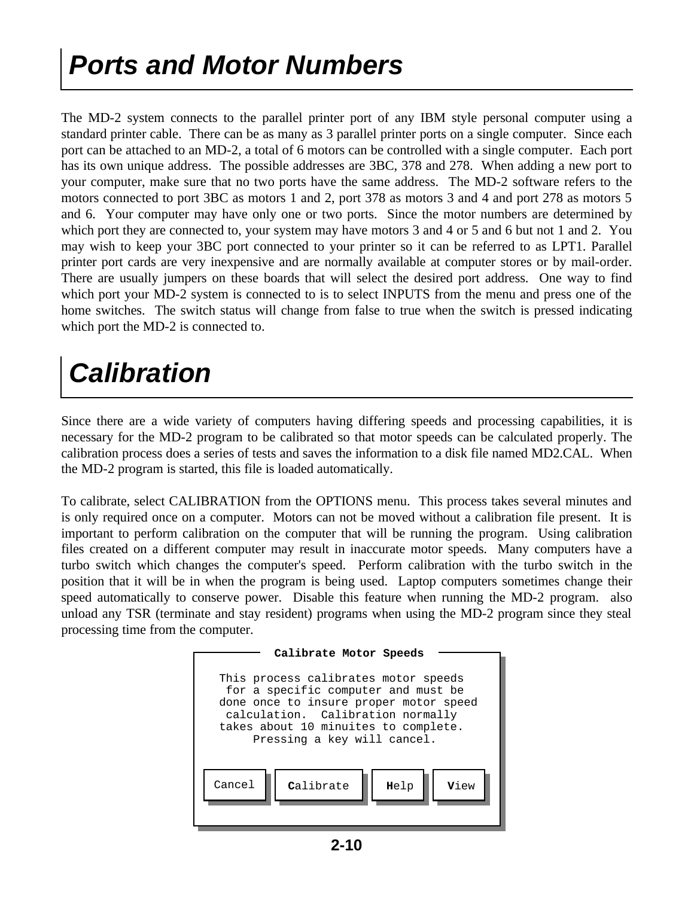### *Ports and Motor Numbers*

The MD-2 system connects to the parallel printer port of any IBM style personal computer using a standard printer cable. There can be as many as 3 parallel printer ports on a single computer. Since each port can be attached to an MD-2, a total of 6 motors can be controlled with a single computer. Each port has its own unique address. The possible addresses are 3BC, 378 and 278. When adding a new port to your computer, make sure that no two ports have the same address. The MD-2 software refers to the motors connected to port 3BC as motors 1 and 2, port 378 as motors 3 and 4 and port 278 as motors 5 and 6. Your computer may have only one or two ports. Since the motor numbers are determined by which port they are connected to, your system may have motors 3 and 4 or 5 and 6 but not 1 and 2. You may wish to keep your 3BC port connected to your printer so it can be referred to as LPT1. Parallel printer port cards are very inexpensive and are normally available at computer stores or by mail-order. There are usually jumpers on these boards that will select the desired port address. One way to find which port your MD-2 system is connected to is to select INPUTS from the menu and press one of the home switches. The switch status will change from false to true when the switch is pressed indicating which port the MD-2 is connected to.

### *Calibration*

Since there are a wide variety of computers having differing speeds and processing capabilities, it is necessary for the MD-2 program to be calibrated so that motor speeds can be calculated properly. The calibration process does a series of tests and saves the information to a disk file named MD2.CAL. When the MD-2 program is started, this file is loaded automatically.

To calibrate, select CALIBRATION from the OPTIONS menu. This process takes several minutes and is only required once on a computer. Motors can not be moved without a calibration file present. It is important to perform calibration on the computer that will be running the program. Using calibration files created on a different computer may result in inaccurate motor speeds. Many computers have a turbo switch which changes the computer's speed. Perform calibration with the turbo switch in the position that it will be in when the program is being used. Laptop computers sometimes change their speed automatically to conserve power. Disable this feature when running the MD-2 program. also unload any TSR (terminate and stay resident) programs when using the MD-2 program since they steal processing time from the computer.

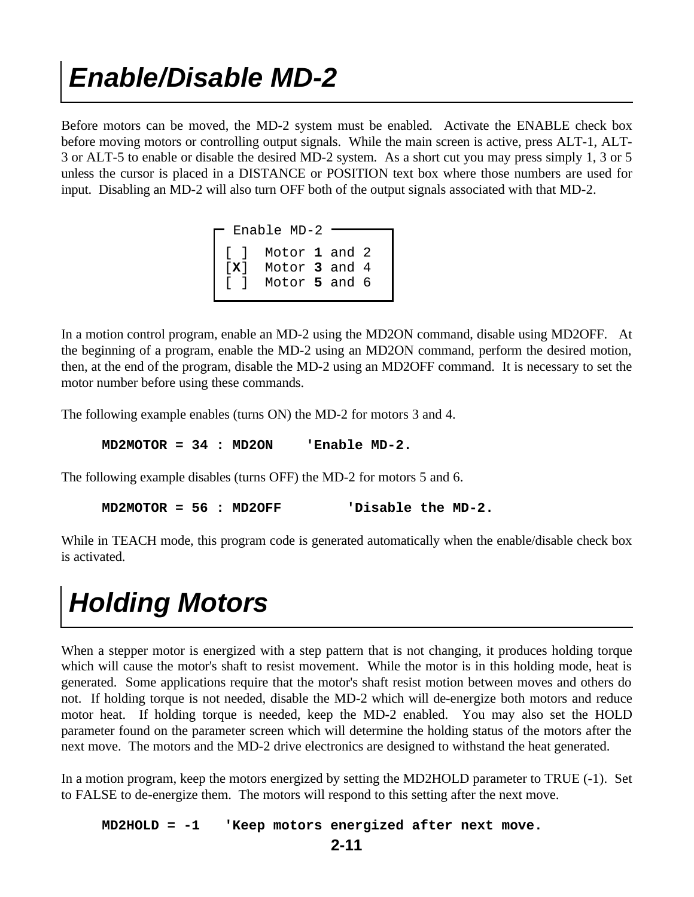#### *Enable/Disable MD-2*

Before motors can be moved, the MD-2 system must be enabled. Activate the ENABLE check box before moving motors or controlling output signals. While the main screen is active, press ALT-1, ALT-3 or ALT-5 to enable or disable the desired MD-2 system. As a short cut you may press simply 1, 3 or 5 unless the cursor is placed in a DISTANCE or POSITION text box where those numbers are used for input. Disabling an MD-2 will also turn OFF both of the output signals associated with that MD-2.

|  | $\Gamma$ Enable MD-2 $\blacksquare$                         |  |  |
|--|-------------------------------------------------------------|--|--|
|  | [ ] Motor 1 and 2<br>[X] Motor 3 and 4<br>[ ] Motor 5 and 6 |  |  |
|  |                                                             |  |  |
|  |                                                             |  |  |
|  |                                                             |  |  |

In a motion control program, enable an MD-2 using the MD2ON command, disable using MD2OFF. At the beginning of a program, enable the MD-2 using an MD2ON command, perform the desired motion, then, at the end of the program, disable the MD-2 using an MD2OFF command. It is necessary to set the motor number before using these commands.

The following example enables (turns ON) the MD-2 for motors 3 and 4.

 **MD2MOTOR = 34 : MD2ON 'Enable MD-2.**

The following example disables (turns OFF) the MD-2 for motors 5 and 6.

 **MD2MOTOR = 56 : MD2OFF 'Disable the MD-2.**

While in TEACH mode, this program code is generated automatically when the enable/disable check box is activated.

#### *Holding Motors*

When a stepper motor is energized with a step pattern that is not changing, it produces holding torque which will cause the motor's shaft to resist movement. While the motor is in this holding mode, heat is generated. Some applications require that the motor's shaft resist motion between moves and others do not. If holding torque is not needed, disable the MD-2 which will de-energize both motors and reduce motor heat. If holding torque is needed, keep the MD-2 enabled. You may also set the HOLD parameter found on the parameter screen which will determine the holding status of the motors after the next move. The motors and the MD-2 drive electronics are designed to withstand the heat generated.

In a motion program, keep the motors energized by setting the MD2HOLD parameter to TRUE (-1). Set to FALSE to de-energize them. The motors will respond to this setting after the next move.

 **MD2HOLD = -1 'Keep motors energized after next move.**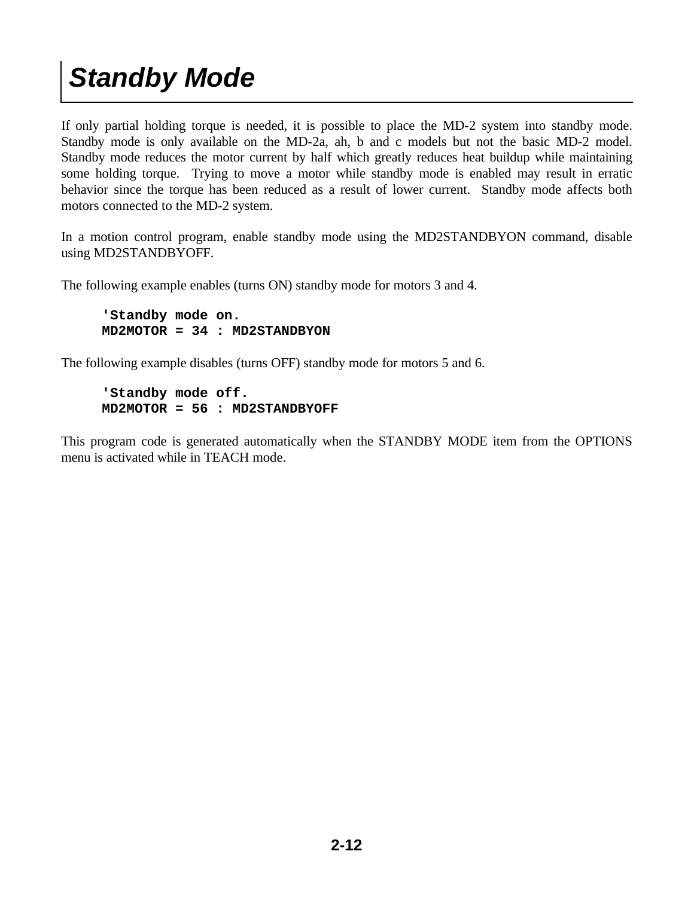### *Standby Mode*

If only partial holding torque is needed, it is possible to place the MD-2 system into standby mode. Standby mode is only available on the MD-2a, ah, b and c models but not the basic MD-2 model. Standby mode reduces the motor current by half which greatly reduces heat buildup while maintaining some holding torque. Trying to move a motor while standby mode is enabled may result in erratic behavior since the torque has been reduced as a result of lower current. Standby mode affects both motors connected to the MD-2 system.

In a motion control program, enable standby mode using the MD2STANDBYON command, disable using MD2STANDBYOFF.

The following example enables (turns ON) standby mode for motors 3 and 4.

 **'Standby mode on. MD2MOTOR = 34 : MD2STANDBYON**

The following example disables (turns OFF) standby mode for motors 5 and 6.

```
 'Standby mode off.
MD2MOTOR = 56 : MD2STANDBYOFF
```
This program code is generated automatically when the STANDBY MODE item from the OPTIONS menu is activated while in TEACH mode.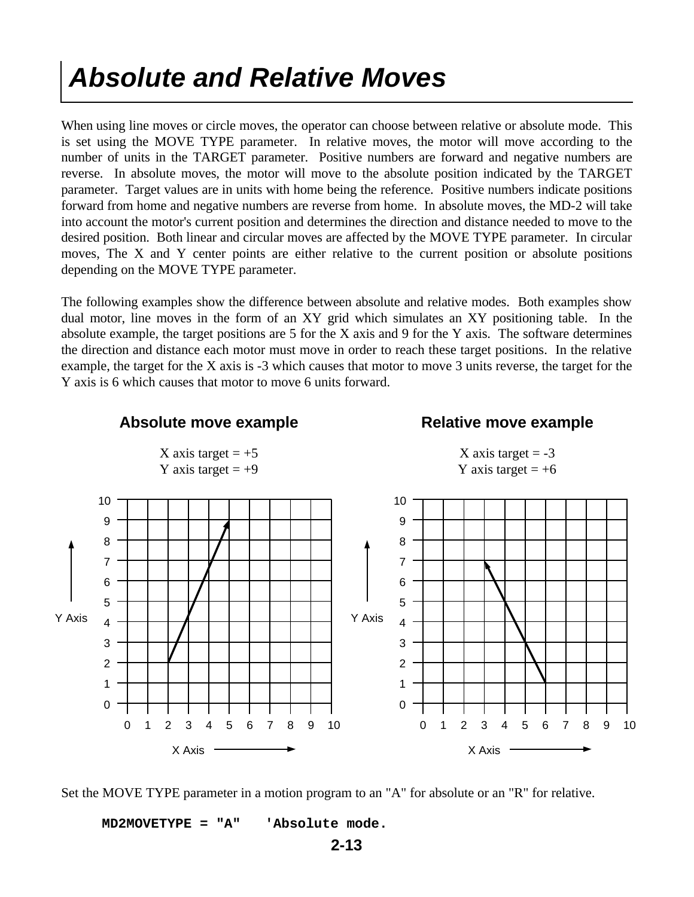#### *Absolute and Relative Moves*

When using line moves or circle moves, the operator can choose between relative or absolute mode. This is set using the MOVE TYPE parameter. In relative moves, the motor will move according to the number of units in the TARGET parameter. Positive numbers are forward and negative numbers are reverse. In absolute moves, the motor will move to the absolute position indicated by the TARGET parameter. Target values are in units with home being the reference. Positive numbers indicate positions forward from home and negative numbers are reverse from home. In absolute moves, the MD-2 will take into account the motor's current position and determines the direction and distance needed to move to the desired position. Both linear and circular moves are affected by the MOVE TYPE parameter. In circular moves, The X and Y center points are either relative to the current position or absolute positions depending on the MOVE TYPE parameter.

The following examples show the difference between absolute and relative modes. Both examples show dual motor, line moves in the form of an XY grid which simulates an XY positioning table. In the absolute example, the target positions are 5 for the X axis and 9 for the Y axis. The software determines the direction and distance each motor must move in order to reach these target positions. In the relative example, the target for the X axis is -3 which causes that motor to move 3 units reverse, the target for the Y axis is 6 which causes that motor to move 6 units forward.



Set the MOVE TYPE parameter in a motion program to an "A" for absolute or an "R" for relative.

 **MD2MOVETYPE = "A" 'Absolute mode.**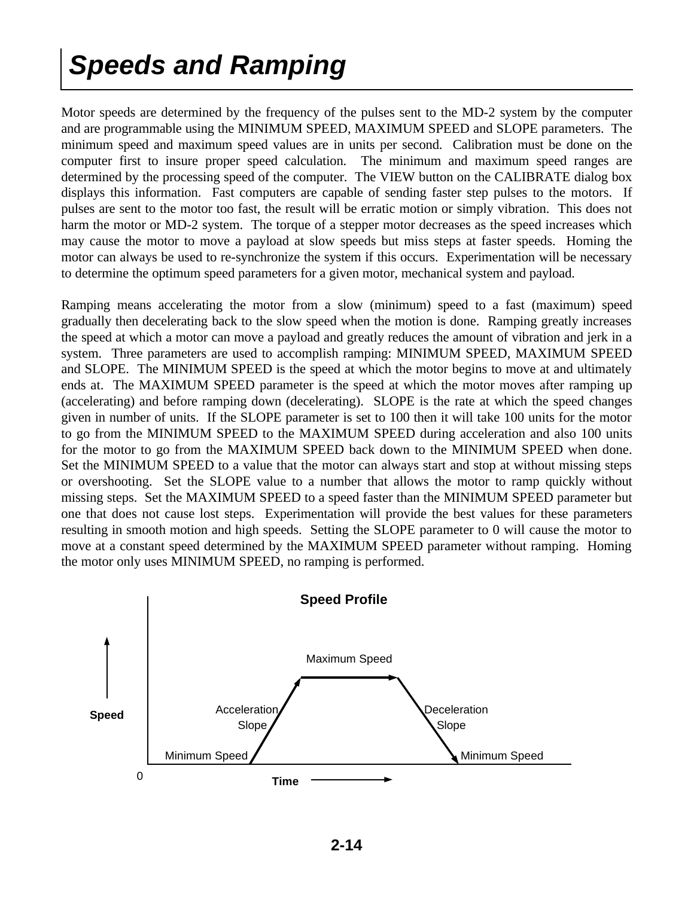### *Speeds and Ramping*

Motor speeds are determined by the frequency of the pulses sent to the MD-2 system by the computer and are programmable using the MINIMUM SPEED, MAXIMUM SPEED and SLOPE parameters. The minimum speed and maximum speed values are in units per second. Calibration must be done on the computer first to insure proper speed calculation. The minimum and maximum speed ranges are determined by the processing speed of the computer. The VIEW button on the CALIBRATE dialog box displays this information. Fast computers are capable of sending faster step pulses to the motors. If pulses are sent to the motor too fast, the result will be erratic motion or simply vibration. This does not harm the motor or MD-2 system. The torque of a stepper motor decreases as the speed increases which may cause the motor to move a payload at slow speeds but miss steps at faster speeds. Homing the motor can always be used to re-synchronize the system if this occurs. Experimentation will be necessary to determine the optimum speed parameters for a given motor, mechanical system and payload.

Ramping means accelerating the motor from a slow (minimum) speed to a fast (maximum) speed gradually then decelerating back to the slow speed when the motion is done. Ramping greatly increases the speed at which a motor can move a payload and greatly reduces the amount of vibration and jerk in a system. Three parameters are used to accomplish ramping: MINIMUM SPEED, MAXIMUM SPEED and SLOPE. The MINIMUM SPEED is the speed at which the motor begins to move at and ultimately ends at. The MAXIMUM SPEED parameter is the speed at which the motor moves after ramping up (accelerating) and before ramping down (decelerating). SLOPE is the rate at which the speed changes given in number of units. If the SLOPE parameter is set to 100 then it will take 100 units for the motor to go from the MINIMUM SPEED to the MAXIMUM SPEED during acceleration and also 100 units for the motor to go from the MAXIMUM SPEED back down to the MINIMUM SPEED when done. Set the MINIMUM SPEED to a value that the motor can always start and stop at without missing steps or overshooting. Set the SLOPE value to a number that allows the motor to ramp quickly without missing steps. Set the MAXIMUM SPEED to a speed faster than the MINIMUM SPEED parameter but one that does not cause lost steps. Experimentation will provide the best values for these parameters resulting in smooth motion and high speeds. Setting the SLOPE parameter to 0 will cause the motor to move at a constant speed determined by the MAXIMUM SPEED parameter without ramping. Homing the motor only uses MINIMUM SPEED, no ramping is performed.

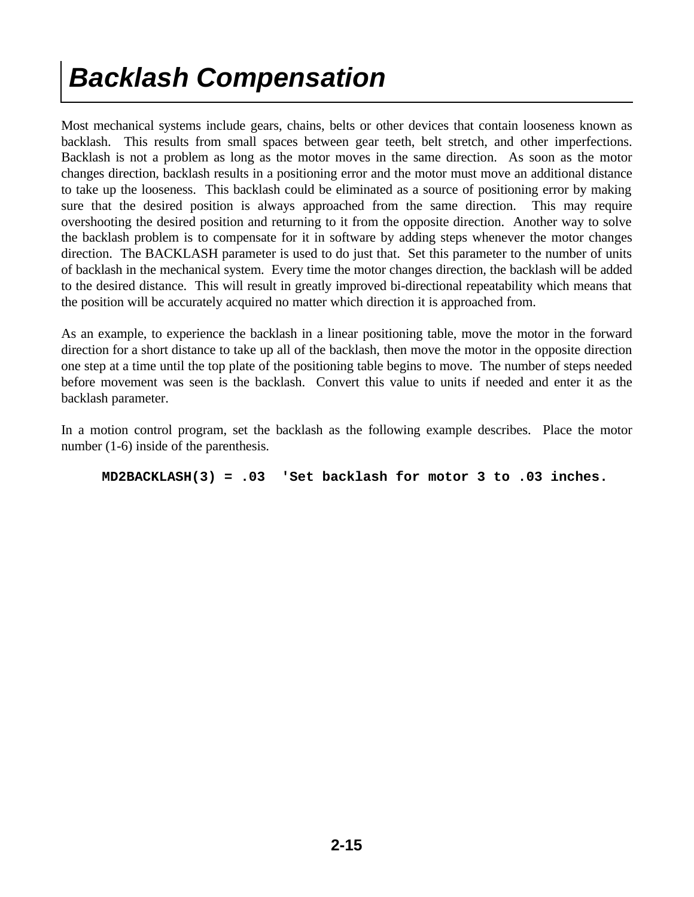### *Backlash Compensation*

Most mechanical systems include gears, chains, belts or other devices that contain looseness known as backlash. This results from small spaces between gear teeth, belt stretch, and other imperfections. Backlash is not a problem as long as the motor moves in the same direction. As soon as the motor changes direction, backlash results in a positioning error and the motor must move an additional distance to take up the looseness. This backlash could be eliminated as a source of positioning error by making sure that the desired position is always approached from the same direction. This may require overshooting the desired position and returning to it from the opposite direction. Another way to solve the backlash problem is to compensate for it in software by adding steps whenever the motor changes direction. The BACKLASH parameter is used to do just that. Set this parameter to the number of units of backlash in the mechanical system. Every time the motor changes direction, the backlash will be added to the desired distance. This will result in greatly improved bi-directional repeatability which means that the position will be accurately acquired no matter which direction it is approached from.

As an example, to experience the backlash in a linear positioning table, move the motor in the forward direction for a short distance to take up all of the backlash, then move the motor in the opposite direction one step at a time until the top plate of the positioning table begins to move. The number of steps needed before movement was seen is the backlash. Convert this value to units if needed and enter it as the backlash parameter.

In a motion control program, set the backlash as the following example describes. Place the motor number (1-6) inside of the parenthesis.

 **MD2BACKLASH(3) = .03 'Set backlash for motor 3 to .03 inches.**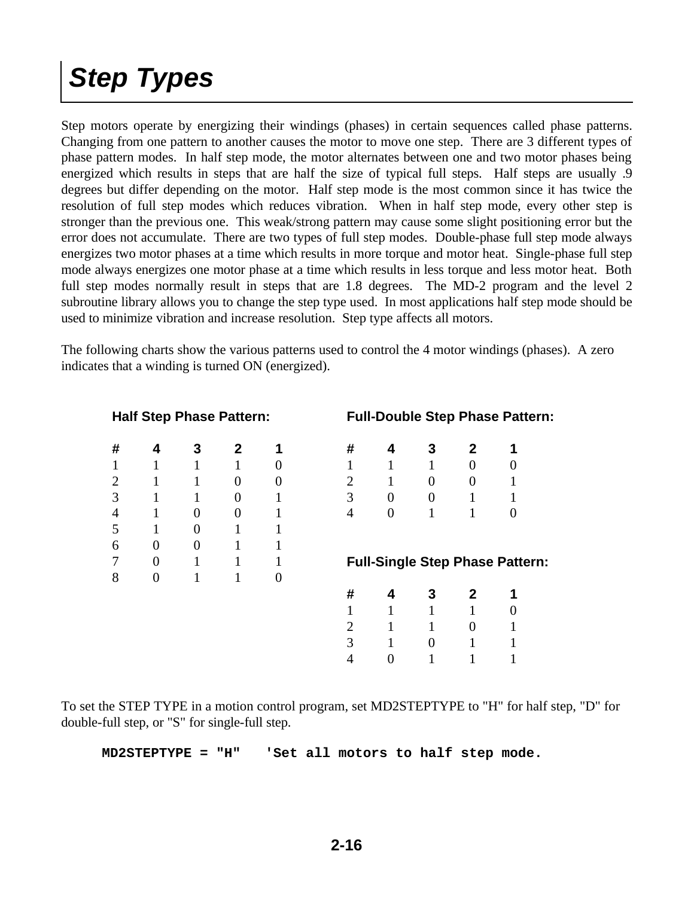# *Step Types*

Step motors operate by energizing their windings (phases) in certain sequences called phase patterns. Changing from one pattern to another causes the motor to move one step. There are 3 different types of phase pattern modes. In half step mode, the motor alternates between one and two motor phases being energized which results in steps that are half the size of typical full steps. Half steps are usually .9 degrees but differ depending on the motor. Half step mode is the most common since it has twice the resolution of full step modes which reduces vibration. When in half step mode, every other step is stronger than the previous one. This weak/strong pattern may cause some slight positioning error but the error does not accumulate. There are two types of full step modes. Double-phase full step mode always energizes two motor phases at a time which results in more torque and motor heat. Single-phase full step mode always energizes one motor phase at a time which results in less torque and less motor heat. Both full step modes normally result in steps that are 1.8 degrees. The MD-2 program and the level 2 subroutine library allows you to change the step type used. In most applications half step mode should be used to minimize vibration and increase resolution. Step type affects all motors.

The following charts show the various patterns used to control the 4 motor windings (phases). A zero indicates that a winding is turned ON (energized).

| <b>Half Step Phase Pattern:</b> |  |  |
|---------------------------------|--|--|
|---------------------------------|--|--|

| #                        | 4                | 3              | $\mathbf 2$    | 1                |
|--------------------------|------------------|----------------|----------------|------------------|
| $\mathbf{1}$             | $\mathbf{1}$     | $\mathbf{1}$   | $\mathbf{1}$   | $\boldsymbol{0}$ |
|                          | 1                | $\mathbf{1}$   | $\overline{0}$ | $\overline{0}$   |
| $\frac{2}{3}$            | 1                | $\mathbf{1}$   | $\overline{0}$ | $\mathbf{1}$     |
| $\overline{\mathcal{A}}$ | $\mathbf{1}$     | $\overline{0}$ | $\overline{0}$ | $\mathbf{1}$     |
| 5                        | 1                | $\overline{0}$ | 1              | 1                |
| 6                        | $\boldsymbol{0}$ | $\overline{0}$ | $\mathbf{1}$   | $\mathbf{1}$     |
| 7                        | $\boldsymbol{0}$ | 1              | 1              | 1                |
| 8                        | $\overline{0}$   | 1              | 1              | $\boldsymbol{0}$ |
|                          |                  |                |                |                  |
|                          |                  |                |                |                  |

#### **Full-Double Step Phase Pattern:**

| #              | 4 | 3        | $\mathbf{2}$ | 1              |
|----------------|---|----------|--------------|----------------|
| $\mathbf{1}$   | 1 | 1        | 0            | 0              |
| $\overline{c}$ |   | 0        | 0            | 1              |
| 3              | 0 | $\theta$ | 1            | 1              |
| 4              | 0 | 1        | 1            | $\overline{0}$ |

#### **Full-Single Step Phase Pattern:**

| #              | 4 | 3 | $\mathbf{2}$ | 1                |
|----------------|---|---|--------------|------------------|
| $\mathbf{1}$   | 1 | 1 | 1            | $\boldsymbol{0}$ |
| $\mathbf{2}$   | 1 | 1 | 0            | $\mathbf 1$      |
| 3              | 1 | 0 | 1            | $\mathbf 1$      |
| $\overline{4}$ | 0 | 1 | 1            | $\mathbf 1$      |

To set the STEP TYPE in a motion control program, set MD2STEPTYPE to "H" for half step, "D" for double-full step, or "S" for single-full step.

 **MD2STEPTYPE = "H" 'Set all motors to half step mode.**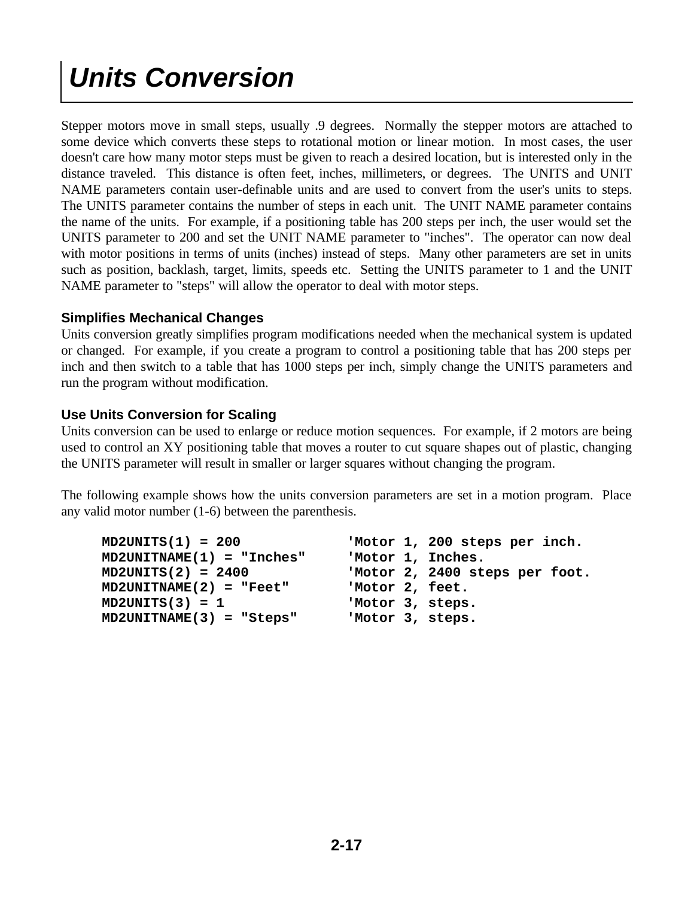# *Units Conversion*

Stepper motors move in small steps, usually .9 degrees. Normally the stepper motors are attached to some device which converts these steps to rotational motion or linear motion. In most cases, the user doesn't care how many motor steps must be given to reach a desired location, but is interested only in the distance traveled. This distance is often feet, inches, millimeters, or degrees. The UNITS and UNIT NAME parameters contain user-definable units and are used to convert from the user's units to steps. The UNITS parameter contains the number of steps in each unit. The UNIT NAME parameter contains the name of the units. For example, if a positioning table has 200 steps per inch, the user would set the UNITS parameter to 200 and set the UNIT NAME parameter to "inches". The operator can now deal with motor positions in terms of units (inches) instead of steps. Many other parameters are set in units such as position, backlash, target, limits, speeds etc. Setting the UNITS parameter to 1 and the UNIT NAME parameter to "steps" will allow the operator to deal with motor steps.

#### **Simplifies Mechanical Changes**

Units conversion greatly simplifies program modifications needed when the mechanical system is updated or changed. For example, if you create a program to control a positioning table that has 200 steps per inch and then switch to a table that has 1000 steps per inch, simply change the UNITS parameters and run the program without modification.

#### **Use Units Conversion for Scaling**

Units conversion can be used to enlarge or reduce motion sequences. For example, if 2 motors are being used to control an XY positioning table that moves a router to cut square shapes out of plastic, changing the UNITS parameter will result in smaller or larger squares without changing the program.

The following example shows how the units conversion parameters are set in a motion program. Place any valid motor number (1-6) between the parenthesis.

| $MD2UNITS(1) = 200$         |                   | 'Motor 1, 200 steps per inch.  |
|-----------------------------|-------------------|--------------------------------|
| $MD2UNITNAME(1) = "Inches"$ | 'Motor 1, Inches. |                                |
| $MD2UNITS(2) = 2400$        |                   | 'Motor 2, 2400 steps per foot. |
| $MD2UNITNAME(2) = "Feet"$   | 'Motor 2, feet.   |                                |
| $MD2UNITS(3) = 1$           | 'Motor 3, steps.  |                                |
| $MD2UNITNAME(3) = "Steps"$  | 'Motor 3, steps.  |                                |
|                             |                   |                                |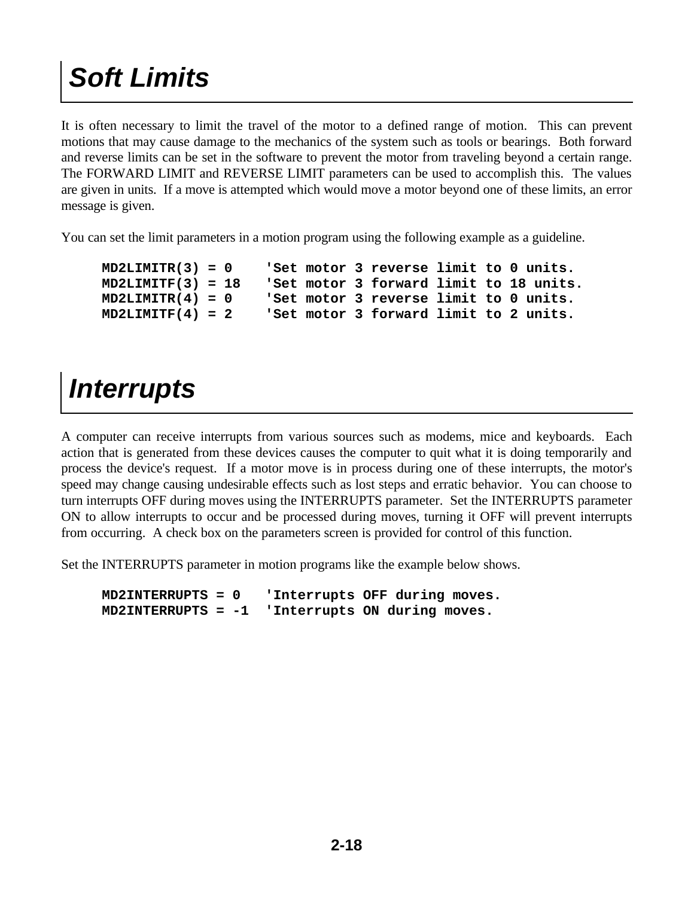# *Soft Limits*

It is often necessary to limit the travel of the motor to a defined range of motion. This can prevent motions that may cause damage to the mechanics of the system such as tools or bearings. Both forward and reverse limits can be set in the software to prevent the motor from traveling beyond a certain range. The FORWARD LIMIT and REVERSE LIMIT parameters can be used to accomplish this. The values are given in units. If a move is attempted which would move a motor beyond one of these limits, an error message is given.

You can set the limit parameters in a motion program using the following example as a guideline.

```
 MD2LIMITR(3) = 0 'Set motor 3 reverse limit to 0 units. 
MD2LIMITF(3) = 18 'Set motor 3 forward limit to 18 units. 
MD2LIMITR(4) = 0 'Set motor 3 reverse limit to 0 units. 
MD2LIMITF(4) = 2 'Set motor 3 forward limit to 2 units.
```
#### *Interrupts*

A computer can receive interrupts from various sources such as modems, mice and keyboards. Each action that is generated from these devices causes the computer to quit what it is doing temporarily and process the device's request. If a motor move is in process during one of these interrupts, the motor's speed may change causing undesirable effects such as lost steps and erratic behavior. You can choose to turn interrupts OFF during moves using the INTERRUPTS parameter. Set the INTERRUPTS parameter ON to allow interrupts to occur and be processed during moves, turning it OFF will prevent interrupts from occurring. A check box on the parameters screen is provided for control of this function.

Set the INTERRUPTS parameter in motion programs like the example below shows.

 **MD2INTERRUPTS = 0 'Interrupts OFF during moves. MD2INTERRUPTS = -1 'Interrupts ON during moves.**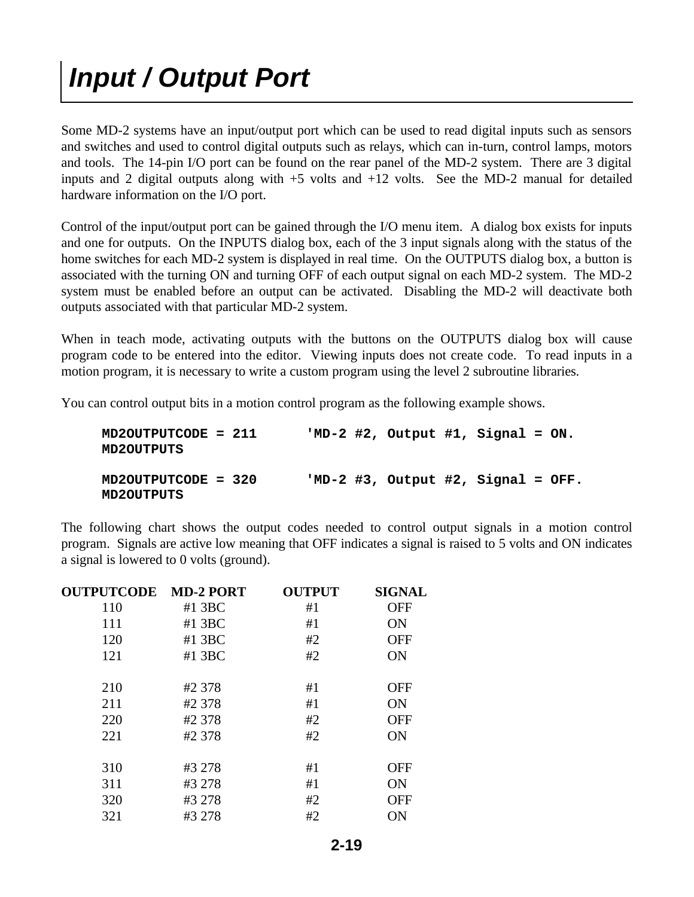### *Input / Output Port*

Some MD-2 systems have an input/output port which can be used to read digital inputs such as sensors and switches and used to control digital outputs such as relays, which can in-turn, control lamps, motors and tools. The 14-pin I/O port can be found on the rear panel of the MD-2 system. There are 3 digital inputs and 2 digital outputs along with  $+5$  volts and  $+12$  volts. See the MD-2 manual for detailed hardware information on the I/O port.

Control of the input/output port can be gained through the I/O menu item. A dialog box exists for inputs and one for outputs. On the INPUTS dialog box, each of the 3 input signals along with the status of the home switches for each MD-2 system is displayed in real time. On the OUTPUTS dialog box, a button is associated with the turning ON and turning OFF of each output signal on each MD-2 system. The MD-2 system must be enabled before an output can be activated. Disabling the MD-2 will deactivate both outputs associated with that particular MD-2 system.

When in teach mode, activating outputs with the buttons on the OUTPUTS dialog box will cause program code to be entered into the editor. Viewing inputs does not create code. To read inputs in a motion program, it is necessary to write a custom program using the level 2 subroutine libraries.

You can control output bits in a motion control program as the following example shows.

| MD2OUTPUTCODE = 211<br><b>MD2OUTPUTS</b> |  | 'MD-2 #2, Output #1, Signal = $ON.$ |  |  |
|------------------------------------------|--|-------------------------------------|--|--|
| MD2OUTPUTCODE = 320<br><b>MD2OUTPUTS</b> |  | $MD-2$ #3, Output #2, Signal = OFF. |  |  |

The following chart shows the output codes needed to control output signals in a motion control program. Signals are active low meaning that OFF indicates a signal is raised to 5 volts and ON indicates a signal is lowered to 0 volts (ground).

| <b>OUTPUTCODE</b> | <b>MD-2 PORT</b> | <b>OUTPUT</b> | <b>SIGNAL</b> |
|-------------------|------------------|---------------|---------------|
| 110               | $#1$ 3BC         | #1            | <b>OFF</b>    |
| 111               | $#1$ 3BC         | #1            | ON            |
| 120               | $#1$ 3BC         | #2            | <b>OFF</b>    |
| 121               | $#1$ 3BC         | #2            | <b>ON</b>     |
|                   |                  |               |               |
| 210               | #2 378           | #1            | <b>OFF</b>    |
| 211               | #2 378           | #1            | <b>ON</b>     |
| 220               | #2 378           | #2            | <b>OFF</b>    |
| 221               | #2 378           | #2            | <b>ON</b>     |
|                   |                  |               |               |
| 310               | #3 278           | #1            | <b>OFF</b>    |
| 311               | #3 278           | #1            | ON            |
| 320               | #3 278           | #2            | <b>OFF</b>    |
| 321               | #3 278           | #2            | <b>ON</b>     |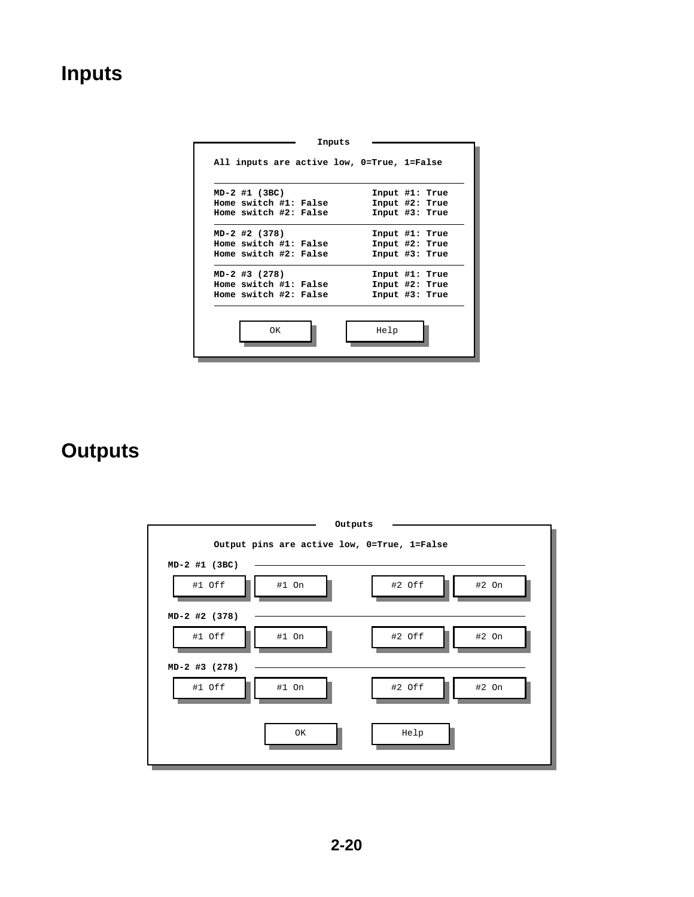#### **Inputs**

| MD-2 #1 (3BC)         |  | Input #1: True |  |
|-----------------------|--|----------------|--|
| Home switch #1: False |  | Input #2: True |  |
| Home switch #2: False |  | Input #3: True |  |
| MD-2 #2 (378)         |  | Input #1: True |  |
| Home switch #1: False |  | Input #2: True |  |
| Home switch #2: False |  | Input #3: True |  |
| MD-2 #3 (278)         |  | Input #1: True |  |
| Home switch #1: False |  | Input #2: True |  |
| Home switch #2: False |  | Input #3: True |  |

#### **Outputs**

| Outputs                                     |        |         |
|---------------------------------------------|--------|---------|
| Output pins are active low, 0=True, 1=False |        |         |
| MD-2 #1 (3BC)                               |        |         |
| #1 Off<br>#1 On                             | #2 Off | $#2$ On |
| MD-2 #2 (378)                               |        |         |
| #1 Off<br>#1 On                             | #2 Off | $#2$ On |
| MD-2 #3 (278)                               |        |         |
| #1 Off<br>#1 On                             | #2 Off | $#2$ On |
| OK                                          | Help   |         |
|                                             |        |         |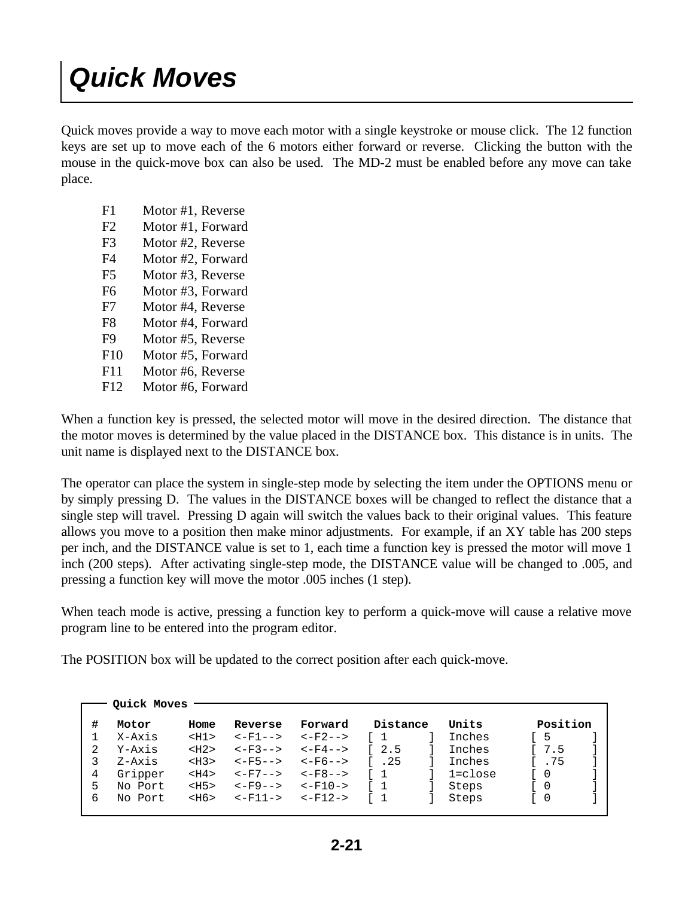### *Quick Moves*

Quick moves provide a way to move each motor with a single keystroke or mouse click. The 12 function keys are set up to move each of the 6 motors either forward or reverse. Clicking the button with the mouse in the quick-move box can also be used. The MD-2 must be enabled before any move can take place.

- F1 Motor #1, Reverse
- F2 Motor #1, Forward
- F3 Motor #2, Reverse
- F4 Motor #2, Forward
- F5 Motor #3, Reverse
- F6 Motor #3, Forward
- F7 Motor #4, Reverse
- F8 Motor #4, Forward
- F9 Motor #5, Reverse
- F10 Motor #5, Forward
- F11 Motor #6, Reverse
- F12 Motor #6, Forward

When a function key is pressed, the selected motor will move in the desired direction. The distance that the motor moves is determined by the value placed in the DISTANCE box. This distance is in units. The unit name is displayed next to the DISTANCE box.

The operator can place the system in single-step mode by selecting the item under the OPTIONS menu or by simply pressing D. The values in the DISTANCE boxes will be changed to reflect the distance that a single step will travel. Pressing D again will switch the values back to their original values. This feature allows you move to a position then make minor adjustments. For example, if an XY table has 200 steps per inch, and the DISTANCE value is set to 1, each time a function key is pressed the motor will move 1 inch (200 steps). After activating single-step mode, the DISTANCE value will be changed to .005, and pressing a function key will move the motor .005 inches (1 step).

When teach mode is active, pressing a function key to perform a quick-move will cause a relative move program line to be entered into the program editor.

The POSITION box will be updated to the correct position after each quick-move.

| Forward<br>$<-F2--$ | Distance<br>r 1 | Units<br>Inches | Position |  |
|---------------------|-----------------|-----------------|----------|--|
|                     |                 |                 |          |  |
|                     |                 |                 | 5        |  |
| $<-F4-->$           | 12.5            | Inches          | 7.5      |  |
| $<-F6--$            | 1.25            | Inches          | I.75     |  |
| $<-FR -->$          | $\sqrt{1}$      | 1=close         | 0        |  |
| $<-F10->$           | $\sqrt{1}$      | Steps           | 0        |  |
| $<-F12->$           | $1 \quad 1$     | Steps           | 0        |  |
|                     |                 |                 |          |  |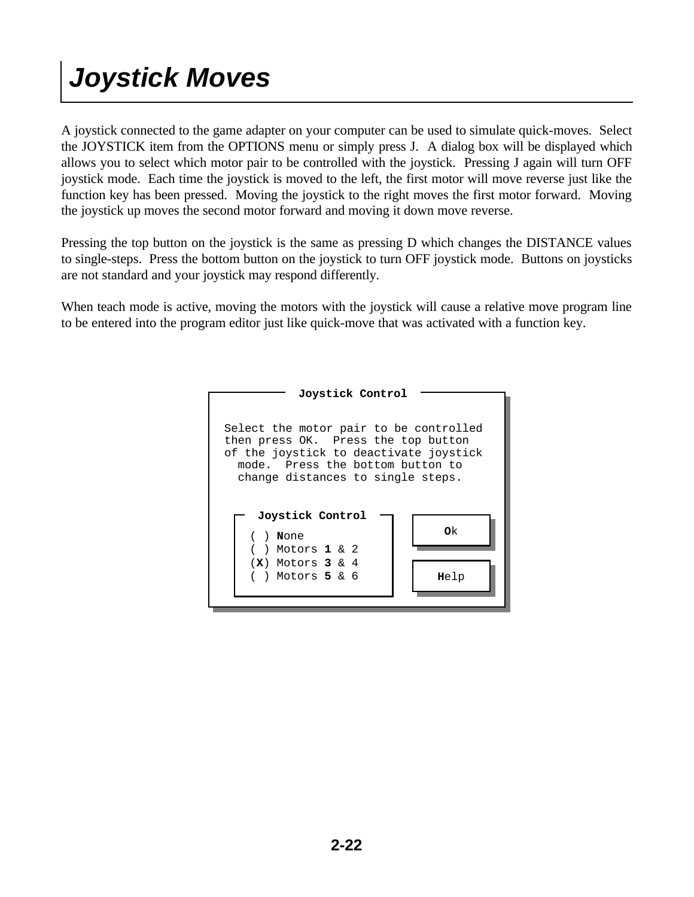### *Joystick Moves*

A joystick connected to the game adapter on your computer can be used to simulate quick-moves. Select the JOYSTICK item from the OPTIONS menu or simply press J. A dialog box will be displayed which allows you to select which motor pair to be controlled with the joystick. Pressing J again will turn OFF joystick mode. Each time the joystick is moved to the left, the first motor will move reverse just like the function key has been pressed. Moving the joystick to the right moves the first motor forward. Moving the joystick up moves the second motor forward and moving it down move reverse.

Pressing the top button on the joystick is the same as pressing D which changes the DISTANCE values to single-steps. Press the bottom button on the joystick to turn OFF joystick mode. Buttons on joysticks are not standard and your joystick may respond differently.

When teach mode is active, moving the motors with the joystick will cause a relative move program line to be entered into the program editor just like quick-move that was activated with a function key.

| Joystick Control                                                                                                                                                                                 |      |  |  |  |  |
|--------------------------------------------------------------------------------------------------------------------------------------------------------------------------------------------------|------|--|--|--|--|
| Select the motor pair to be controlled<br>then press OK. Press the top button<br>of the joystick to deactivate joystick<br>mode. Press the bottom button to<br>change distances to single steps. |      |  |  |  |  |
| Joystick Control<br>$($ ) None                                                                                                                                                                   | Οk   |  |  |  |  |
| ( ) Motors <b>1</b> & 2                                                                                                                                                                          |      |  |  |  |  |
| $(X)$ Motors 3 & 4<br>( ) Motors <b>5</b> & 6                                                                                                                                                    | Help |  |  |  |  |
|                                                                                                                                                                                                  |      |  |  |  |  |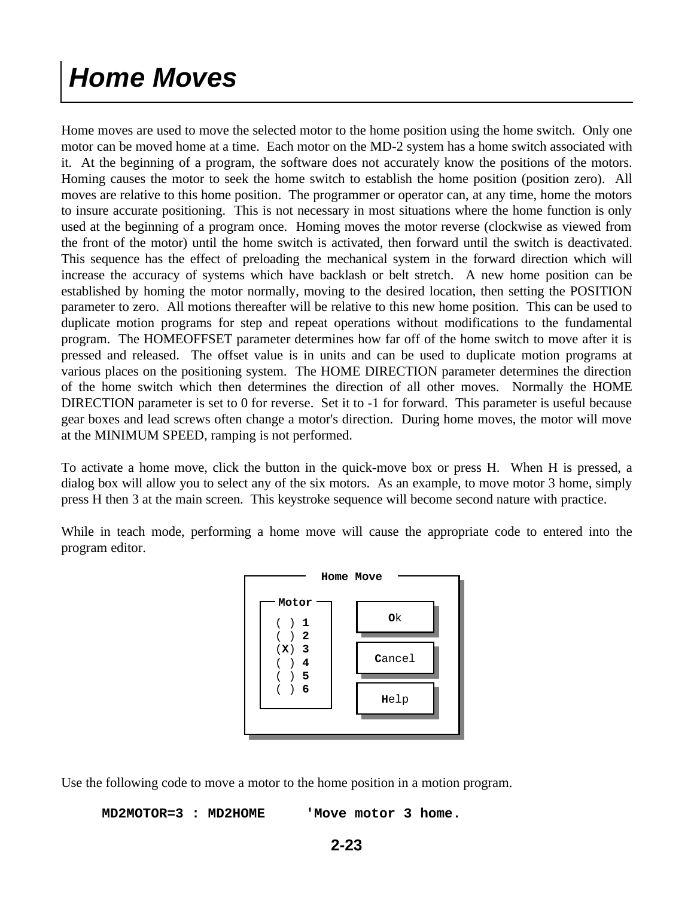### *Home Moves*

Home moves are used to move the selected motor to the home position using the home switch. Only one motor can be moved home at a time. Each motor on the MD-2 system has a home switch associated with it. At the beginning of a program, the software does not accurately know the positions of the motors. Homing causes the motor to seek the home switch to establish the home position (position zero). All moves are relative to this home position. The programmer or operator can, at any time, home the motors to insure accurate positioning. This is not necessary in most situations where the home function is only used at the beginning of a program once. Homing moves the motor reverse (clockwise as viewed from the front of the motor) until the home switch is activated, then forward until the switch is deactivated. This sequence has the effect of preloading the mechanical system in the forward direction which will increase the accuracy of systems which have backlash or belt stretch. A new home position can be established by homing the motor normally, moving to the desired location, then setting the POSITION parameter to zero. All motions thereafter will be relative to this new home position. This can be used to duplicate motion programs for step and repeat operations without modifications to the fundamental program. The HOMEOFFSET parameter determines how far off of the home switch to move after it is pressed and released. The offset value is in units and can be used to duplicate motion programs at various places on the positioning system. The HOME DIRECTION parameter determines the direction of the home switch which then determines the direction of all other moves. Normally the HOME DIRECTION parameter is set to 0 for reverse. Set it to -1 for forward. This parameter is useful because gear boxes and lead screws often change a motor's direction. During home moves, the motor will move at the MINIMUM SPEED, ramping is not performed.

To activate a home move, click the button in the quick-move box or press H. When H is pressed, a dialog box will allow you to select any of the six motors. As an example, to move motor 3 home, simply press H then 3 at the main screen. This keystroke sequence will become second nature with practice.

While in teach mode, performing a home move will cause the appropriate code to entered into the program editor.



Use the following code to move a motor to the home position in a motion program.

 **MD2MOTOR=3 : MD2HOME 'Move motor 3 home.**

```
2-23
```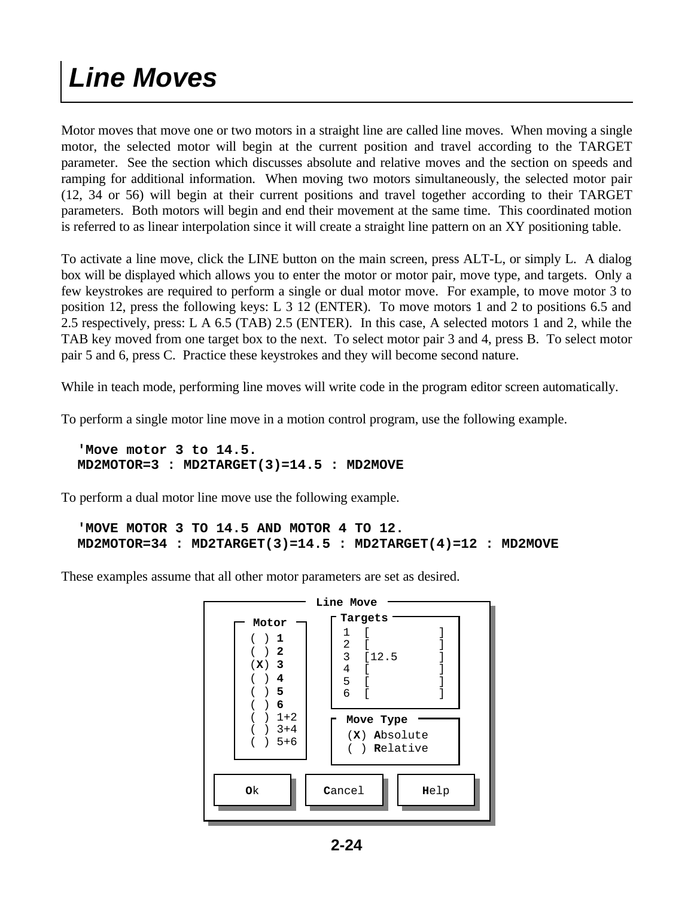### *Line Moves*

Motor moves that move one or two motors in a straight line are called line moves. When moving a single motor, the selected motor will begin at the current position and travel according to the TARGET parameter. See the section which discusses absolute and relative moves and the section on speeds and ramping for additional information. When moving two motors simultaneously, the selected motor pair (12, 34 or 56) will begin at their current positions and travel together according to their TARGET parameters. Both motors will begin and end their movement at the same time. This coordinated motion is referred to as linear interpolation since it will create a straight line pattern on an XY positioning table.

To activate a line move, click the LINE button on the main screen, press ALT-L, or simply L. A dialog box will be displayed which allows you to enter the motor or motor pair, move type, and targets. Only a few keystrokes are required to perform a single or dual motor move. For example, to move motor 3 to position 12, press the following keys: L 3 12 (ENTER). To move motors 1 and 2 to positions 6.5 and 2.5 respectively, press: L A 6.5 (TAB) 2.5 (ENTER). In this case, A selected motors 1 and 2, while the TAB key moved from one target box to the next. To select motor pair 3 and 4, press B. To select motor pair 5 and 6, press C. Practice these keystrokes and they will become second nature.

While in teach mode, performing line moves will write code in the program editor screen automatically.

To perform a single motor line move in a motion control program, use the following example.

 **'Move motor 3 to 14.5. MD2MOTOR=3 : MD2TARGET(3)=14.5 : MD2MOVE**

To perform a dual motor line move use the following example.

```
 'MOVE MOTOR 3 TO 14.5 AND MOTOR 4 TO 12.
MD2MOTOR=34 : MD2TARGET(3)=14.5 : MD2TARGET(4)=12 : MD2MOVE
```
These examples assume that all other motor parameters are set as desired.

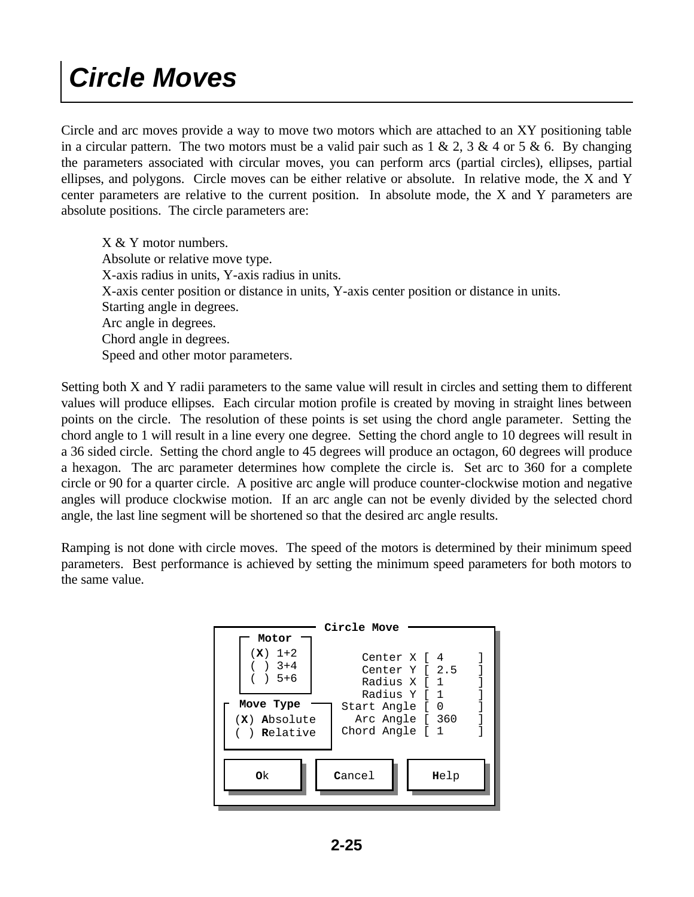### *Circle Moves*

Circle and arc moves provide a way to move two motors which are attached to an XY positioning table in a circular pattern. The two motors must be a valid pair such as  $1 \& 2$ ,  $3 \& 4$  or  $5 \& 6$ . By changing the parameters associated with circular moves, you can perform arcs (partial circles), ellipses, partial ellipses, and polygons. Circle moves can be either relative or absolute. In relative mode, the X and Y center parameters are relative to the current position. In absolute mode, the X and Y parameters are absolute positions. The circle parameters are:

 X & Y motor numbers. Absolute or relative move type. X-axis radius in units, Y-axis radius in units. X-axis center position or distance in units, Y-axis center position or distance in units. Starting angle in degrees. Arc angle in degrees. Chord angle in degrees. Speed and other motor parameters.

Setting both X and Y radii parameters to the same value will result in circles and setting them to different values will produce ellipses. Each circular motion profile is created by moving in straight lines between points on the circle. The resolution of these points is set using the chord angle parameter. Setting the chord angle to 1 will result in a line every one degree. Setting the chord angle to 10 degrees will result in a 36 sided circle. Setting the chord angle to 45 degrees will produce an octagon, 60 degrees will produce a hexagon. The arc parameter determines how complete the circle is. Set arc to 360 for a complete circle or 90 for a quarter circle. A positive arc angle will produce counter-clockwise motion and negative angles will produce clockwise motion. If an arc angle can not be evenly divided by the selected chord angle, the last line segment will be shortened so that the desired arc angle results.

Ramping is not done with circle moves. The speed of the motors is determined by their minimum speed parameters. Best performance is achieved by setting the minimum speed parameters for both motors to the same value.

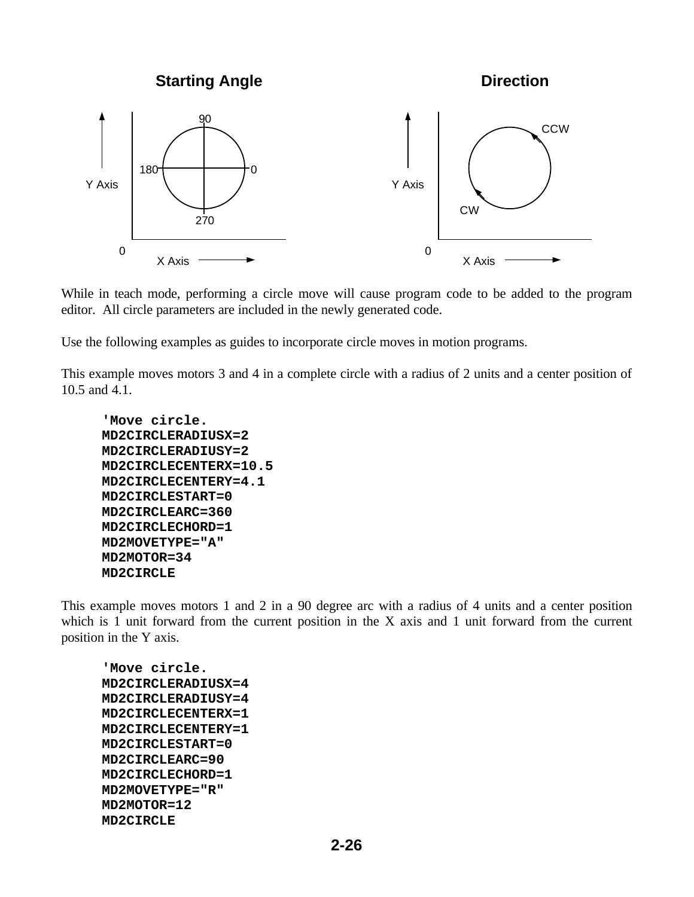**Starting Angle**

**Direction**



While in teach mode, performing a circle move will cause program code to be added to the program editor. All circle parameters are included in the newly generated code.

Use the following examples as guides to incorporate circle moves in motion programs.

This example moves motors 3 and 4 in a complete circle with a radius of 2 units and a center position of 10.5 and 4.1.

```
 'Move circle.
MD2CIRCLERADIUSX=2
MD2CIRCLERADIUSY=2
MD2CIRCLECENTERX=10.5
MD2CIRCLECENTERY=4.1
MD2CIRCLESTART=0
MD2CIRCLEARC=360
MD2CIRCLECHORD=1
MD2MOVETYPE="A"
MD2MOTOR=34
MD2CIRCLE
```
This example moves motors 1 and 2 in a 90 degree arc with a radius of 4 units and a center position which is 1 unit forward from the current position in the X axis and 1 unit forward from the current position in the Y axis.

 **'Move circle. MD2CIRCLERADIUSX=4 MD2CIRCLERADIUSY=4 MD2CIRCLECENTERX=1 MD2CIRCLECENTERY=1 MD2CIRCLESTART=0 MD2CIRCLEARC=90 MD2CIRCLECHORD=1 MD2MOVETYPE="R" MD2MOTOR=12 MD2CIRCLE**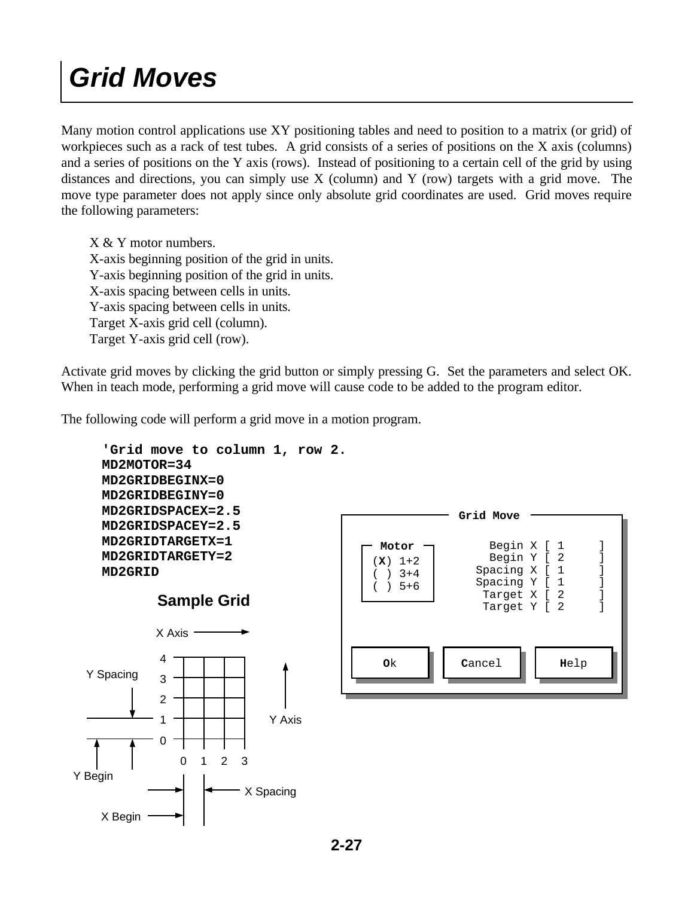### *Grid Moves*

Many motion control applications use XY positioning tables and need to position to a matrix (or grid) of workpieces such as a rack of test tubes. A grid consists of a series of positions on the X axis (columns) and a series of positions on the Y axis (rows). Instead of positioning to a certain cell of the grid by using distances and directions, you can simply use X (column) and Y (row) targets with a grid move. The move type parameter does not apply since only absolute grid coordinates are used. Grid moves require the following parameters:

 X & Y motor numbers. X-axis beginning position of the grid in units. Y-axis beginning position of the grid in units. X-axis spacing between cells in units. Y-axis spacing between cells in units. Target X-axis grid cell (column). Target Y-axis grid cell (row).

Activate grid moves by clicking the grid button or simply pressing G. Set the parameters and select OK. When in teach mode, performing a grid move will cause code to be added to the program editor.

The following code will perform a grid move in a motion program.

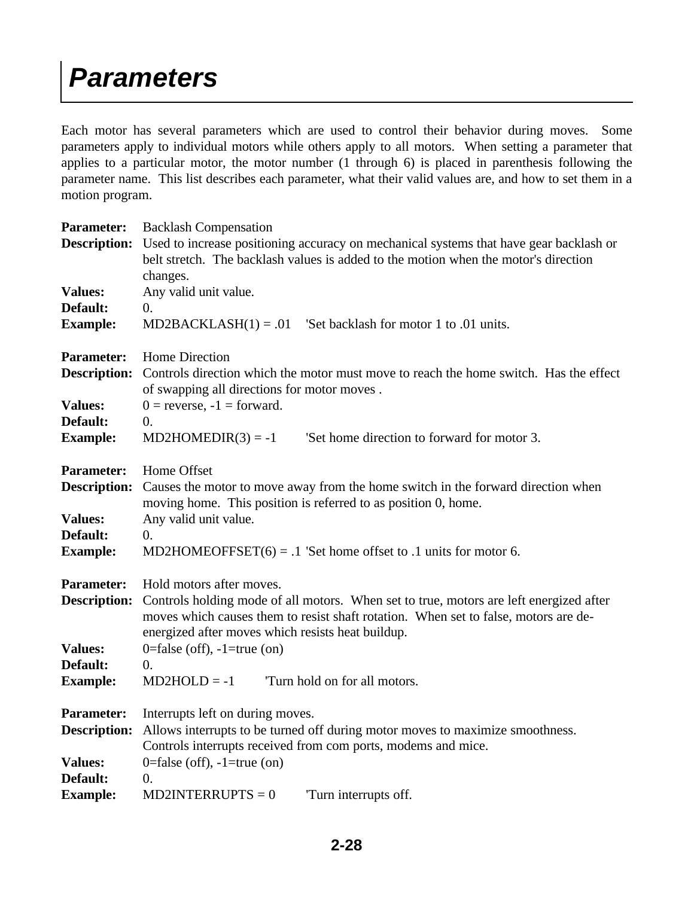#### *Parameters*

Each motor has several parameters which are used to control their behavior during moves. Some parameters apply to individual motors while others apply to all motors. When setting a parameter that applies to a particular motor, the motor number (1 through 6) is placed in parenthesis following the parameter name. This list describes each parameter, what their valid values are, and how to set them in a motion program.

| <b>Parameter:</b>           | <b>Backlash Compensation</b>                                                                                                                                                                                                       |  |  |  |  |  |
|-----------------------------|------------------------------------------------------------------------------------------------------------------------------------------------------------------------------------------------------------------------------------|--|--|--|--|--|
| <b>Description:</b>         | Used to increase positioning accuracy on mechanical systems that have gear backlash or<br>belt stretch. The backlash values is added to the motion when the motor's direction                                                      |  |  |  |  |  |
|                             | changes.                                                                                                                                                                                                                           |  |  |  |  |  |
| <b>Values:</b>              | Any valid unit value.                                                                                                                                                                                                              |  |  |  |  |  |
| Default:<br><b>Example:</b> | $\overline{0}$ .<br>$MD2BACKLASH(1) = .01$ 'Set backlash for motor 1 to .01 units.                                                                                                                                                 |  |  |  |  |  |
| <b>Parameter:</b>           | Home Direction                                                                                                                                                                                                                     |  |  |  |  |  |
| <b>Description:</b>         | Controls direction which the motor must move to reach the home switch. Has the effect<br>of swapping all directions for motor moves.                                                                                               |  |  |  |  |  |
| <b>Values:</b>              | $0 =$ reverse, $-1 =$ forward.                                                                                                                                                                                                     |  |  |  |  |  |
| Default:                    | $\overline{0}$ .                                                                                                                                                                                                                   |  |  |  |  |  |
| <b>Example:</b>             | 'Set home direction to forward for motor 3.<br>$MD2HOMEDIR(3) = -1$                                                                                                                                                                |  |  |  |  |  |
| <b>Parameter:</b>           | Home Offset                                                                                                                                                                                                                        |  |  |  |  |  |
| <b>Description:</b>         | Causes the motor to move away from the home switch in the forward direction when<br>moving home. This position is referred to as position 0, home.                                                                                 |  |  |  |  |  |
| <b>Values:</b>              | Any valid unit value.                                                                                                                                                                                                              |  |  |  |  |  |
| Default:                    | $\overline{0}$ .                                                                                                                                                                                                                   |  |  |  |  |  |
| <b>Example:</b>             | MD2HOMEOFFSET $(6) = .1$ 'Set home offset to .1 units for motor 6.                                                                                                                                                                 |  |  |  |  |  |
| <b>Parameter:</b>           | Hold motors after moves.                                                                                                                                                                                                           |  |  |  |  |  |
| <b>Description:</b>         | Controls holding mode of all motors. When set to true, motors are left energized after<br>moves which causes them to resist shaft rotation. When set to false, motors are de-<br>energized after moves which resists heat buildup. |  |  |  |  |  |
| <b>Values:</b>              | 0=false (off), $-1$ =true (on)                                                                                                                                                                                                     |  |  |  |  |  |
| Default:                    | $\overline{0}$ .                                                                                                                                                                                                                   |  |  |  |  |  |
| <b>Example:</b>             | $MD2HOLD = -1$<br>Turn hold on for all motors.                                                                                                                                                                                     |  |  |  |  |  |
| <b>Parameter:</b>           | Interrupts left on during moves.                                                                                                                                                                                                   |  |  |  |  |  |
| <b>Description:</b>         | Allows interrupts to be turned off during motor moves to maximize smoothness.                                                                                                                                                      |  |  |  |  |  |
|                             | Controls interrupts received from com ports, modems and mice.                                                                                                                                                                      |  |  |  |  |  |
| <b>Values:</b>              | 0=false (off), $-1$ =true (on)                                                                                                                                                                                                     |  |  |  |  |  |
| Default:                    | $\overline{0}$ .                                                                                                                                                                                                                   |  |  |  |  |  |
| <b>Example:</b>             | $MD2INTERRUPTS = 0$<br>Turn interrupts off.                                                                                                                                                                                        |  |  |  |  |  |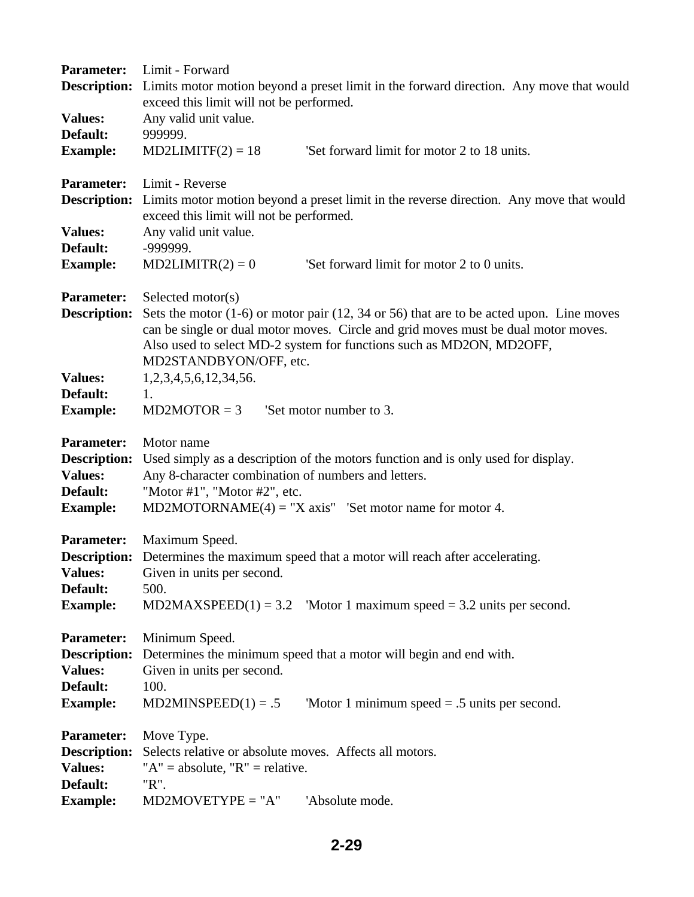| <b>Parameter:</b>   | Limit - Forward                                                                                      |  |  |  |  |  |  |
|---------------------|------------------------------------------------------------------------------------------------------|--|--|--|--|--|--|
| <b>Description:</b> | Limits motor motion beyond a preset limit in the forward direction. Any move that would              |  |  |  |  |  |  |
|                     | exceed this limit will not be performed.                                                             |  |  |  |  |  |  |
| <b>Values:</b>      | Any valid unit value.                                                                                |  |  |  |  |  |  |
| Default:            | 999999.                                                                                              |  |  |  |  |  |  |
| <b>Example:</b>     | 'Set forward limit for motor 2 to 18 units.<br>$MD2LIMITF(2) = 18$                                   |  |  |  |  |  |  |
| <b>Parameter:</b>   | Limit - Reverse                                                                                      |  |  |  |  |  |  |
| <b>Description:</b> | Limits motor motion beyond a preset limit in the reverse direction. Any move that would              |  |  |  |  |  |  |
|                     | exceed this limit will not be performed.                                                             |  |  |  |  |  |  |
| <b>Values:</b>      | Any valid unit value.                                                                                |  |  |  |  |  |  |
| Default:            | -999999.                                                                                             |  |  |  |  |  |  |
| <b>Example:</b>     | $MD2LIMITR(2) = 0$<br>'Set forward limit for motor 2 to 0 units.                                     |  |  |  |  |  |  |
| <b>Parameter:</b>   | Selected motor(s)                                                                                    |  |  |  |  |  |  |
| <b>Description:</b> | Sets the motor $(1-6)$ or motor pair $(12, 34 \text{ or } 56)$ that are to be acted upon. Line moves |  |  |  |  |  |  |
|                     | can be single or dual motor moves. Circle and grid moves must be dual motor moves.                   |  |  |  |  |  |  |
|                     | Also used to select MD-2 system for functions such as MD2ON, MD2OFF,                                 |  |  |  |  |  |  |
|                     | MD2STANDBYON/OFF, etc.                                                                               |  |  |  |  |  |  |
| <b>Values:</b>      | 1, 2, 3, 4, 5, 6, 12, 34, 56.                                                                        |  |  |  |  |  |  |
| Default:            | 1.                                                                                                   |  |  |  |  |  |  |
| <b>Example:</b>     | 'Set motor number to 3.<br>$MD2MOTOR = 3$                                                            |  |  |  |  |  |  |
| <b>Parameter:</b>   | Motor name                                                                                           |  |  |  |  |  |  |
| <b>Description:</b> | Used simply as a description of the motors function and is only used for display.                    |  |  |  |  |  |  |
| <b>Values:</b>      | Any 8-character combination of numbers and letters.                                                  |  |  |  |  |  |  |
| Default:            | "Motor #1", "Motor #2", etc.                                                                         |  |  |  |  |  |  |
| <b>Example:</b>     | MD2MOTORNAME $(4)$ = "X axis" 'Set motor name for motor 4.                                           |  |  |  |  |  |  |
| <b>Parameter:</b>   | Maximum Speed.                                                                                       |  |  |  |  |  |  |
|                     | <b>Description:</b> Determines the maximum speed that a motor will reach after accelerating.         |  |  |  |  |  |  |
| <b>Values:</b>      | Given in units per second.                                                                           |  |  |  |  |  |  |
| Default:            | 500.                                                                                                 |  |  |  |  |  |  |
| <b>Example:</b>     | 'Motor 1 maximum speed $=$ 3.2 units per second.<br>$MD2MAXSPEED(1) = 3.2$                           |  |  |  |  |  |  |
| <b>Parameter:</b>   | Minimum Speed.                                                                                       |  |  |  |  |  |  |
| <b>Description:</b> | Determines the minimum speed that a motor will begin and end with.                                   |  |  |  |  |  |  |
| <b>Values:</b>      | Given in units per second.                                                                           |  |  |  |  |  |  |
| Default:            | 100.                                                                                                 |  |  |  |  |  |  |
| <b>Example:</b>     | $MD2MINSPEED(1) = .5$<br>'Motor 1 minimum speed $= .5$ units per second.                             |  |  |  |  |  |  |
| <b>Parameter:</b>   | Move Type.                                                                                           |  |  |  |  |  |  |
| <b>Description:</b> | Selects relative or absolute moves. Affects all motors.                                              |  |  |  |  |  |  |
| <b>Values:</b>      | " $A$ " = absolute, " $R$ " = relative.                                                              |  |  |  |  |  |  |
| Default:            | "R".                                                                                                 |  |  |  |  |  |  |
| <b>Example:</b>     | $MD2MOVERYPE = "A"$<br>'Absolute mode.                                                               |  |  |  |  |  |  |
|                     |                                                                                                      |  |  |  |  |  |  |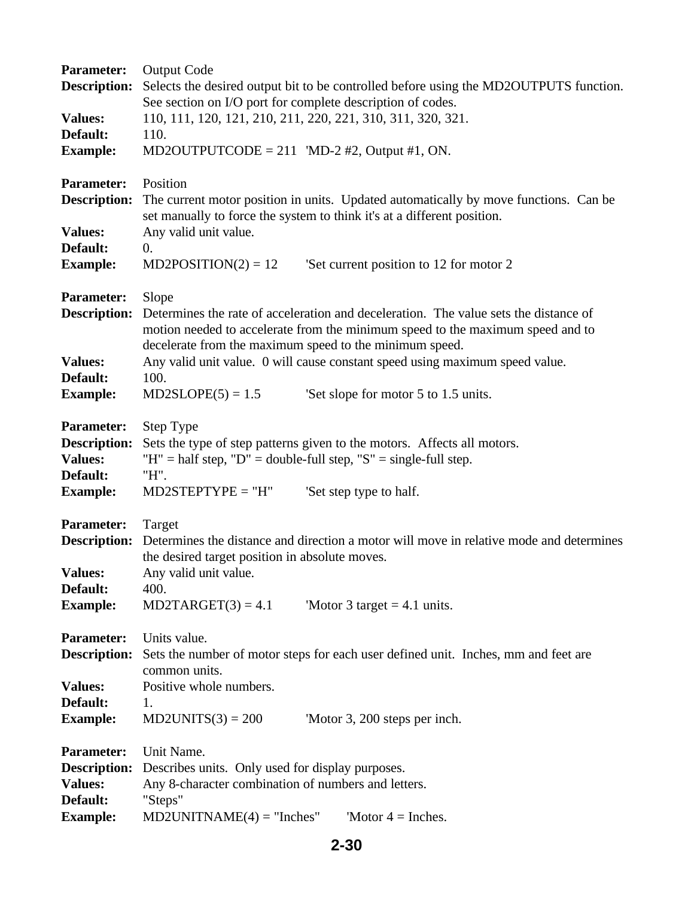| <b>Parameter:</b>   | <b>Output Code</b>                                                                      |
|---------------------|-----------------------------------------------------------------------------------------|
| <b>Description:</b> | Selects the desired output bit to be controlled before using the MD2OUTPUTS function.   |
|                     | See section on I/O port for complete description of codes.                              |
| <b>Values:</b>      | 110, 111, 120, 121, 210, 211, 220, 221, 310, 311, 320, 321.                             |
| Default:            | 110.                                                                                    |
| <b>Example:</b>     | MD2OUTPUTCODE = 211 'MD-2 #2, Output #1, ON.                                            |
| <b>Parameter:</b>   | Position                                                                                |
| <b>Description:</b> | The current motor position in units. Updated automatically by move functions. Can be    |
|                     | set manually to force the system to think it's at a different position.                 |
| <b>Values:</b>      | Any valid unit value.                                                                   |
| Default:            | 0.                                                                                      |
| <b>Example:</b>     | $MD2POSITION(2) = 12$<br>'Set current position to 12 for motor 2                        |
| <b>Parameter:</b>   | Slope                                                                                   |
| <b>Description:</b> | Determines the rate of acceleration and deceleration. The value sets the distance of    |
|                     | motion needed to accelerate from the minimum speed to the maximum speed and to          |
|                     | decelerate from the maximum speed to the minimum speed.                                 |
| <b>Values:</b>      | Any valid unit value. 0 will cause constant speed using maximum speed value.            |
| Default:            | 100.                                                                                    |
| <b>Example:</b>     | $MD2SLOPE(5) = 1.5$<br>Set slope for motor 5 to 1.5 units.                              |
| <b>Parameter:</b>   | Step Type                                                                               |
| <b>Description:</b> | Sets the type of step patterns given to the motors. Affects all motors.                 |
| <b>Values:</b>      | "H" = half step, "D" = double-full step, "S" = single-full step.                        |
| Default:            | "H".                                                                                    |
| <b>Example:</b>     | $MD2STEPTYPE = "H"$<br>'Set step type to half.                                          |
| <b>Parameter:</b>   | Target                                                                                  |
| <b>Description:</b> | Determines the distance and direction a motor will move in relative mode and determines |
|                     | the desired target position in absolute moves.                                          |
| <b>Values:</b>      | Any valid unit value.                                                                   |
| Default:            | 400.                                                                                    |
| <b>Example:</b>     | $MD2TARGET(3) = 4.1$<br>'Motor 3 target $= 4.1$ units.                                  |
| <b>Parameter:</b>   | Units value.                                                                            |
| <b>Description:</b> | Sets the number of motor steps for each user defined unit. Inches, mm and feet are      |
|                     | common units.                                                                           |
| <b>Values:</b>      | Positive whole numbers.                                                                 |
| Default:            | 1.                                                                                      |
| <b>Example:</b>     | $MD2UNITS(3) = 200$<br>'Motor 3, 200 steps per inch.                                    |
| <b>Parameter:</b>   | Unit Name.                                                                              |
| <b>Description:</b> | Describes units. Only used for display purposes.                                        |
| <b>Values:</b>      | Any 8-character combination of numbers and letters.                                     |
| Default:            | "Steps"                                                                                 |
| <b>Example:</b>     | $MD2UNITNAME(4) = "Inches"$<br>'Motor $4 =$ Inches.                                     |

#### **2-30**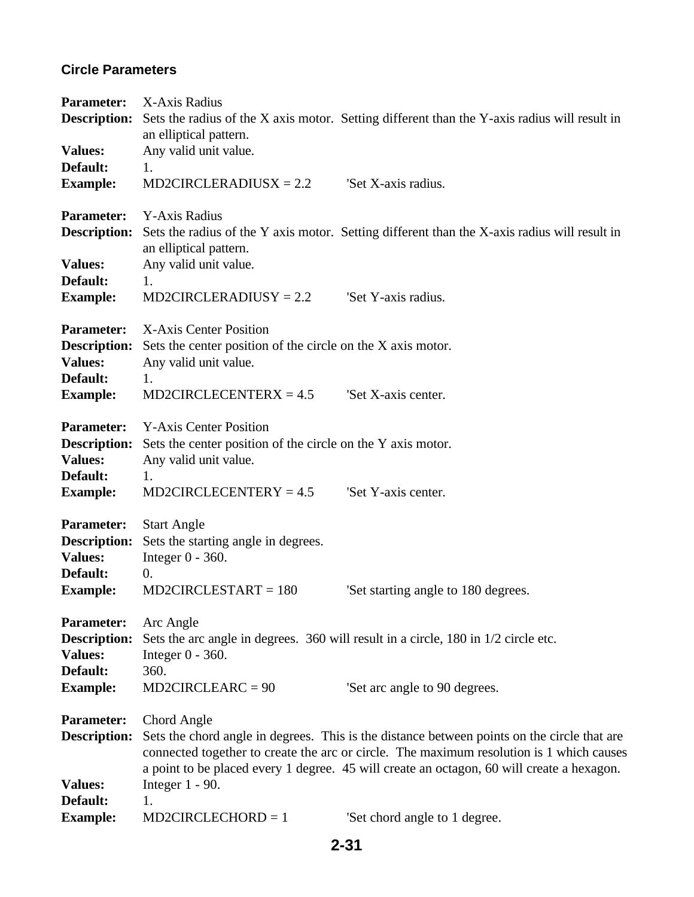### **Circle Parameters**

| <b>Parameter:</b>           | X-Axis Radius                                                                                                                                                                           |                                                                                              |
|-----------------------------|-----------------------------------------------------------------------------------------------------------------------------------------------------------------------------------------|----------------------------------------------------------------------------------------------|
| <b>Description:</b>         |                                                                                                                                                                                         | Sets the radius of the X axis motor. Setting different than the Y-axis radius will result in |
| <b>Values:</b>              | an elliptical pattern.<br>Any valid unit value.                                                                                                                                         |                                                                                              |
| Default:                    | 1.                                                                                                                                                                                      |                                                                                              |
| <b>Example:</b>             | $MD2CIRCLERADIUSX = 2.2$                                                                                                                                                                | 'Set X-axis radius.                                                                          |
| <b>Parameter:</b>           | Y-Axis Radius                                                                                                                                                                           |                                                                                              |
| <b>Description:</b>         | an elliptical pattern.                                                                                                                                                                  | Sets the radius of the Y axis motor. Setting different than the X-axis radius will result in |
| <b>Values:</b>              | Any valid unit value.                                                                                                                                                                   |                                                                                              |
| Default:<br><b>Example:</b> | 1.<br>$MD2CIRCLERADIUSY = 2.2$                                                                                                                                                          | 'Set Y-axis radius.                                                                          |
| <b>Parameter:</b>           | X-Axis Center Position                                                                                                                                                                  |                                                                                              |
| <b>Description:</b>         | Sets the center position of the circle on the X axis motor.                                                                                                                             |                                                                                              |
| <b>Values:</b><br>Default:  | Any valid unit value.<br>1.                                                                                                                                                             |                                                                                              |
| <b>Example:</b>             | $MD2CIRCLECENTERX = 4.5$                                                                                                                                                                | 'Set X-axis center.                                                                          |
| <b>Parameter:</b>           | <b>Y-Axis Center Position</b>                                                                                                                                                           |                                                                                              |
| <b>Description:</b>         | Sets the center position of the circle on the Y axis motor.                                                                                                                             |                                                                                              |
| <b>Values:</b><br>Default:  | Any valid unit value.<br>1.                                                                                                                                                             |                                                                                              |
| <b>Example:</b>             | $MD2CIRCLECENTERV = 4.5$                                                                                                                                                                | 'Set Y-axis center.                                                                          |
| <b>Parameter:</b>           | <b>Start Angle</b>                                                                                                                                                                      |                                                                                              |
| <b>Description:</b>         | Sets the starting angle in degrees.                                                                                                                                                     |                                                                                              |
| <b>Values:</b><br>Default:  | Integer $0 - 360$ .<br>0.                                                                                                                                                               |                                                                                              |
| <b>Example:</b>             | $MD2CIRCLESTART = 180$                                                                                                                                                                  | Set starting angle to 180 degrees.                                                           |
| <b>Parameter:</b>           | Arc Angle                                                                                                                                                                               |                                                                                              |
| <b>Description:</b>         | Sets the arc angle in degrees. 360 will result in a circle, 180 in 1/2 circle etc.                                                                                                      |                                                                                              |
| <b>Values:</b><br>Default:  | Integer $0 - 360$ .<br>360.                                                                                                                                                             |                                                                                              |
| <b>Example:</b>             | $MD2CIRCLEARC = 90$                                                                                                                                                                     | Set arc angle to 90 degrees.                                                                 |
| <b>Parameter:</b>           | Chord Angle                                                                                                                                                                             |                                                                                              |
| <b>Description:</b>         | Sets the chord angle in degrees. This is the distance between points on the circle that are<br>connected together to create the arc or circle. The maximum resolution is 1 which causes |                                                                                              |
|                             |                                                                                                                                                                                         | a point to be placed every 1 degree. 45 will create an octagon, 60 will create a hexagon.    |
| <b>Values:</b><br>Default:  | Integer $1 - 90$ .<br>1.                                                                                                                                                                |                                                                                              |
| <b>Example:</b>             | $MD2CIRCLECHORD = 1$                                                                                                                                                                    | 'Set chord angle to 1 degree.                                                                |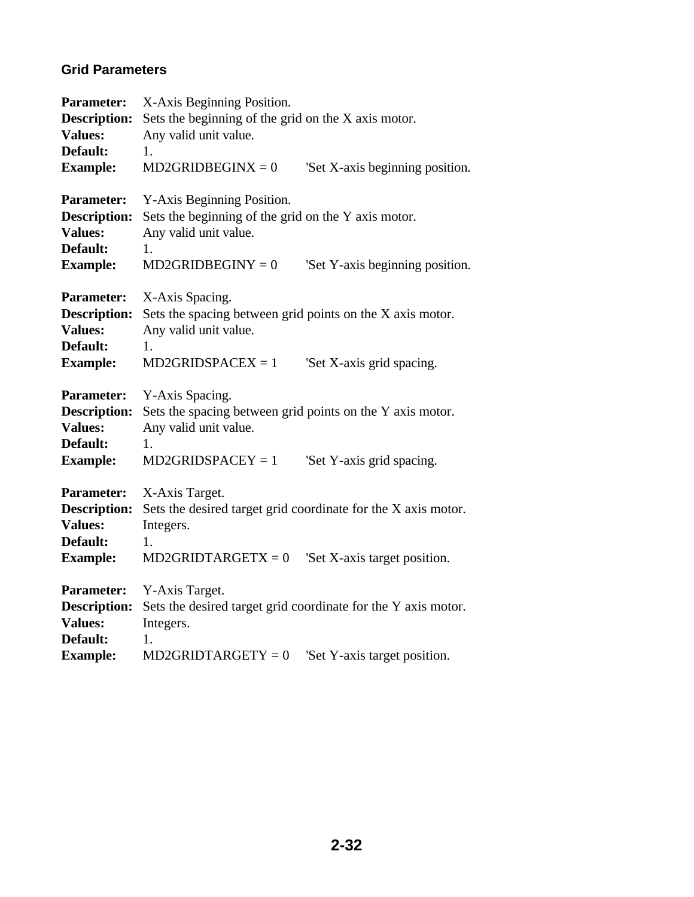### **Grid Parameters**

| <b>Parameter:</b><br>Description:<br><b>Values:</b><br>Default:                           | X-Axis Beginning Position.<br>Sets the beginning of the grid on the X axis motor.<br>Any valid unit value.<br>1.                                                |                                                                                               |  |
|-------------------------------------------------------------------------------------------|-----------------------------------------------------------------------------------------------------------------------------------------------------------------|-----------------------------------------------------------------------------------------------|--|
| <b>Example:</b>                                                                           | $MD2GRIDBEGINX = 0$                                                                                                                                             | 'Set X-axis beginning position.                                                               |  |
| <b>Parameter:</b><br><b>Description:</b><br><b>Values:</b><br>Default:<br><b>Example:</b> | Y-Axis Beginning Position.<br>Sets the beginning of the grid on the Y axis motor.<br>Any valid unit value.<br>1.<br>$MD2GRIDBEGINY = 0$                         | 'Set Y-axis beginning position.                                                               |  |
| <b>Parameter:</b><br><b>Description:</b><br><b>Values:</b><br>Default:<br><b>Example:</b> | X-Axis Spacing.<br>Sets the spacing between grid points on the X axis motor.<br>Any valid unit value.<br>1.<br>$MD2GRIDSPACEX = 1$                              | 'Set X-axis grid spacing.                                                                     |  |
| <b>Parameter:</b><br><b>Description:</b><br><b>Values:</b><br>Default:<br><b>Example:</b> | Y-Axis Spacing.<br>Sets the spacing between grid points on the Y axis motor.<br>Any valid unit value.<br>1.<br>$MD2GRIDSPACEY = 1$<br>'Set Y-axis grid spacing. |                                                                                               |  |
| <b>Parameter:</b><br><b>Description:</b><br><b>Values:</b><br>Default:<br><b>Example:</b> | X-Axis Target.<br>Sets the desired target grid coordinate for the X axis motor.<br>Integers.<br>1.<br>$MD2GRIDTARGETX = 0$<br>'Set X-axis target position.      |                                                                                               |  |
| <b>Parameter:</b><br><b>Description:</b><br><b>Values:</b><br>Default:<br><b>Example:</b> | Y-Axis Target.<br>Integers.<br>1.<br>$MD2GRIDTARGETY = 0$                                                                                                       | Sets the desired target grid coordinate for the Y axis motor.<br>'Set Y-axis target position. |  |
|                                                                                           |                                                                                                                                                                 |                                                                                               |  |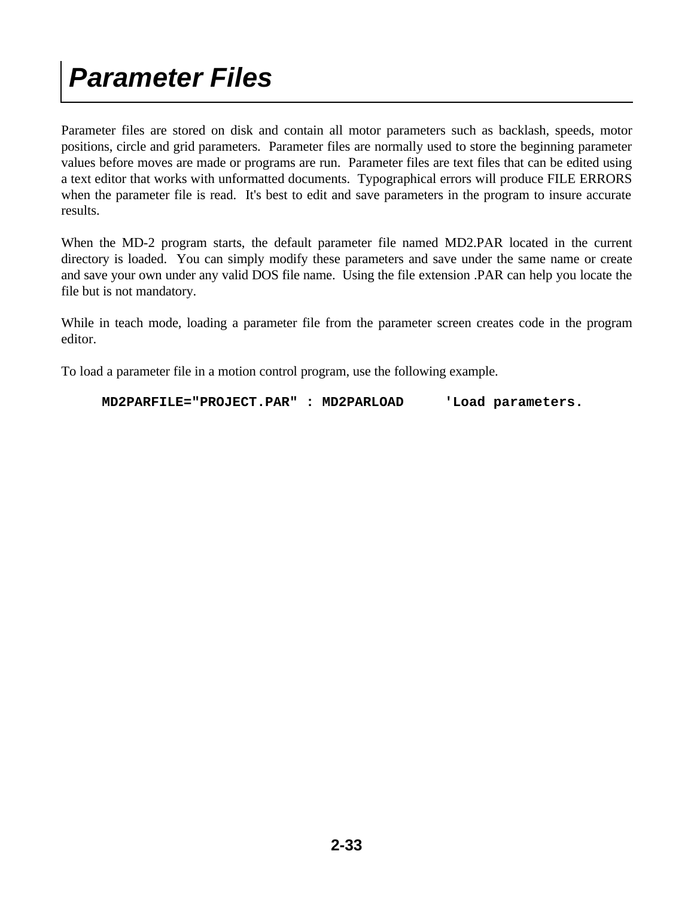Parameter files are stored on disk and contain all motor parameters such as backlash, speeds, motor positions, circle and grid parameters. Parameter files are normally used to store the beginning parameter values before moves are made or programs are run. Parameter files are text files that can be edited using a text editor that works with unformatted documents. Typographical errors will produce FILE ERRORS when the parameter file is read. It's best to edit and save parameters in the program to insure accurate results.

When the MD-2 program starts, the default parameter file named MD2.PAR located in the current directory is loaded. You can simply modify these parameters and save under the same name or create and save your own under any valid DOS file name. Using the file extension .PAR can help you locate the file but is not mandatory.

While in teach mode, loading a parameter file from the parameter screen creates code in the program editor.

To load a parameter file in a motion control program, use the following example.

 **MD2PARFILE="PROJECT.PAR" : MD2PARLOAD 'Load parameters.**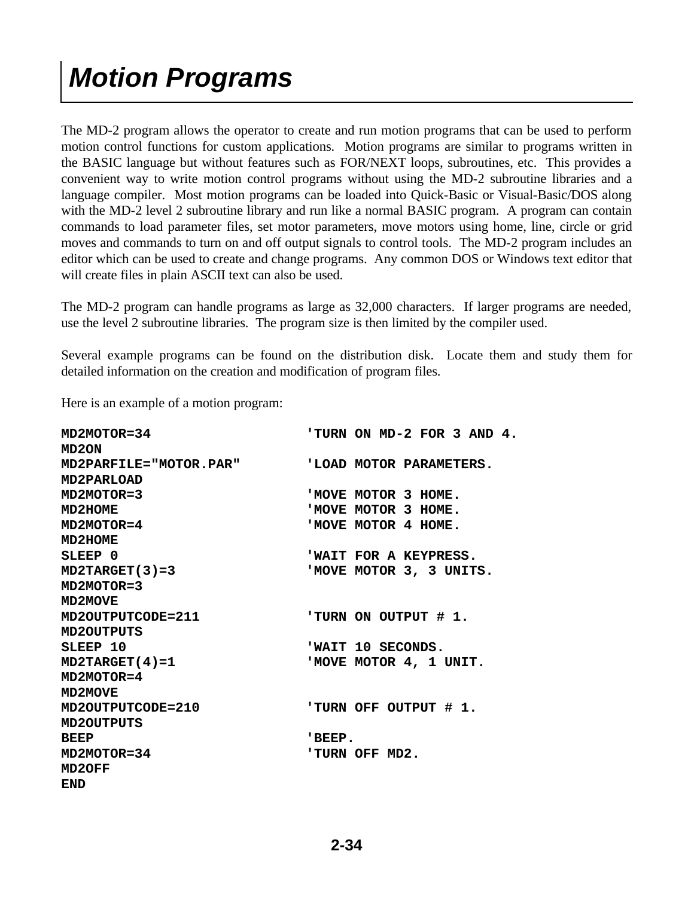# *Motion Programs*

The MD-2 program allows the operator to create and run motion programs that can be used to perform motion control functions for custom applications. Motion programs are similar to programs written in the BASIC language but without features such as FOR/NEXT loops, subroutines, etc. This provides a convenient way to write motion control programs without using the MD-2 subroutine libraries and a language compiler. Most motion programs can be loaded into Quick-Basic or Visual-Basic/DOS along with the MD-2 level 2 subroutine library and run like a normal BASIC program. A program can contain commands to load parameter files, set motor parameters, move motors using home, line, circle or grid moves and commands to turn on and off output signals to control tools. The MD-2 program includes an editor which can be used to create and change programs. Any common DOS or Windows text editor that will create files in plain ASCII text can also be used.

The MD-2 program can handle programs as large as 32,000 characters. If larger programs are needed, use the level 2 subroutine libraries. The program size is then limited by the compiler used.

Several example programs can be found on the distribution disk. Locate them and study them for detailed information on the creation and modification of program files.

Here is an example of a motion program:

| MD2MOTOR=34                   | 'TURN ON MD-2 FOR 3 AND 4. |
|-------------------------------|----------------------------|
| MD <sub>2</sub> ON            |                            |
| <b>MD2PARFILE="MOTOR.PAR"</b> | 'LOAD MOTOR PARAMETERS.    |
| <b>MD2PARLOAD</b>             |                            |
| MD2MOTOR=3                    | 'MOVE MOTOR 3 HOME.        |
| MD2HOME                       | 'MOVE MOTOR 3 HOME.        |
| MD2MOTOR=4                    | 'MOVE MOTOR 4 HOME.        |
| MD2HOME                       |                            |
| SLEEP <sub>0</sub>            | 'WAIT FOR A KEYPRESS.      |
| $MD2TARGET(3)=3$              | 'MOVE MOTOR 3, 3 UNITS.    |
| $MD2MOTOR = 3$                |                            |
| MD2MOVE                       |                            |
| MD2OUTPUTCODE=211             | 'TURN ON OUTPUT # 1.       |
| <b>MD2OUTPUTS</b>             |                            |
| SLEEP 10                      | 'WAIT 10 SECONDS.          |
| $MD2TARGET(4)=1$              | 'MOVE MOTOR 4, 1 UNIT.     |
| MD2MOTOR=4                    |                            |
| MD2MOVE                       |                            |
| MD2OUTPUTCODE=210             | 'TURN OFF OUTPUT # 1.      |
| <b>MD2OUTPUTS</b>             |                            |
| <b>BEEP</b>                   | 'BEEP.                     |
| MD2MOTOR=34                   | 'TURN OFF MD2.             |
| MD2OFF                        |                            |
| <b>END</b>                    |                            |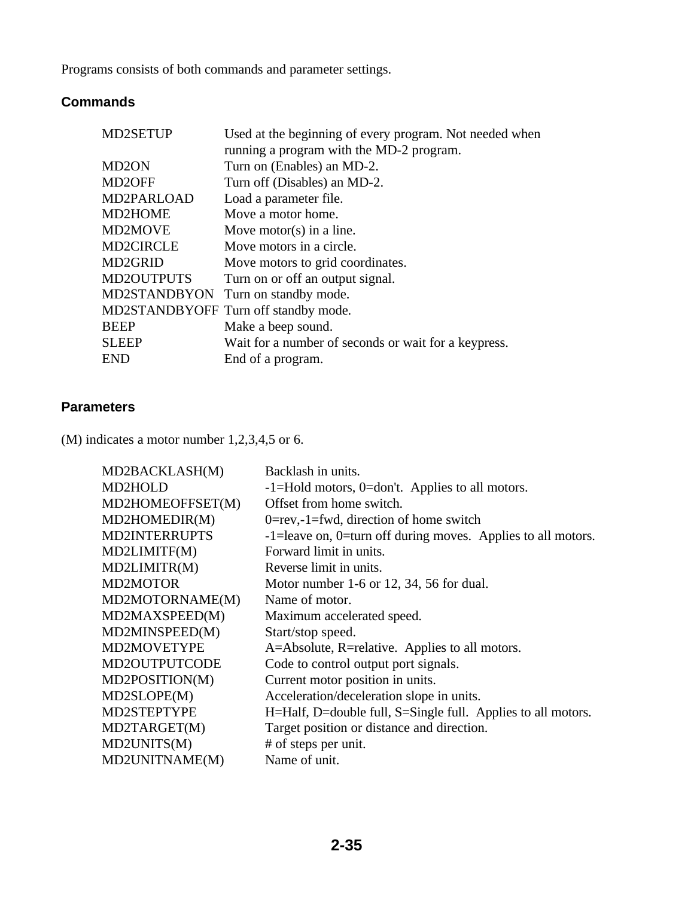Programs consists of both commands and parameter settings.

### **Commands**

| <b>MD2SETUP</b>      | Used at the beginning of every program. Not needed when |
|----------------------|---------------------------------------------------------|
|                      | running a program with the MD-2 program.                |
| MD <sub>2</sub> ON   | Turn on (Enables) an MD-2.                              |
| MD <sub>2</sub> OFF  | Turn off (Disables) an MD-2.                            |
| MD2PARLOAD           | Load a parameter file.                                  |
| MD2HOME              | Move a motor home.                                      |
| <b>MD2MOVE</b>       | Move motor(s) in a line.                                |
| <b>MD2CIRCLE</b>     | Move motors in a circle.                                |
| MD <sub>2</sub> GRID | Move motors to grid coordinates.                        |
| <b>MD2OUTPUTS</b>    | Turn on or off an output signal.                        |
|                      | MD2STANDBYON Turn on standby mode.                      |
|                      | MD2STANDBYOFF Turn off standby mode.                    |
| <b>BEEP</b>          | Make a beep sound.                                      |
| <b>SLEEP</b>         | Wait for a number of seconds or wait for a keypress.    |
| END                  | End of a program.                                       |
|                      |                                                         |

### **Parameters**

(M) indicates a motor number 1,2,3,4,5 or 6.

| MD2BACKLASH(M)       | Backlash in units.                                           |
|----------------------|--------------------------------------------------------------|
| MD2HOLD              | -1=Hold motors, 0=don't. Applies to all motors.              |
| MD2HOMEOFFSET(M)     | Offset from home switch.                                     |
| MD2HOMEDIR(M)        | $0 = rev, -1 = fwd$ , direction of home switch               |
| <b>MD2INTERRUPTS</b> | -1=leave on, 0=turn off during moves. Applies to all motors. |
| MD2LIMITF(M)         | Forward limit in units.                                      |
| MD2LIMITR(M)         | Reverse limit in units.                                      |
| <b>MD2MOTOR</b>      | Motor number 1-6 or 12, 34, 56 for dual.                     |
| MD2MOTORNAME(M)      | Name of motor.                                               |
| MD2MAXSPEED(M)       | Maximum accelerated speed.                                   |
| MD2MINSPEED(M)       | Start/stop speed.                                            |
| MD2MOVETYPE          | A=Absolute, R=relative. Applies to all motors.               |
| MD2OUTPUTCODE        | Code to control output port signals.                         |
| MD2POSITION(M)       | Current motor position in units.                             |
| MD2SLOPE(M)          | Acceleration/deceleration slope in units.                    |
| MD2STEPTYPE          | H=Half, D=double full, S=Single full. Applies to all motors. |
| MD2TARGET(M)         | Target position or distance and direction.                   |
| MD2UNITS(M)          | # of steps per unit.                                         |
| MD2UNITNAME(M)       | Name of unit.                                                |
|                      |                                                              |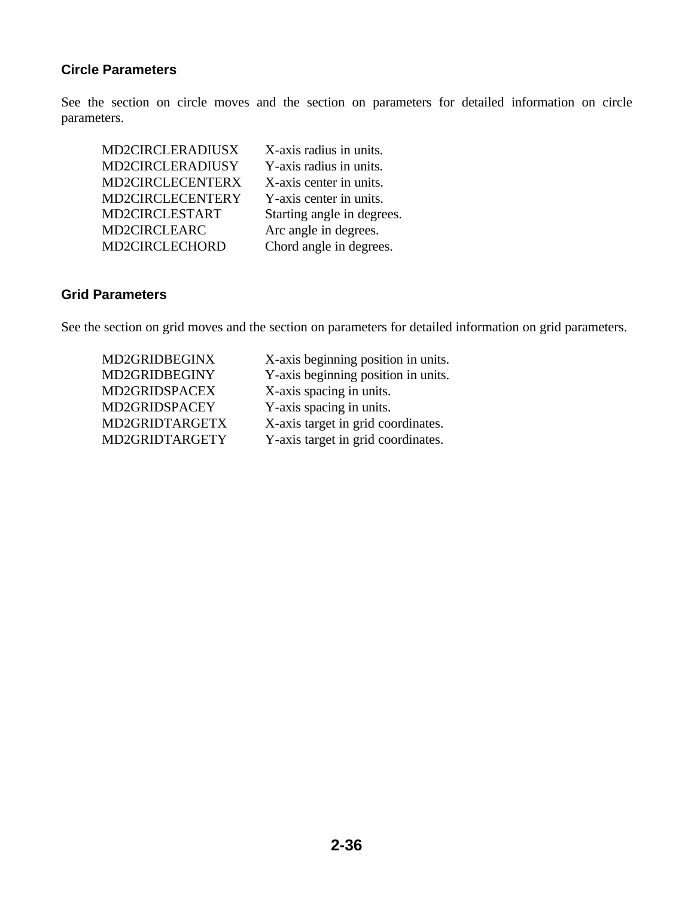### **Circle Parameters**

See the section on circle moves and the section on parameters for detailed information on circle parameters.

| MD2CIRCLERADIUSX | X-axis radius in units.    |
|------------------|----------------------------|
| MD2CIRCLERADIUSY | Y-axis radius in units.    |
| MD2CIRCLECENTERX | X-axis center in units.    |
| MD2CIRCLECENTERY | Y-axis center in units.    |
| MD2CIRCLESTART   | Starting angle in degrees. |
| MD2CIRCLEARC     | Arc angle in degrees.      |
| MD2CIRCLECHORD   | Chord angle in degrees.    |

### **Grid Parameters**

See the section on grid moves and the section on parameters for detailed information on grid parameters.

 MD2GRIDBEGINX X-axis beginning position in units. MD2GRIDBEGINY Y-axis beginning position in units. MD2GRIDSPACEX X-axis spacing in units. MD2GRIDSPACEY Y-axis spacing in units. MD2GRIDTARGETX X-axis target in grid coordinates. MD2GRIDTARGETY Y-axis target in grid coordinates.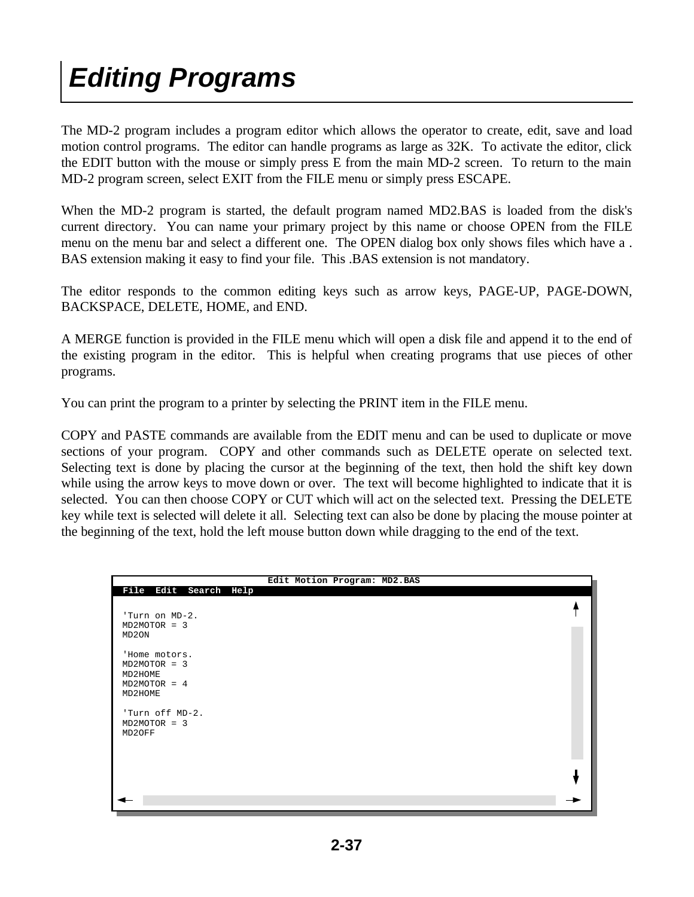# *Editing Programs*

The MD-2 program includes a program editor which allows the operator to create, edit, save and load motion control programs. The editor can handle programs as large as 32K. To activate the editor, click the EDIT button with the mouse or simply press E from the main MD-2 screen. To return to the main MD-2 program screen, select EXIT from the FILE menu or simply press ESCAPE.

When the MD-2 program is started, the default program named MD2.BAS is loaded from the disk's current directory. You can name your primary project by this name or choose OPEN from the FILE menu on the menu bar and select a different one. The OPEN dialog box only shows files which have a . BAS extension making it easy to find your file. This .BAS extension is not mandatory.

The editor responds to the common editing keys such as arrow keys, PAGE-UP, PAGE-DOWN, BACKSPACE, DELETE, HOME, and END.

A MERGE function is provided in the FILE menu which will open a disk file and append it to the end of the existing program in the editor. This is helpful when creating programs that use pieces of other programs.

You can print the program to a printer by selecting the PRINT item in the FILE menu.

COPY and PASTE commands are available from the EDIT menu and can be used to duplicate or move sections of your program. COPY and other commands such as DELETE operate on selected text. Selecting text is done by placing the cursor at the beginning of the text, then hold the shift key down while using the arrow keys to move down or over. The text will become highlighted to indicate that it is selected. You can then choose COPY or CUT which will act on the selected text. Pressing the DELETE key while text is selected will delete it all. Selecting text can also be done by placing the mouse pointer at the beginning of the text, hold the left mouse button down while dragging to the end of the text.

|                                                                       | Edit Motion Program: MD2.BAS |  |
|-----------------------------------------------------------------------|------------------------------|--|
| File Edit Search Help<br>'Turn on MD-2.<br>$MD2MOTOR = 3$             |                              |  |
| MD2ON<br>'Home motors.<br>$MD2MOTOR = 3$<br>MD2HOME<br>$MD2MOTOR = 4$ |                              |  |
| MD2HOME<br>'Turn off MD-2.<br>$MD2MOTOR = 3$<br>MD2OFF                |                              |  |
|                                                                       |                              |  |
|                                                                       |                              |  |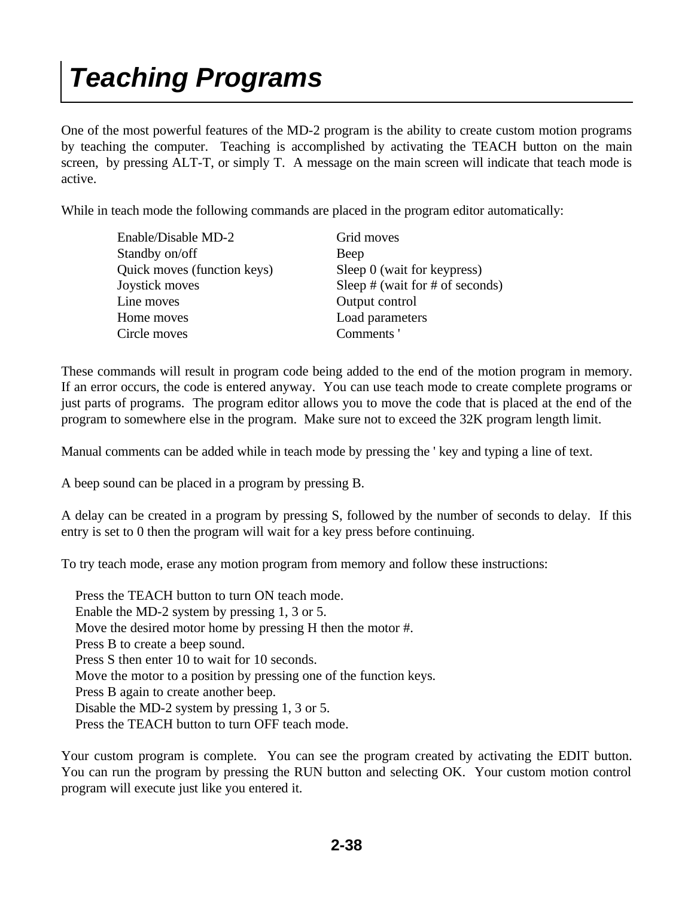# *Teaching Programs*

One of the most powerful features of the MD-2 program is the ability to create custom motion programs by teaching the computer. Teaching is accomplished by activating the TEACH button on the main screen, by pressing ALT-T, or simply T. A message on the main screen will indicate that teach mode is active.

While in teach mode the following commands are placed in the program editor automatically:

| Enable/Disable MD-2         | Grid moves                          |
|-----------------------------|-------------------------------------|
| Standby on/off              | Beep                                |
| Quick moves (function keys) | Sleep 0 (wait for keypress)         |
| Joystick moves              | Sleep $#$ (wait for $#$ of seconds) |
| Line moves                  | Output control                      |
| Home moves                  | Load parameters                     |
| Circle moves                | Comments'                           |

These commands will result in program code being added to the end of the motion program in memory. If an error occurs, the code is entered anyway. You can use teach mode to create complete programs or just parts of programs. The program editor allows you to move the code that is placed at the end of the program to somewhere else in the program. Make sure not to exceed the 32K program length limit.

Manual comments can be added while in teach mode by pressing the ' key and typing a line of text.

A beep sound can be placed in a program by pressing B.

A delay can be created in a program by pressing S, followed by the number of seconds to delay. If this entry is set to 0 then the program will wait for a key press before continuing.

To try teach mode, erase any motion program from memory and follow these instructions:

 Press the TEACH button to turn ON teach mode. Enable the MD-2 system by pressing 1, 3 or 5. Move the desired motor home by pressing H then the motor #. Press B to create a beep sound. Press S then enter 10 to wait for 10 seconds. Move the motor to a position by pressing one of the function keys. Press B again to create another beep. Disable the MD-2 system by pressing 1, 3 or 5. Press the TEACH button to turn OFF teach mode.

Your custom program is complete. You can see the program created by activating the EDIT button. You can run the program by pressing the RUN button and selecting OK. Your custom motion control program will execute just like you entered it.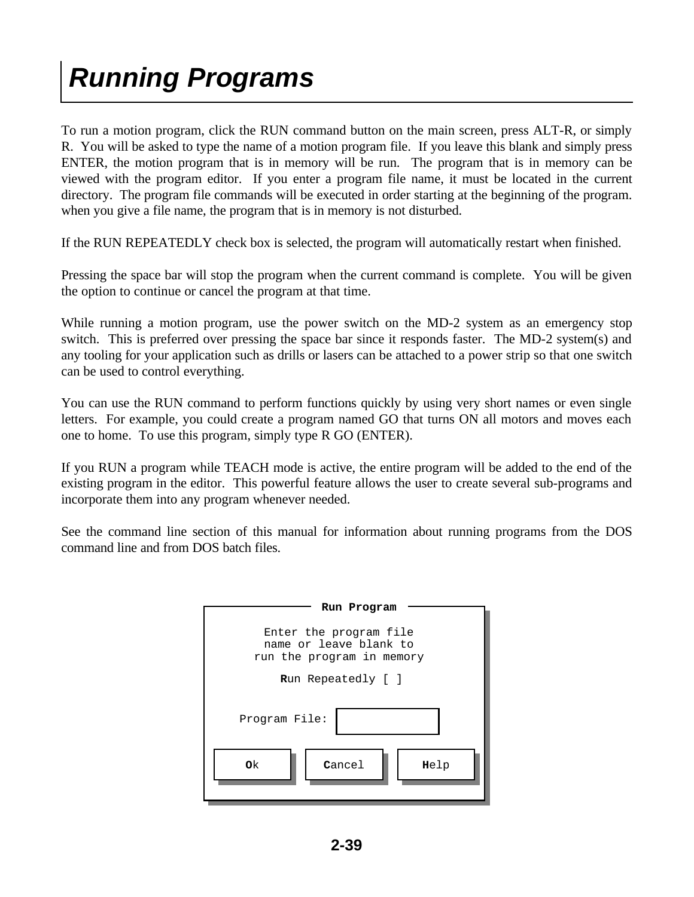# *Running Programs*

To run a motion program, click the RUN command button on the main screen, press ALT-R, or simply R. You will be asked to type the name of a motion program file. If you leave this blank and simply press ENTER, the motion program that is in memory will be run. The program that is in memory can be viewed with the program editor. If you enter a program file name, it must be located in the current directory. The program file commands will be executed in order starting at the beginning of the program. when you give a file name, the program that is in memory is not disturbed.

If the RUN REPEATEDLY check box is selected, the program will automatically restart when finished.

Pressing the space bar will stop the program when the current command is complete. You will be given the option to continue or cancel the program at that time.

While running a motion program, use the power switch on the MD-2 system as an emergency stop switch. This is preferred over pressing the space bar since it responds faster. The MD-2 system(s) and any tooling for your application such as drills or lasers can be attached to a power strip so that one switch can be used to control everything.

You can use the RUN command to perform functions quickly by using very short names or even single letters. For example, you could create a program named GO that turns ON all motors and moves each one to home. To use this program, simply type R GO (ENTER).

If you RUN a program while TEACH mode is active, the entire program will be added to the end of the existing program in the editor. This powerful feature allows the user to create several sub-programs and incorporate them into any program whenever needed.

See the command line section of this manual for information about running programs from the DOS command line and from DOS batch files.

| Run Program                                                                   |  |  |  |
|-------------------------------------------------------------------------------|--|--|--|
| Enter the program file<br>name or leave blank to<br>run the program in memory |  |  |  |
| <b>Run</b> Repeatedly [ ]                                                     |  |  |  |
| Program File:                                                                 |  |  |  |
| Cancel<br>0k<br>Help                                                          |  |  |  |
|                                                                               |  |  |  |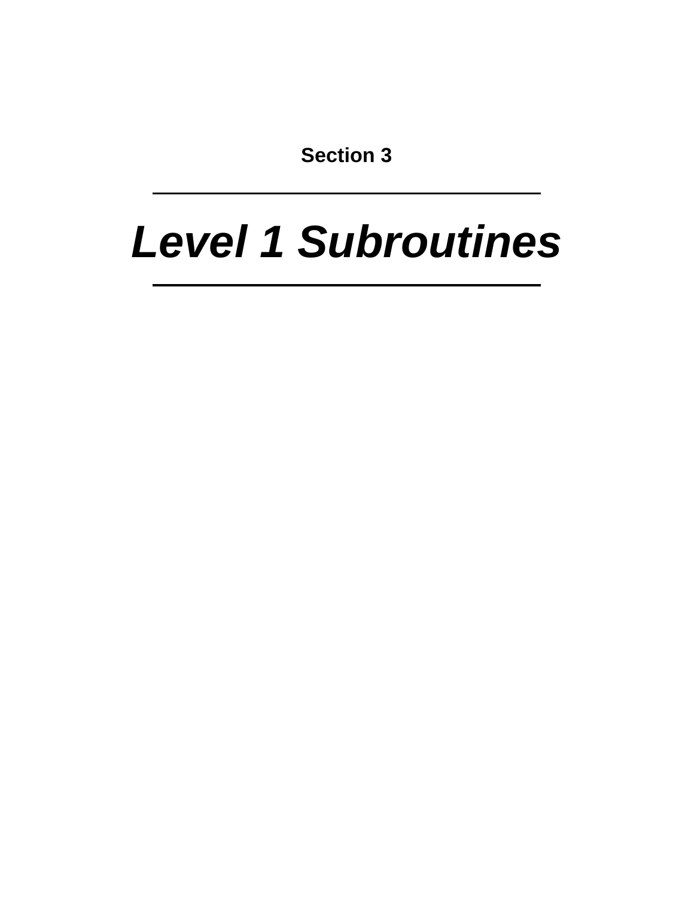**Section 3**

# *Level 1 Subroutines*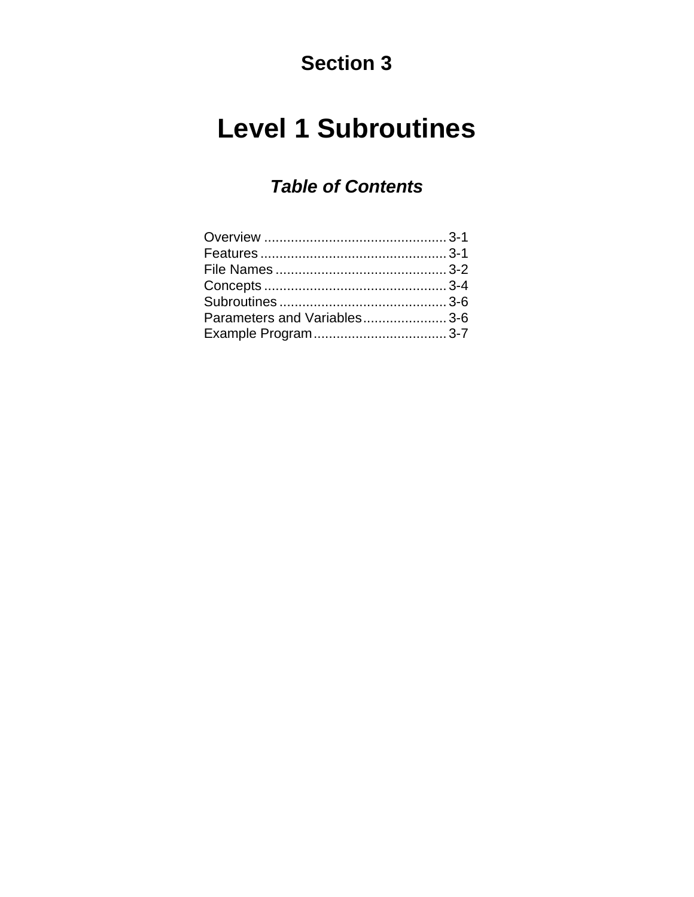### **Section 3**

### **Level 1 Subroutines**

### *Table of Contents*

| Parameters and Variables3-6 |  |
|-----------------------------|--|
|                             |  |
|                             |  |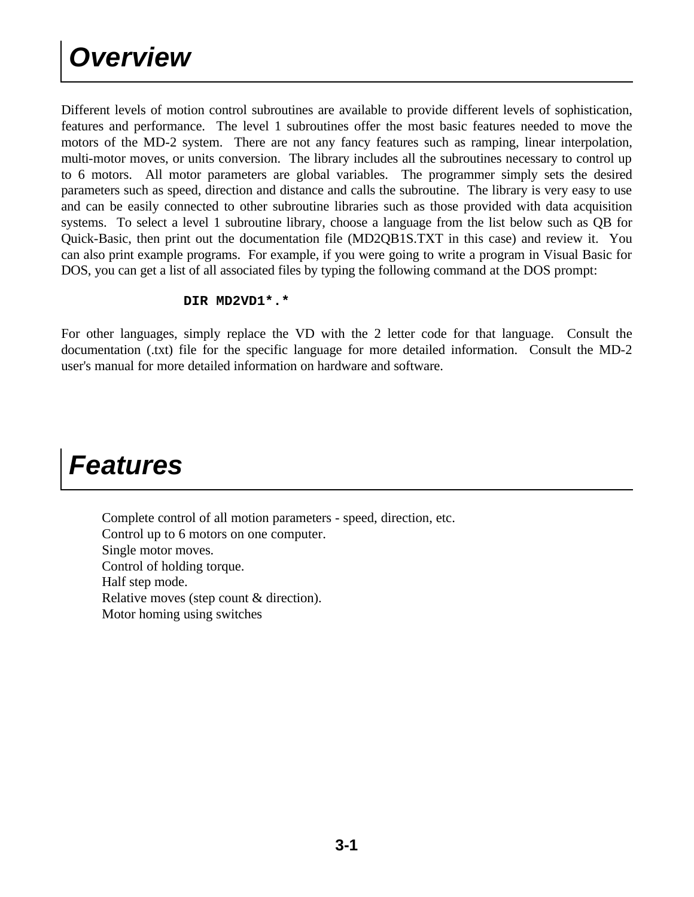Different levels of motion control subroutines are available to provide different levels of sophistication, features and performance. The level 1 subroutines offer the most basic features needed to move the motors of the MD-2 system. There are not any fancy features such as ramping, linear interpolation, multi-motor moves, or units conversion. The library includes all the subroutines necessary to control up to 6 motors. All motor parameters are global variables. The programmer simply sets the desired parameters such as speed, direction and distance and calls the subroutine. The library is very easy to use and can be easily connected to other subroutine libraries such as those provided with data acquisition systems. To select a level 1 subroutine library, choose a language from the list below such as QB for Quick-Basic, then print out the documentation file (MD2QB1S.TXT in this case) and review it. You can also print example programs. For example, if you were going to write a program in Visual Basic for DOS, you can get a list of all associated files by typing the following command at the DOS prompt:

### **DIR MD2VD1\*.\***

For other languages, simply replace the VD with the 2 letter code for that language. Consult the documentation (.txt) file for the specific language for more detailed information. Consult the MD-2 user's manual for more detailed information on hardware and software.

### *Features*

 Complete control of all motion parameters - speed, direction, etc. Control up to 6 motors on one computer. Single motor moves. Control of holding torque. Half step mode. Relative moves (step count & direction). Motor homing using switches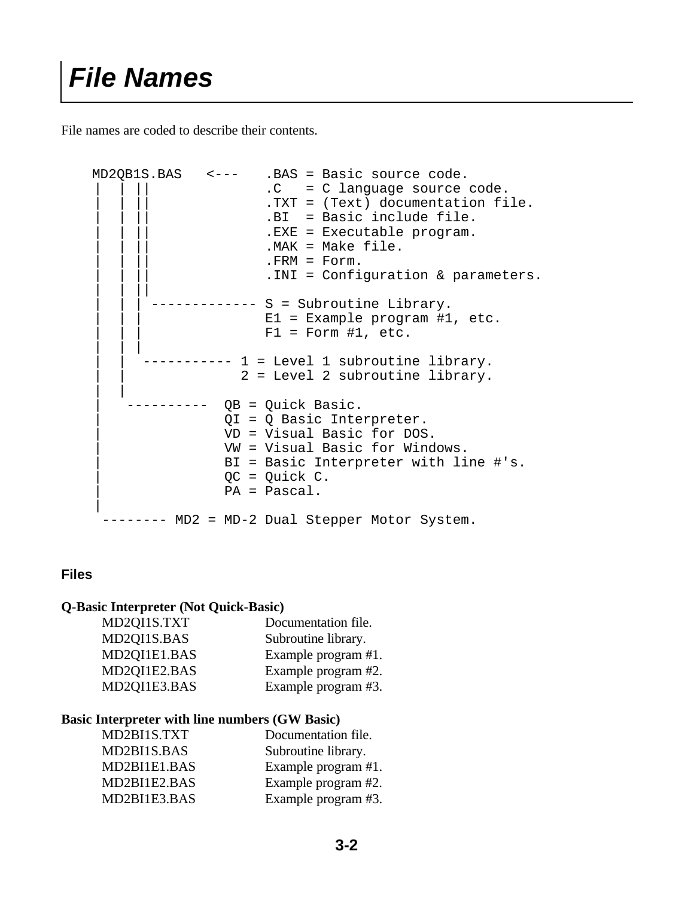File names are coded to describe their contents.

```
 MD2QB1S.BAS <--- .BAS = Basic source code.
                         .C = C language source code.
                         .TXT = (Text) documentation file.
                         .BI = Basic include file.
                         .EXE = Executable program.
                         .MAK = Make file..FRM = Form.. INI = Configuration & parameters.
 | | ||
                   ----- S = Subroutine Library.
                         E1 = Example program #1, etc.
                         F1 = Form #1, etc.
 | | |
                --- 1 = Level 1 subroutine library.2 = Level 2 subroutine library.
 | |
              ---- QB = Quick Basic.
                     | QI = Q Basic Interpreter.
                     | VD = Visual Basic for DOS.
                     | VW = Visual Basic for Windows.
                     | BI = Basic Interpreter with line #'s.
                    QC = Quick C. | PA = Pascal.
 |
     -------- MD2 = MD-2 Dual Stepper Motor System.
```
### **Files**

#### **Q-Basic Interpreter (Not Quick-Basic)**

| Documentation file. |
|---------------------|
| Subroutine library. |
| Example program #1. |
| Example program #2. |
| Example program #3. |
|                     |

#### **Basic Interpreter with line numbers (GW Basic)**

| MD2BI1S.TXT  | Documentation file. |
|--------------|---------------------|
| MD2BI1S.BAS  | Subroutine library. |
| MD2BI1E1.BAS | Example program #1. |
| MD2BI1E2.BAS | Example program #2. |
| MD2BI1E3.BAS | Example program #3. |
|              |                     |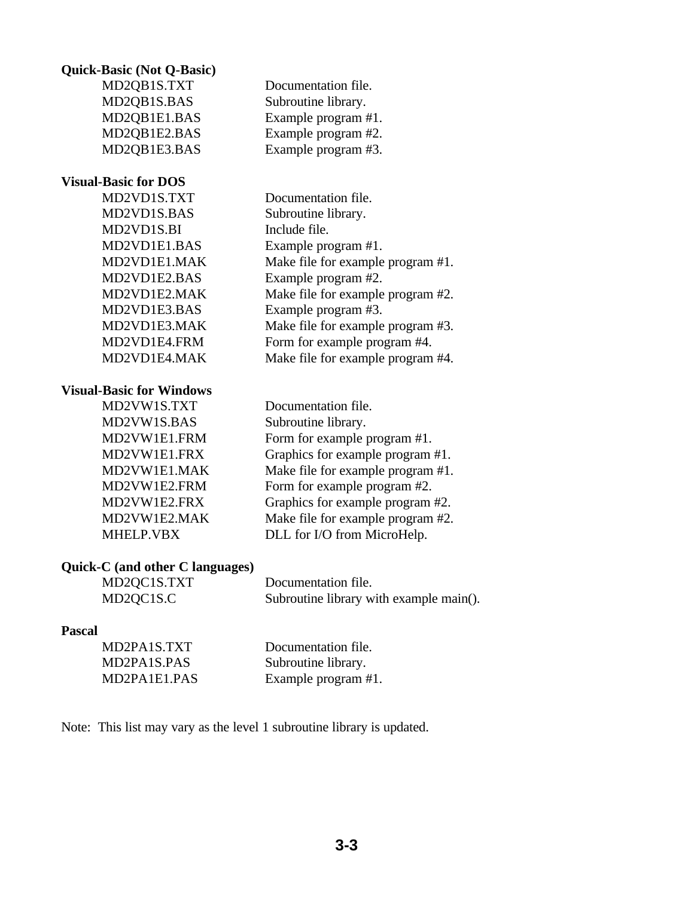#### **Quick-Basic (Not Q-Basic)**

 MD2QB1S.TXT Documentation file. MD2QB1S.BAS Subroutine library. MD2QB1E1.BAS Example program #1. MD2QB1E2.BAS Example program #2. MD2QB1E3.BAS Example program #3.

#### **Visual-Basic for DOS**

 MD2VD1S.TXT Documentation file. MD2VD1S.BAS Subroutine library. MD2VD1S.BI Include file. MD2VD1E1.BAS Example program #1. MD2VD1E1.MAK Make file for example program #1. MD2VD1E2.BAS Example program #2. MD2VD1E2.MAK Make file for example program #2. MD2VD1E3.BAS Example program #3. MD2VD1E3.MAK Make file for example program #3. MD2VD1E4.FRM Form for example program #4. MD2VD1E4.MAK Make file for example program #4.

#### **Visual-Basic for Windows**

 MD2VW1S.TXT Documentation file. MD2VW1S.BAS Subroutine library.

MD2VW1E1.FRM Form for example program #1. MD2VW1E1.FRX Graphics for example program #1. MD2VW1E1.MAK Make file for example program #1. MD2VW1E2.FRM Form for example program #2. MD2VW1E2.FRX Graphics for example program #2. MD2VW1E2.MAK Make file for example program #2. MHELP.VBX DLL for I/O from MicroHelp.

### **Quick-C (and other C languages)**

 MD2QC1S.TXT Documentation file. MD2QC1S.C Subroutine library with example main().

### **Pascal**

| MD2PA1S.TXT  | Documentation file. |
|--------------|---------------------|
| MD2PA1S.PAS  | Subroutine library. |
| MD2PA1E1.PAS | Example program #1. |

Note: This list may vary as the level 1 subroutine library is updated.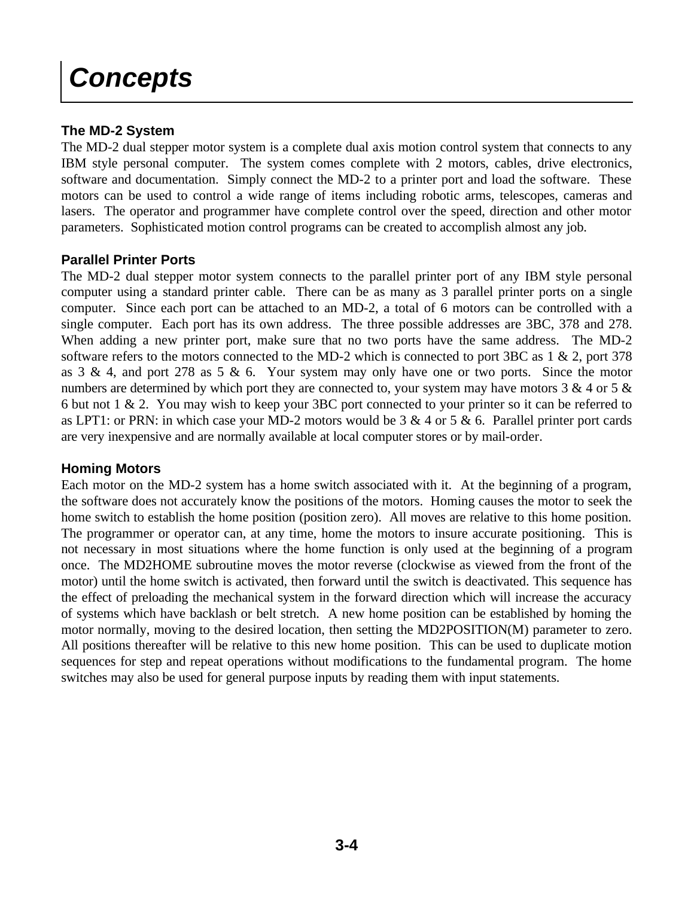### *Concepts*

### **The MD-2 System**

The MD-2 dual stepper motor system is a complete dual axis motion control system that connects to any IBM style personal computer. The system comes complete with 2 motors, cables, drive electronics, software and documentation. Simply connect the MD-2 to a printer port and load the software. These motors can be used to control a wide range of items including robotic arms, telescopes, cameras and lasers. The operator and programmer have complete control over the speed, direction and other motor parameters. Sophisticated motion control programs can be created to accomplish almost any job.

### **Parallel Printer Ports**

The MD-2 dual stepper motor system connects to the parallel printer port of any IBM style personal computer using a standard printer cable. There can be as many as 3 parallel printer ports on a single computer. Since each port can be attached to an MD-2, a total of 6 motors can be controlled with a single computer. Each port has its own address. The three possible addresses are 3BC, 378 and 278. When adding a new printer port, make sure that no two ports have the same address. The MD-2 software refers to the motors connected to the MD-2 which is connected to port 3BC as 1 & 2, port 378 as  $3 \& 4$ , and port 278 as  $5 \& 6$ . Your system may only have one or two ports. Since the motor numbers are determined by which port they are connected to, your system may have motors  $3 \& 4$  or  $5 \& 4$ 6 but not 1 & 2. You may wish to keep your 3BC port connected to your printer so it can be referred to as LPT1: or PRN: in which case your MD-2 motors would be  $3 \& 4$  or  $5 \& 6$ . Parallel printer port cards are very inexpensive and are normally available at local computer stores or by mail-order.

### **Homing Motors**

Each motor on the MD-2 system has a home switch associated with it. At the beginning of a program, the software does not accurately know the positions of the motors. Homing causes the motor to seek the home switch to establish the home position (position zero). All moves are relative to this home position. The programmer or operator can, at any time, home the motors to insure accurate positioning. This is not necessary in most situations where the home function is only used at the beginning of a program once. The MD2HOME subroutine moves the motor reverse (clockwise as viewed from the front of the motor) until the home switch is activated, then forward until the switch is deactivated. This sequence has the effect of preloading the mechanical system in the forward direction which will increase the accuracy of systems which have backlash or belt stretch. A new home position can be established by homing the motor normally, moving to the desired location, then setting the MD2POSITION(M) parameter to zero. All positions thereafter will be relative to this new home position. This can be used to duplicate motion sequences for step and repeat operations without modifications to the fundamental program. The home switches may also be used for general purpose inputs by reading them with input statements.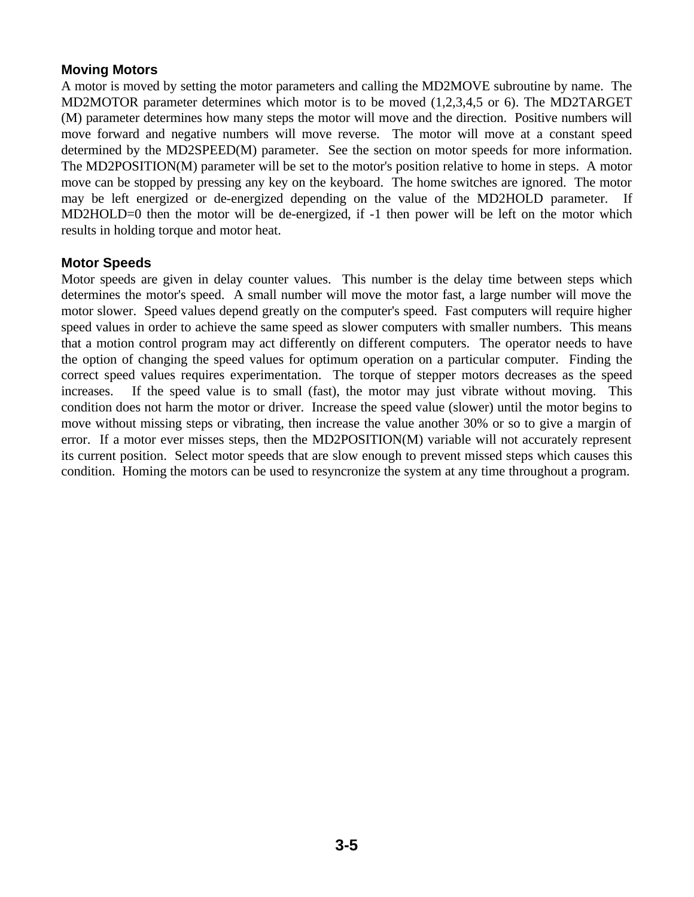### **Moving Motors**

A motor is moved by setting the motor parameters and calling the MD2MOVE subroutine by name. The MD2MOTOR parameter determines which motor is to be moved (1,2,3,4,5 or 6). The MD2TARGET (M) parameter determines how many steps the motor will move and the direction. Positive numbers will move forward and negative numbers will move reverse. The motor will move at a constant speed determined by the MD2SPEED(M) parameter. See the section on motor speeds for more information. The MD2POSITION(M) parameter will be set to the motor's position relative to home in steps. A motor move can be stopped by pressing any key on the keyboard. The home switches are ignored. The motor may be left energized or de-energized depending on the value of the MD2HOLD parameter. If MD2HOLD=0 then the motor will be de-energized, if -1 then power will be left on the motor which results in holding torque and motor heat.

### **Motor Speeds**

Motor speeds are given in delay counter values. This number is the delay time between steps which determines the motor's speed. A small number will move the motor fast, a large number will move the motor slower. Speed values depend greatly on the computer's speed. Fast computers will require higher speed values in order to achieve the same speed as slower computers with smaller numbers. This means that a motion control program may act differently on different computers. The operator needs to have the option of changing the speed values for optimum operation on a particular computer. Finding the correct speed values requires experimentation. The torque of stepper motors decreases as the speed increases. If the speed value is to small (fast), the motor may just vibrate without moving. This condition does not harm the motor or driver. Increase the speed value (slower) until the motor begins to move without missing steps or vibrating, then increase the value another 30% or so to give a margin of error. If a motor ever misses steps, then the MD2POSITION(M) variable will not accurately represent its current position. Select motor speeds that are slow enough to prevent missed steps which causes this condition. Homing the motors can be used to resyncronize the system at any time throughout a program.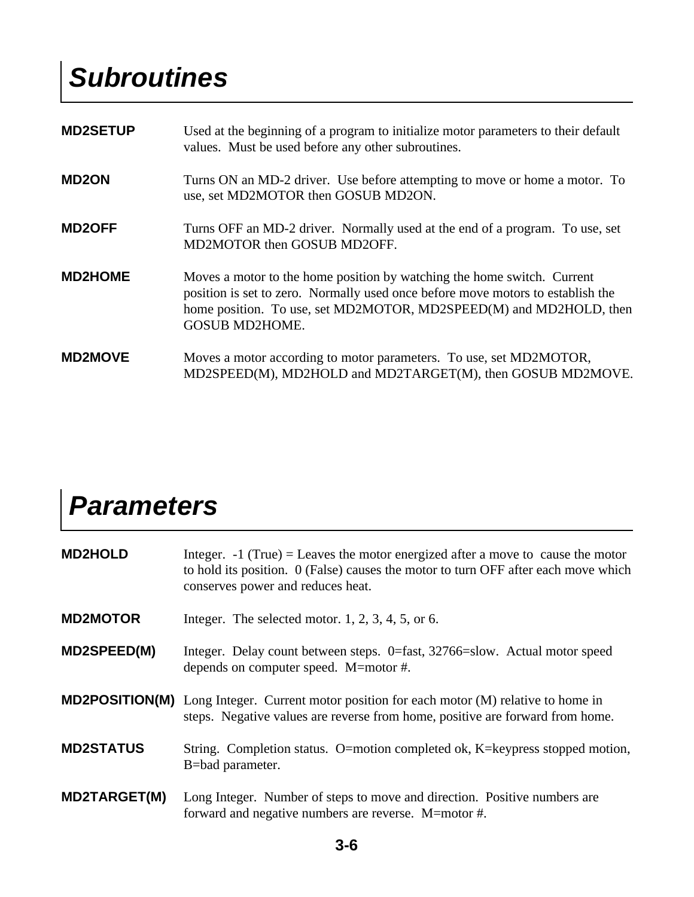### *Subroutines*

| <b>MD2SETUP</b> | Used at the beginning of a program to initialize motor parameters to their default<br>values. Must be used before any other subroutines.                                                                                                                  |
|-----------------|-----------------------------------------------------------------------------------------------------------------------------------------------------------------------------------------------------------------------------------------------------------|
| <b>MD2ON</b>    | Turns ON an MD-2 driver. Use before attempting to move or home a motor. To<br>use, set MD2MOTOR then GOSUB MD2ON.                                                                                                                                         |
| <b>MD2OFF</b>   | Turns OFF an MD-2 driver. Normally used at the end of a program. To use, set<br>MD2MOTOR then GOSUB MD2OFF.                                                                                                                                               |
| <b>MD2HOME</b>  | Moves a motor to the home position by watching the home switch. Current<br>position is set to zero. Normally used once before move motors to establish the<br>home position. To use, set MD2MOTOR, MD2SPEED(M) and MD2HOLD, then<br><b>GOSUB MD2HOME.</b> |
| <b>MD2MOVE</b>  | Moves a motor according to motor parameters. To use, set MD2MOTOR,<br>MD2SPEED(M), MD2HOLD and MD2TARGET(M), then GOSUB MD2MOVE.                                                                                                                          |

### *Parameters*

| <b>MD2HOLD</b>      | Integer. $-1$ (True) = Leaves the motor energized after a move to cause the motor<br>to hold its position. 0 (False) causes the motor to turn OFF after each move which<br>conserves power and reduces heat. |
|---------------------|--------------------------------------------------------------------------------------------------------------------------------------------------------------------------------------------------------------|
| <b>MD2MOTOR</b>     | Integer. The selected motor. $1, 2, 3, 4, 5$ , or 6.                                                                                                                                                         |
| <b>MD2SPEED(M)</b>  | Integer. Delay count between steps. 0=fast, 32766=slow. Actual motor speed<br>depends on computer speed. M=motor #.                                                                                          |
|                     | <b>MD2POSITION(M)</b> Long Integer. Current motor position for each motor (M) relative to home in<br>steps. Negative values are reverse from home, positive are forward from home.                           |
| <b>MD2STATUS</b>    | String. Completion status. O=motion completed ok, K=keypress stopped motion,<br>B=bad parameter.                                                                                                             |
| <b>MD2TARGET(M)</b> | Long Integer. Number of steps to move and direction. Positive numbers are<br>forward and negative numbers are reverse. M=motor #.                                                                            |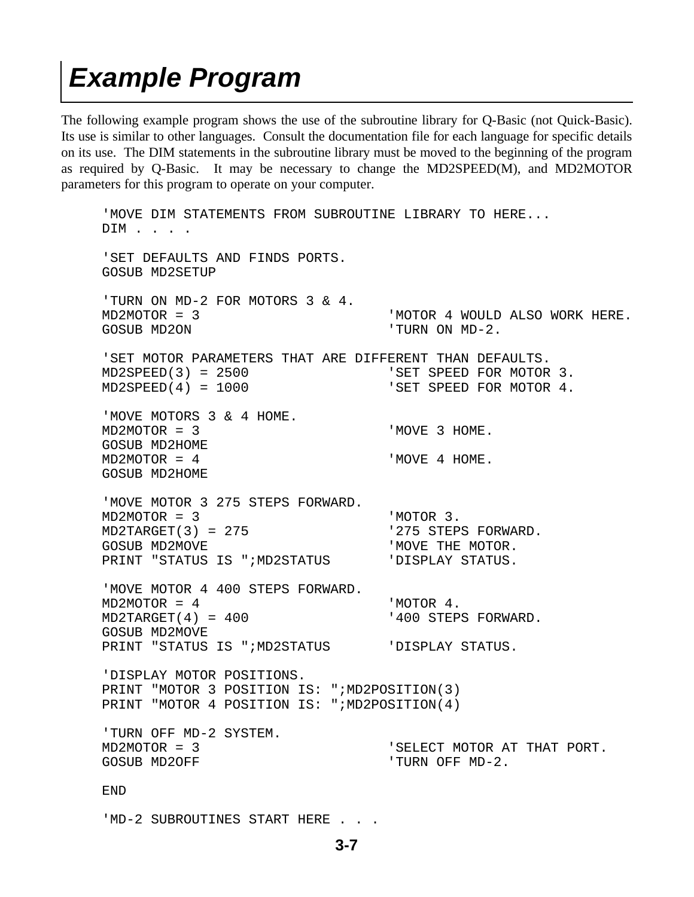### *Example Program*

The following example program shows the use of the subroutine library for Q-Basic (not Quick-Basic). Its use is similar to other languages. Consult the documentation file for each language for specific details on its use. The DIM statements in the subroutine library must be moved to the beginning of the program as required by Q-Basic. It may be necessary to change the MD2SPEED(M), and MD2MOTOR parameters for this program to operate on your computer.

```
 'MOVE DIM STATEMENTS FROM SUBROUTINE LIBRARY TO HERE...
DIM . . . .
 'SET DEFAULTS AND FINDS PORTS.
 GOSUB MD2SETUP
 'TURN ON MD-2 FOR MOTORS 3 & 4.
 MD2MOTOR = 3 'MOTOR 4 WOULD ALSO WORK HERE.
 GOSUB MD2ON 'TURN ON MD-2.
 'SET MOTOR PARAMETERS THAT ARE DIFFERENT THAN DEFAULTS.
 MD2SPEED(3) = 2500 'SET SPEED FOR MOTOR 3.
 MD2SPEED(4) = 1000 'SET SPEED FOR MOTOR 4.
 'MOVE MOTORS 3 & 4 HOME.
MD2MOTOR = 3 ' MOVE 3 HOME.
 GOSUB MD2HOME
MD2MOTOR = 4 ' MOVE 4 HOME.
 GOSUB MD2HOME
 'MOVE MOTOR 3 275 STEPS FORWARD.
 MD2MOTOR = 3 'MOTOR 3.
 MD2TARGET(3) = 275 '275 STEPS FORWARD.
GOSUB MD2MOVE 'MOVE THE MOTOR.
 PRINT "STATUS IS ";MD2STATUS 'DISPLAY STATUS.
 'MOVE MOTOR 4 400 STEPS FORWARD.
MD2MOTOR = 4 'MOTOR 4.
 MD2TARGET(4) = 400 '400 STEPS FORWARD.
 GOSUB MD2MOVE
 PRINT "STATUS IS ";MD2STATUS 'DISPLAY STATUS.
 'DISPLAY MOTOR POSITIONS.
 PRINT "MOTOR 3 POSITION IS: ";MD2POSITION(3)
PRINT "MOTOR 4 POSITION IS: ";MD2POSITION(4)
 'TURN OFF MD-2 SYSTEM.
 MD2MOTOR = 3 'SELECT MOTOR AT THAT PORT.
GOSUB MD2OFF ' 'TURN OFF MD-2.
 END
```
'MD-2 SUBROUTINES START HERE . . .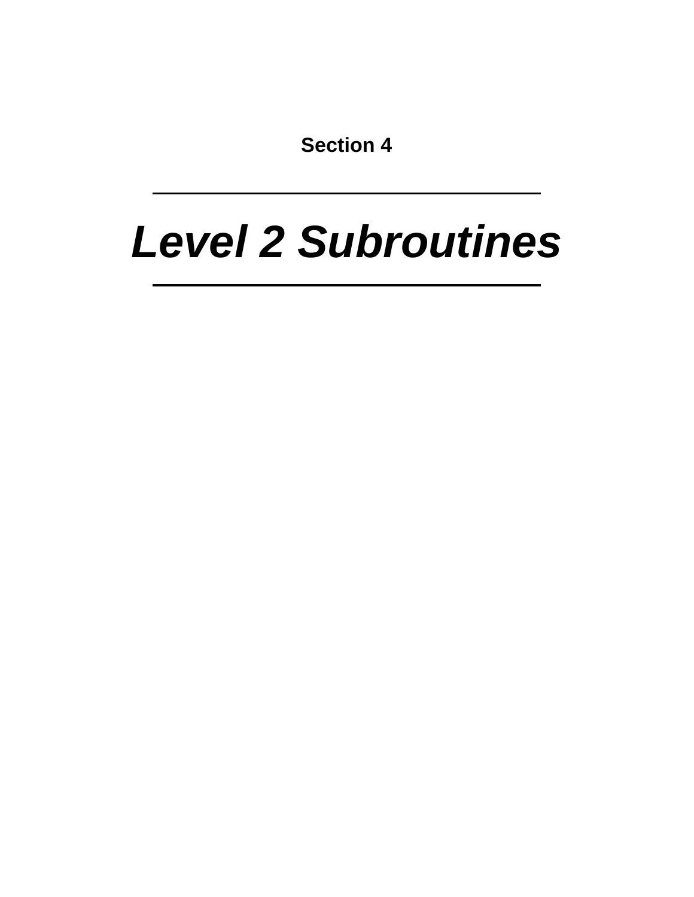**Section 4**

# *Level 2 Subroutines*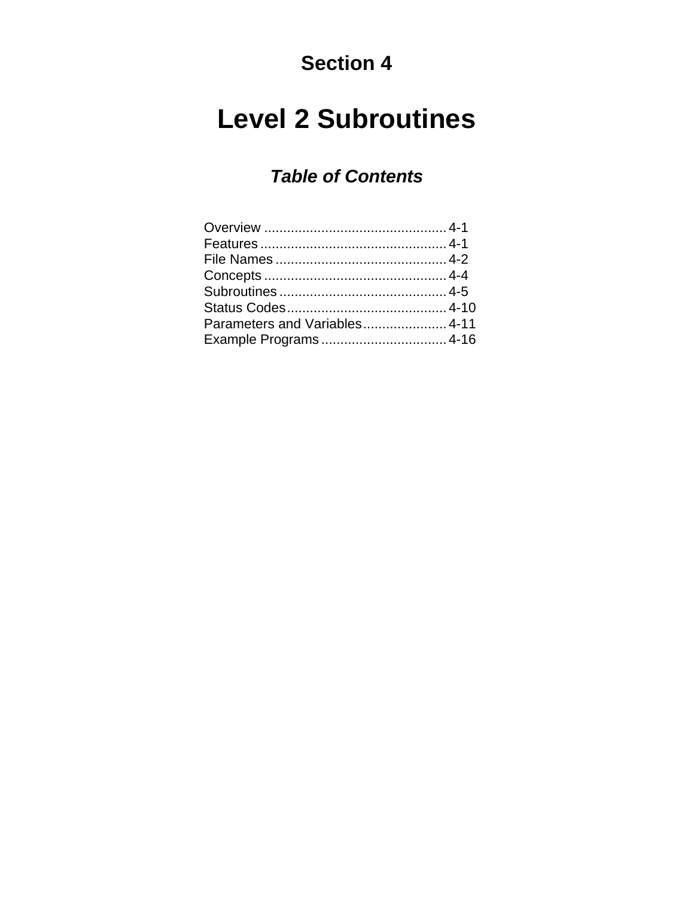### **Section 4**

### **Level 2 Subroutines**

### *Table of Contents*

| Parameters and Variables 4-11 |  |
|-------------------------------|--|
|                               |  |
|                               |  |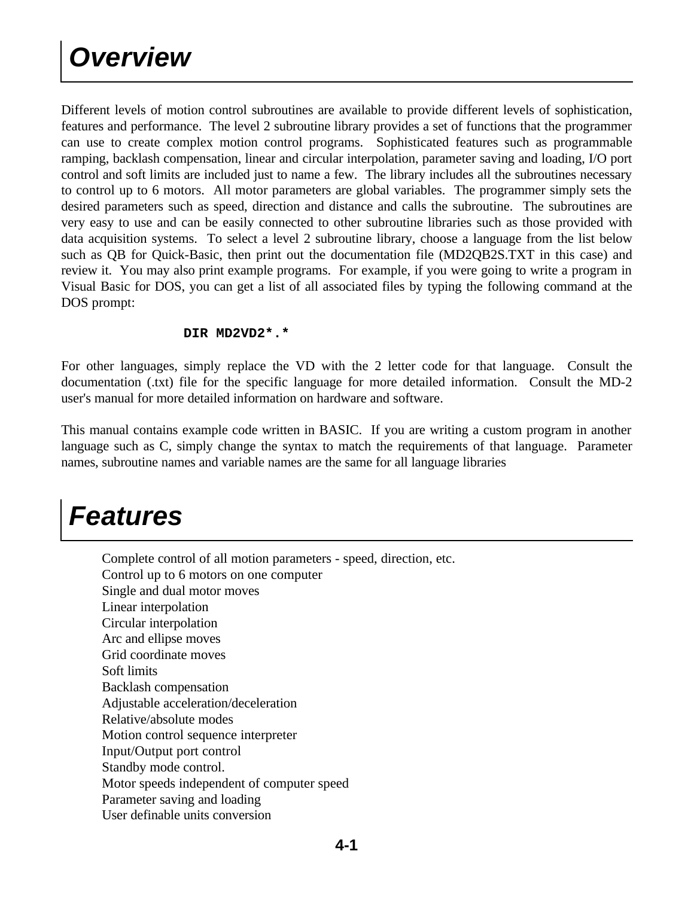Different levels of motion control subroutines are available to provide different levels of sophistication, features and performance. The level 2 subroutine library provides a set of functions that the programmer can use to create complex motion control programs. Sophisticated features such as programmable ramping, backlash compensation, linear and circular interpolation, parameter saving and loading, I/O port control and soft limits are included just to name a few. The library includes all the subroutines necessary to control up to 6 motors. All motor parameters are global variables. The programmer simply sets the desired parameters such as speed, direction and distance and calls the subroutine. The subroutines are very easy to use and can be easily connected to other subroutine libraries such as those provided with data acquisition systems. To select a level 2 subroutine library, choose a language from the list below such as QB for Quick-Basic, then print out the documentation file (MD2QB2S.TXT in this case) and review it. You may also print example programs. For example, if you were going to write a program in Visual Basic for DOS, you can get a list of all associated files by typing the following command at the DOS prompt:

#### **DIR MD2VD2\*.\***

For other languages, simply replace the VD with the 2 letter code for that language. Consult the documentation (.txt) file for the specific language for more detailed information. Consult the MD-2 user's manual for more detailed information on hardware and software.

This manual contains example code written in BASIC. If you are writing a custom program in another language such as C, simply change the syntax to match the requirements of that language. Parameter names, subroutine names and variable names are the same for all language libraries

### *Features*

 Complete control of all motion parameters - speed, direction, etc. Control up to 6 motors on one computer Single and dual motor moves Linear interpolation Circular interpolation Arc and ellipse moves Grid coordinate moves Soft limits Backlash compensation Adjustable acceleration/deceleration Relative/absolute modes Motion control sequence interpreter Input/Output port control Standby mode control. Motor speeds independent of computer speed Parameter saving and loading User definable units conversion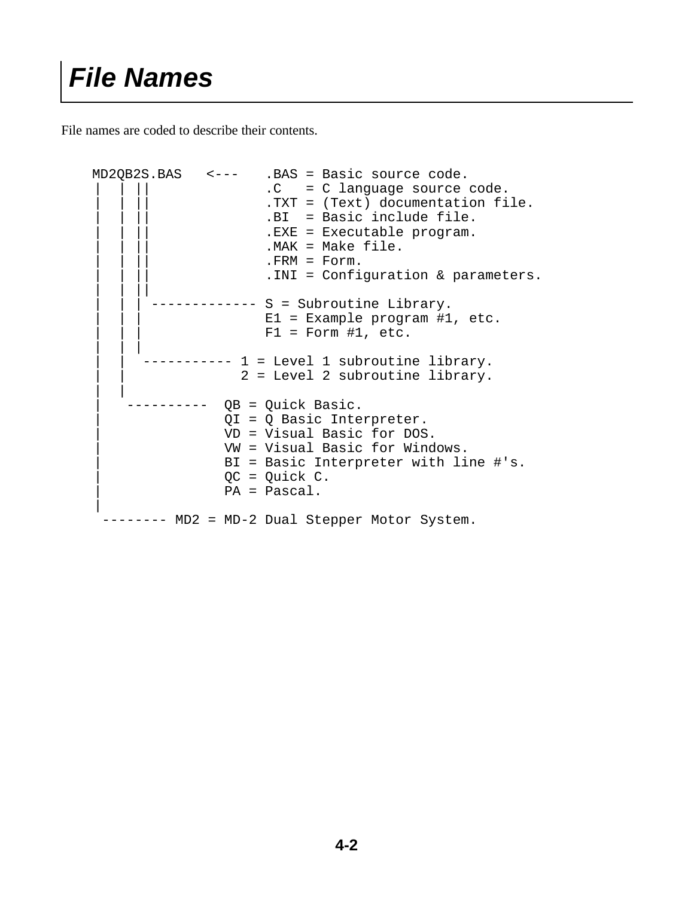File names are coded to describe their contents.

```
 MD2QB2S.BAS <--- .BAS = Basic source code.
                         .C = C language source code.
                         .TXT = (Text) documentation file.
                         .BI = Basic include file.
                         .EXE = Executable program.
                         .MAK = Make file..FRM = Form.. INI = Configuration & parameters.
 | | ||
                  ------ S = Subroutine Library.
                         E1 = Example program #1, etc.
                         F1 = Form #1, etc.
 | | |
                --- 1 = Level 1 subroutine library.2 = Level 2 subroutine library.
 | |
             ----- QB = Quick Basic.
                     | QI = Q Basic Interpreter.
                     | VD = Visual Basic for DOS.
                     | VW = Visual Basic for Windows.
                    | BI = Basic Interpreter with line #'s.
                    QC = Quick C. | PA = Pascal.
 |
     -------- MD2 = MD-2 Dual Stepper Motor System.
```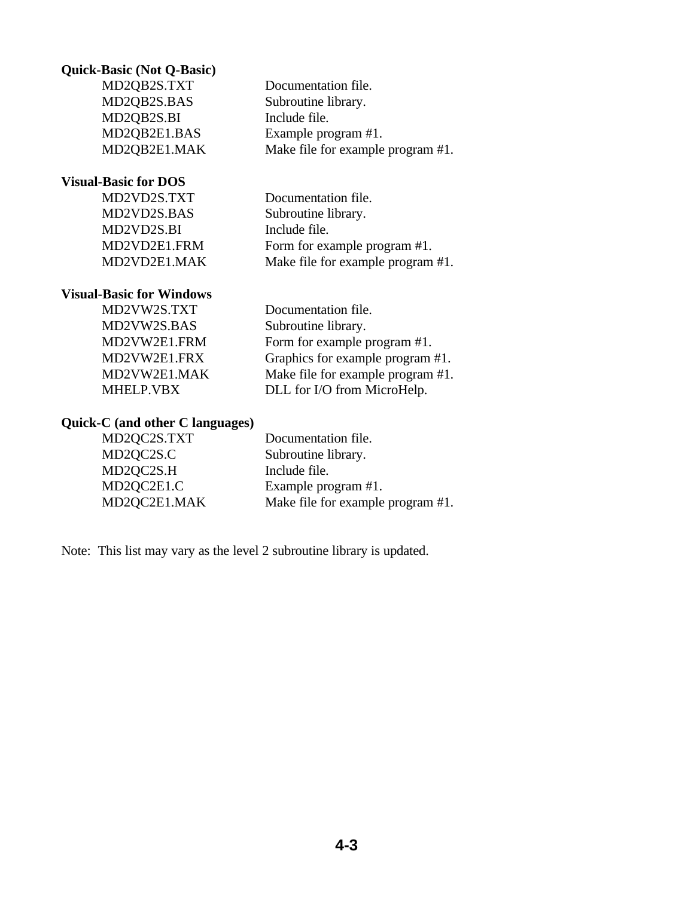#### **Quick-Basic (Not Q-Basic)**

 MD2QB2S.TXT Documentation file. MD2QB2S.BAS Subroutine library. MD2QB2S.BI Include file. MD2QB2E1.BAS Example program #1. MD2QB2E1.MAK Make file for example program #1.

**Visual-Basic for DOS**

 MD2VD2S.TXT Documentation file. MD2VD2S.BAS Subroutine library. MD2VD2S.BI Include file. MD2VD2E1.FRM Form for example program #1. MD2VD2E1.MAK Make file for example program #1.

#### **Visual-Basic for Windows**

MD2VW2S.BAS Subroutine library.

 MD2VW2S.TXT Documentation file. MD2VW2E1.FRM Form for example program #1. MD2VW2E1.FRX Graphics for example program #1. MD2VW2E1.MAK Make file for example program #1. MHELP.VBX DLL for I/O from MicroHelp.

#### **Quick-C (and other C languages)**

| MD2QC2S.TXT  | Documentation file.               |
|--------------|-----------------------------------|
| MD2QC2S.C    | Subroutine library.               |
| MD2QC2S.H    | Include file.                     |
| MD2QC2E1.C   | Example program #1.               |
| MD2QC2E1.MAK | Make file for example program #1. |

Note: This list may vary as the level 2 subroutine library is updated.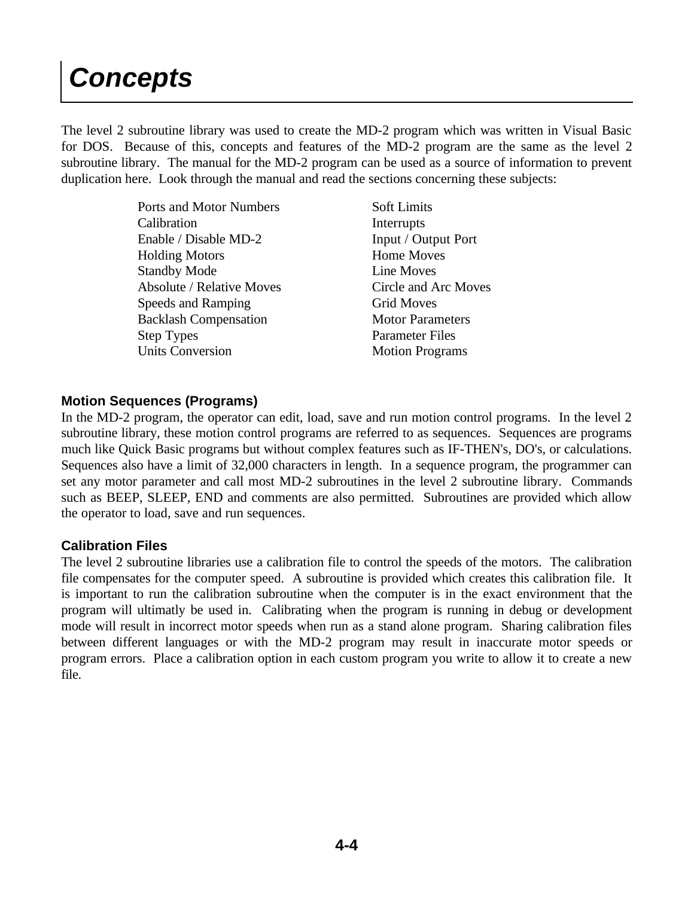## *Concepts*

The level 2 subroutine library was used to create the MD-2 program which was written in Visual Basic for DOS. Because of this, concepts and features of the MD-2 program are the same as the level 2 subroutine library. The manual for the MD-2 program can be used as a source of information to prevent duplication here. Look through the manual and read the sections concerning these subjects:

> Ports and Motor Numbers Calibration Enable / Disable MD-2 Holding Motors Standby Mode Absolute / Relative Moves Speeds and Ramping Backlash Compensation Step Types Units Conversion

Soft Limits Interrupts Input / Output Port Home Moves Line Moves Circle and Arc Moves Grid Moves Motor Parameters Parameter Files Motion Programs

### **Motion Sequences (Programs)**

In the MD-2 program, the operator can edit, load, save and run motion control programs. In the level 2 subroutine library, these motion control programs are referred to as sequences. Sequences are programs much like Quick Basic programs but without complex features such as IF-THEN's, DO's, or calculations. Sequences also have a limit of 32,000 characters in length. In a sequence program, the programmer can set any motor parameter and call most MD-2 subroutines in the level 2 subroutine library. Commands such as BEEP, SLEEP, END and comments are also permitted. Subroutines are provided which allow the operator to load, save and run sequences.

### **Calibration Files**

The level 2 subroutine libraries use a calibration file to control the speeds of the motors. The calibration file compensates for the computer speed. A subroutine is provided which creates this calibration file. It is important to run the calibration subroutine when the computer is in the exact environment that the program will ultimatly be used in. Calibrating when the program is running in debug or development mode will result in incorrect motor speeds when run as a stand alone program. Sharing calibration files between different languages or with the MD-2 program may result in inaccurate motor speeds or program errors. Place a calibration option in each custom program you write to allow it to create a new file.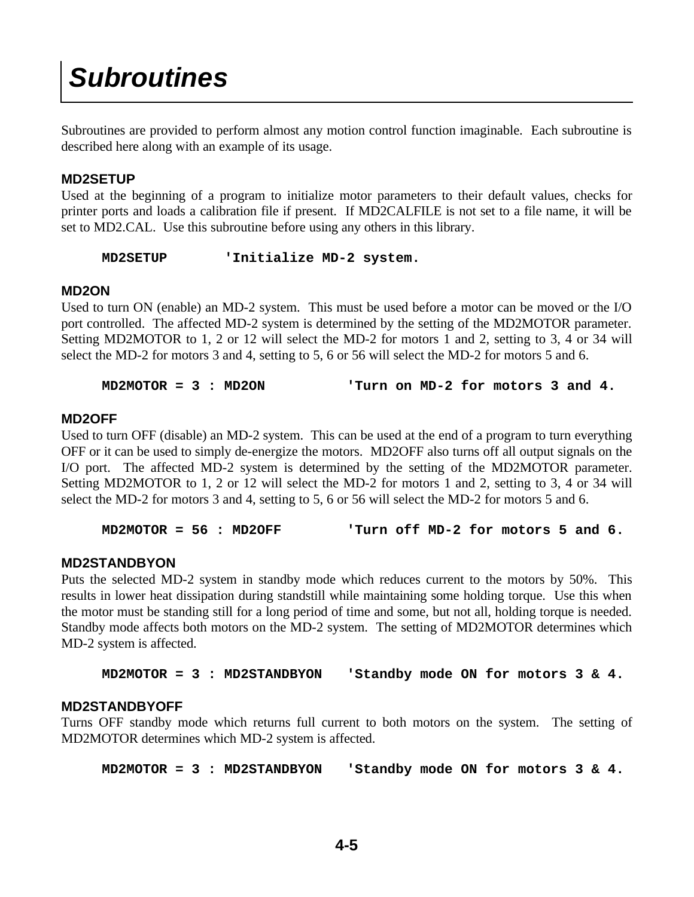### *Subroutines*

Subroutines are provided to perform almost any motion control function imaginable. Each subroutine is described here along with an example of its usage.

### **MD2SETUP**

Used at the beginning of a program to initialize motor parameters to their default values, checks for printer ports and loads a calibration file if present. If MD2CALFILE is not set to a file name, it will be set to MD2.CAL. Use this subroutine before using any others in this library.

```
 MD2SETUP 'Initialize MD-2 system.
```
#### **MD2ON**

Used to turn ON (enable) an MD-2 system. This must be used before a motor can be moved or the I/O port controlled. The affected MD-2 system is determined by the setting of the MD2MOTOR parameter. Setting MD2MOTOR to 1, 2 or 12 will select the MD-2 for motors 1 and 2, setting to 3, 4 or 34 will select the MD-2 for motors 3 and 4, setting to 5, 6 or 56 will select the MD-2 for motors 5 and 6.

 **MD2MOTOR = 3 : MD2ON 'Turn on MD-2 for motors 3 and 4.**

#### **MD2OFF**

Used to turn OFF (disable) an MD-2 system. This can be used at the end of a program to turn everything OFF or it can be used to simply de-energize the motors. MD2OFF also turns off all output signals on the I/O port. The affected MD-2 system is determined by the setting of the MD2MOTOR parameter. Setting MD2MOTOR to 1, 2 or 12 will select the MD-2 for motors 1 and 2, setting to 3, 4 or 34 will select the MD-2 for motors 3 and 4, setting to 5, 6 or 56 will select the MD-2 for motors 5 and 6.

 **MD2MOTOR = 56 : MD2OFF 'Turn off MD-2 for motors 5 and 6.**

### **MD2STANDBYON**

Puts the selected MD-2 system in standby mode which reduces current to the motors by 50%. This results in lower heat dissipation during standstill while maintaining some holding torque. Use this when the motor must be standing still for a long period of time and some, but not all, holding torque is needed. Standby mode affects both motors on the MD-2 system. The setting of MD2MOTOR determines which MD-2 system is affected.

 **MD2MOTOR = 3 : MD2STANDBYON 'Standby mode ON for motors 3 & 4.**

### **MD2STANDBYOFF**

Turns OFF standby mode which returns full current to both motors on the system. The setting of MD2MOTOR determines which MD-2 system is affected.

 **MD2MOTOR = 3 : MD2STANDBYON 'Standby mode ON for motors 3 & 4.**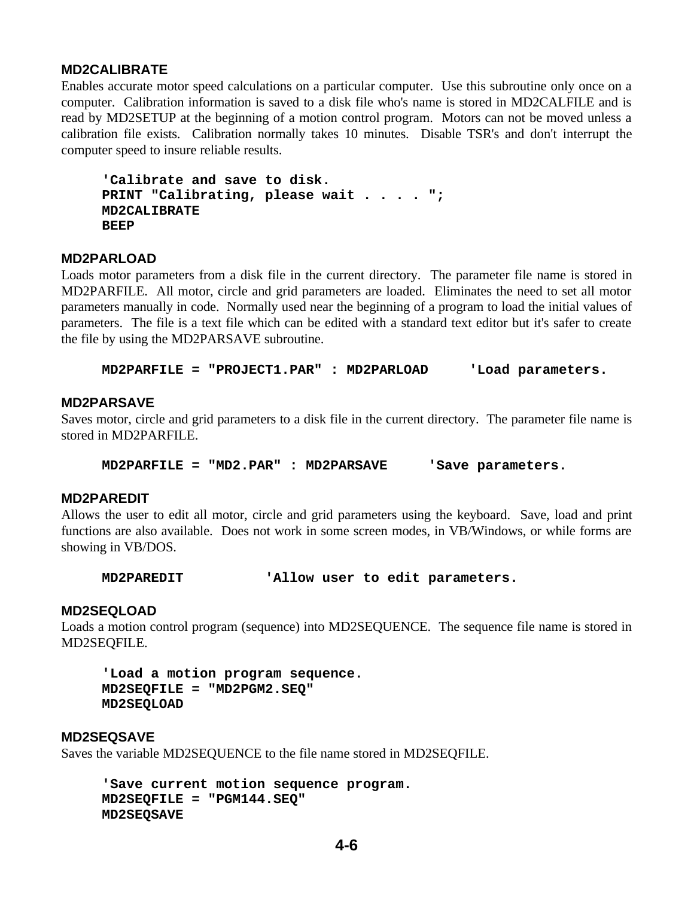### **MD2CALIBRATE**

Enables accurate motor speed calculations on a particular computer. Use this subroutine only once on a computer. Calibration information is saved to a disk file who's name is stored in MD2CALFILE and is read by MD2SETUP at the beginning of a motion control program. Motors can not be moved unless a calibration file exists. Calibration normally takes 10 minutes. Disable TSR's and don't interrupt the computer speed to insure reliable results.

```
 'Calibrate and save to disk.
 PRINT "Calibrating, please wait . . . . ";
 MD2CALIBRATE
 BEEP
```
#### **MD2PARLOAD**

Loads motor parameters from a disk file in the current directory. The parameter file name is stored in MD2PARFILE. All motor, circle and grid parameters are loaded. Eliminates the need to set all motor parameters manually in code. Normally used near the beginning of a program to load the initial values of parameters. The file is a text file which can be edited with a standard text editor but it's safer to create the file by using the MD2PARSAVE subroutine.

 **MD2PARFILE = "PROJECT1.PAR" : MD2PARLOAD 'Load parameters.**

#### **MD2PARSAVE**

Saves motor, circle and grid parameters to a disk file in the current directory. The parameter file name is stored in MD2PARFILE.

 **MD2PARFILE = "MD2.PAR" : MD2PARSAVE 'Save parameters.**

#### **MD2PAREDIT**

Allows the user to edit all motor, circle and grid parameters using the keyboard. Save, load and print functions are also available. Does not work in some screen modes, in VB/Windows, or while forms are showing in VB/DOS.

 **MD2PAREDIT 'Allow user to edit parameters.**

#### **MD2SEQLOAD**

Loads a motion control program (sequence) into MD2SEQUENCE. The sequence file name is stored in MD2SEQFILE.

```
 'Load a motion program sequence.
 MD2SEQFILE = "MD2PGM2.SEQ"
 MD2SEQLOAD
```
#### **MD2SEQSAVE**

Saves the variable MD2SEQUENCE to the file name stored in MD2SEQFILE.

```
 'Save current motion sequence program.
 MD2SEQFILE = "PGM144.SEQ"
 MD2SEQSAVE
```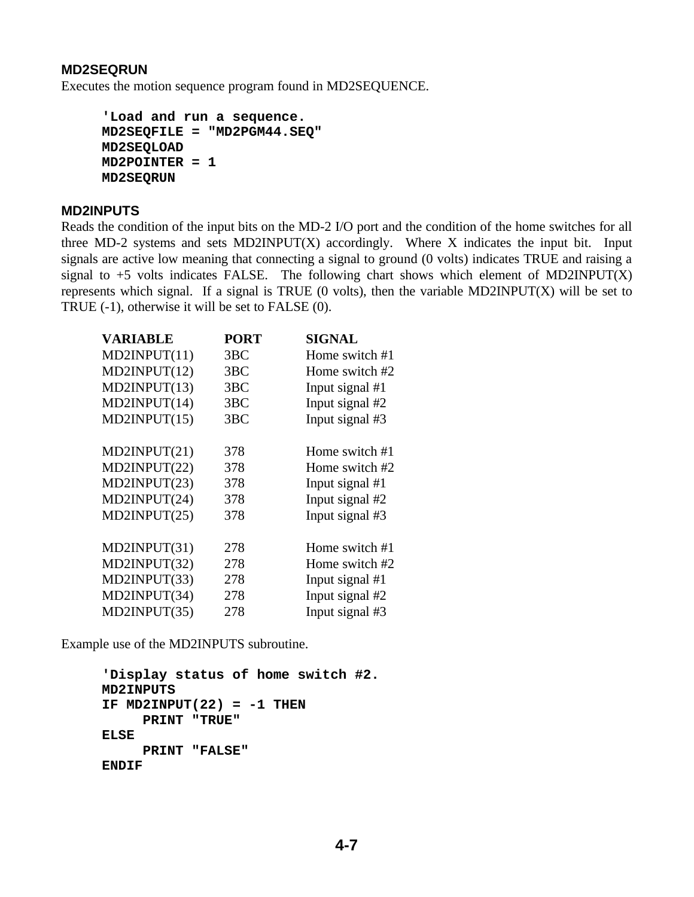### **MD2SEQRUN**

Executes the motion sequence program found in MD2SEQUENCE.

```
 'Load and run a sequence.
 MD2SEQFILE = "MD2PGM44.SEQ"
 MD2SEQLOAD
 MD2POINTER = 1
 MD2SEQRUN
```
#### **MD2INPUTS**

Reads the condition of the input bits on the MD-2 I/O port and the condition of the home switches for all three MD-2 systems and sets MD2INPUT $(X)$  accordingly. Where X indicates the input bit. Input signals are active low meaning that connecting a signal to ground (0 volts) indicates TRUE and raising a signal to  $+5$  volts indicates FALSE. The following chart shows which element of MD2INPUT(X) represents which signal. If a signal is TRUE (0 volts), then the variable MD2INPUT(X) will be set to TRUE (-1), otherwise it will be set to FALSE (0).

| <b>VARIABLE</b> | <b>PORT</b>     | <b>SIGNAL</b>   |
|-----------------|-----------------|-----------------|
| MD2INPUT(11)    | 3BC             | Home switch #1  |
| MD2INPUT(12)    | 3BC             | Home switch #2  |
| MD2INPUT(13)    | 3BC             | Input signal #1 |
| MD2INPUT(14)    | 3 <sub>BC</sub> | Input signal #2 |
| MD2INPUT(15)    | 3BC             | Input signal #3 |
|                 |                 |                 |
| MD2INPUT(21)    | 378             | Home switch #1  |
| MD2INPUT(22)    | 378             | Home switch #2  |
| MD2INPUT(23)    | 378             | Input signal #1 |
| MD2INPUT(24)    | 378             | Input signal #2 |
| MD2INPUT(25)    | 378             | Input signal #3 |
|                 |                 |                 |
| MD2INPUT(31)    | 278             | Home switch #1  |
| MD2INPUT(32)    | 278             | Home switch #2  |
| MD2INPUT(33)    | 278             | Input signal #1 |
| MD2INPUT(34)    | 278             | Input signal #2 |
| MD2INPUT(35)    | 278             | Input signal #3 |

Example use of the MD2INPUTS subroutine.

```
 'Display status of home switch #2.
 MD2INPUTS
 IF MD2INPUT(22) = -1 THEN
      PRINT "TRUE"
 ELSE
      PRINT "FALSE"
 ENDIF
```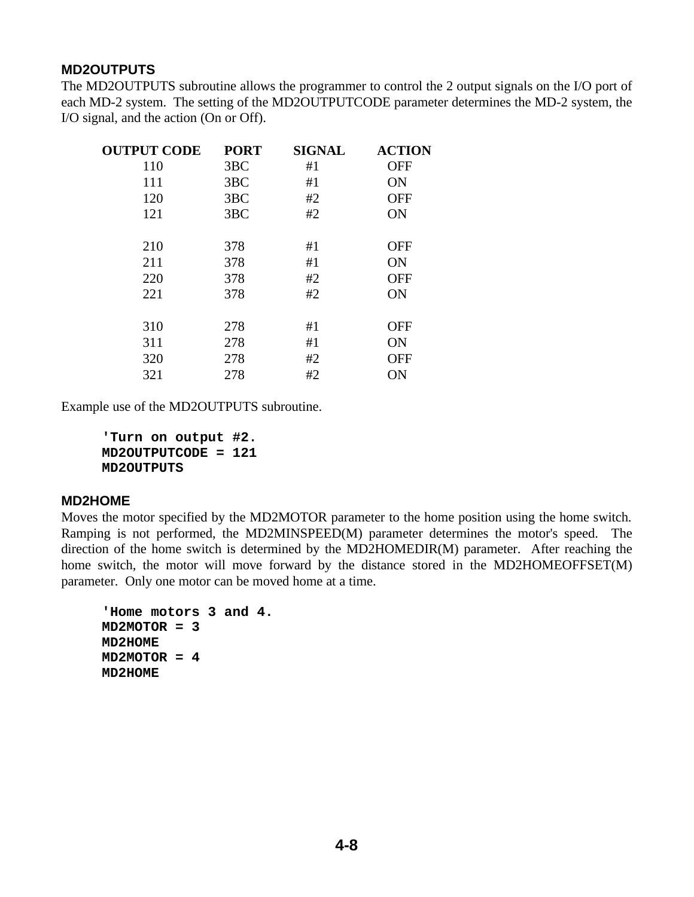### **MD2OUTPUTS**

The MD2OUTPUTS subroutine allows the programmer to control the 2 output signals on the I/O port of each MD-2 system. The setting of the MD2OUTPUTCODE parameter determines the MD-2 system, the I/O signal, and the action (On or Off).

| <b>OUTPUT CODE</b> | <b>PORT</b> | <b>SIGNAL</b> | <b>ACTION</b> |
|--------------------|-------------|---------------|---------------|
| 110                | 3BC         | #1            | <b>OFF</b>    |
| 111                | 3BC         | #1            | <b>ON</b>     |
| 120                | 3BC         | #2            | <b>OFF</b>    |
| 121                | 3BC         | #2            | ON            |
|                    |             |               |               |
| 210                | 378         | #1            | <b>OFF</b>    |
| 211                | 378         | #1            | <b>ON</b>     |
| 220                | 378         | #2            | <b>OFF</b>    |
| 221                | 378         | #2            | ON            |
|                    |             |               |               |
| 310                | 278         | #1            | <b>OFF</b>    |
| 311                | 278         | #1            | ON            |
| 320                | 278         | #2            | <b>OFF</b>    |
| 321                | 278         | #2            | ON            |

Example use of the MD2OUTPUTS subroutine.

 **'Turn on output #2. MD2OUTPUTCODE = 121 MD2OUTPUTS**

### **MD2HOME**

Moves the motor specified by the MD2MOTOR parameter to the home position using the home switch. Ramping is not performed, the MD2MINSPEED(M) parameter determines the motor's speed. The direction of the home switch is determined by the MD2HOMEDIR(M) parameter. After reaching the home switch, the motor will move forward by the distance stored in the MD2HOMEOFFSET(M) parameter. Only one motor can be moved home at a time.

```
 'Home motors 3 and 4.
 MD2MOTOR = 3
 MD2HOME
 MD2MOTOR = 4
 MD2HOME
```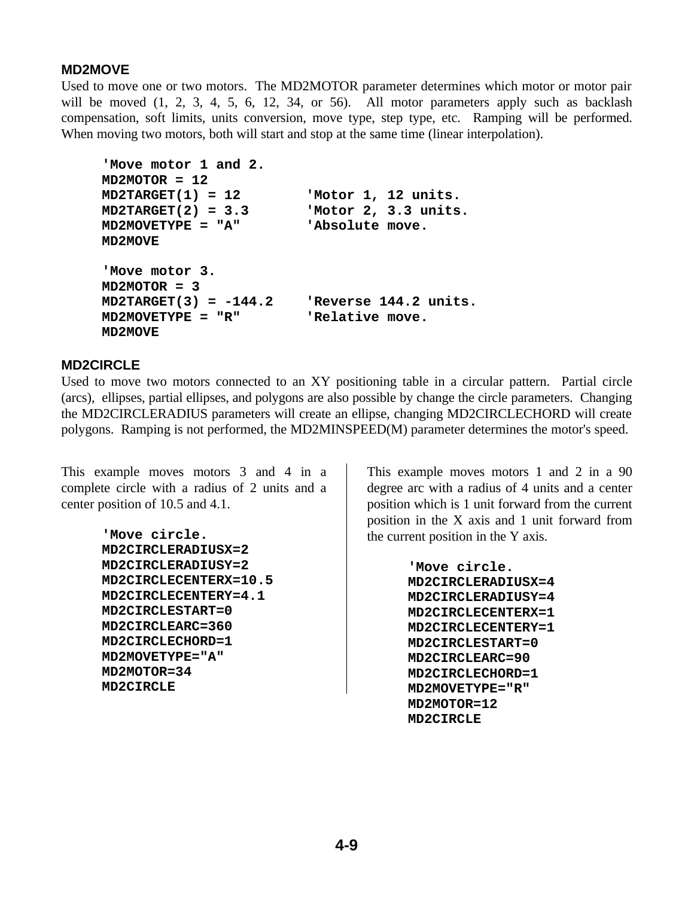### **MD2MOVE**

Used to move one or two motors. The MD2MOTOR parameter determines which motor or motor pair will be moved  $(1, 2, 3, 4, 5, 6, 12, 34, or 56)$ . All motor parameters apply such as backlash compensation, soft limits, units conversion, move type, step type, etc. Ramping will be performed. When moving two motors, both will start and stop at the same time (linear interpolation).

```
 'Move motor 1 and 2.
 MD2MOTOR = 12
 MD2TARGET(1) = 12 'Motor 1, 12 units.
 MD2TARGET(2) = 3.3 'Motor 2, 3.3 units.
 MD2MOVETYPE = "A" 'Absolute move.
 MD2MOVE
 'Move motor 3.
 MD2MOTOR = 3
 MD2TARGET(3) = -144.2 'Reverse 144.2 units.
 MD2MOVETYPE = "R" 'Relative move.
 MD2MOVE
```
### **MD2CIRCLE**

Used to move two motors connected to an XY positioning table in a circular pattern. Partial circle (arcs), ellipses, partial ellipses, and polygons are also possible by change the circle parameters. Changing the MD2CIRCLERADIUS parameters will create an ellipse, changing MD2CIRCLECHORD will create polygons. Ramping is not performed, the MD2MINSPEED(M) parameter determines the motor's speed.

This example moves motors 3 and 4 in a complete circle with a radius of 2 units and a center position of 10.5 and 4.1.

> **'Move circle. MD2CIRCLERADIUSX=2 MD2CIRCLERADIUSY=2 MD2CIRCLECENTERX=10.5 MD2CIRCLECENTERY=4.1 MD2CIRCLESTART=0 MD2CIRCLEARC=360 MD2CIRCLECHORD=1 MD2MOVETYPE="A" MD2MOTOR=34 MD2CIRCLE**

This example moves motors 1 and 2 in a 90 degree arc with a radius of 4 units and a center position which is 1 unit forward from the current position in the X axis and 1 unit forward from the current position in the Y axis.

> **'Move circle. MD2CIRCLERADIUSX=4 MD2CIRCLERADIUSY=4 MD2CIRCLECENTERX=1 MD2CIRCLECENTERY=1 MD2CIRCLESTART=0 MD2CIRCLEARC=90 MD2CIRCLECHORD=1 MD2MOVETYPE="R" MD2MOTOR=12 MD2CIRCLE**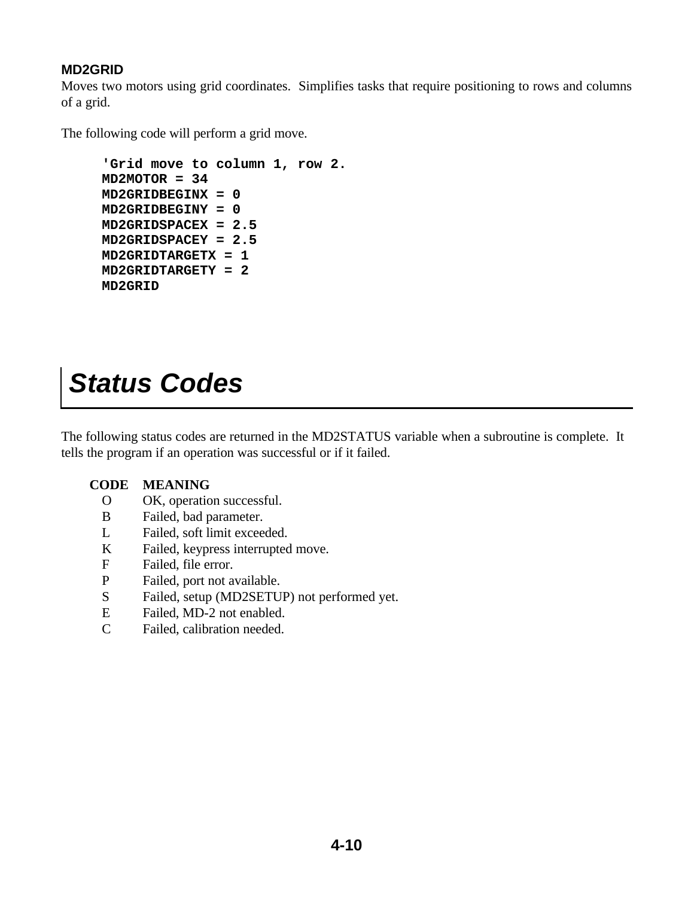### **MD2GRID**

Moves two motors using grid coordinates. Simplifies tasks that require positioning to rows and columns of a grid.

The following code will perform a grid move.

```
 'Grid move to column 1, row 2.
 MD2MOTOR = 34
 MD2GRIDBEGINX = 0
 MD2GRIDBEGINY = 0
 MD2GRIDSPACEX = 2.5
 MD2GRIDSPACEY = 2.5
 MD2GRIDTARGETX = 1
 MD2GRIDTARGETY = 2
 MD2GRID
```
### *Status Codes*

The following status codes are returned in the MD2STATUS variable when a subroutine is complete. It tells the program if an operation was successful or if it failed.

### **CODE MEANING**

- O OK, operation successful.
- B Failed, bad parameter.
- L Failed, soft limit exceeded.
- K Failed, keypress interrupted move.
- F Failed, file error.
- P Failed, port not available.
- S Failed, setup (MD2SETUP) not performed yet.
- E Failed, MD-2 not enabled.
- C Failed, calibration needed.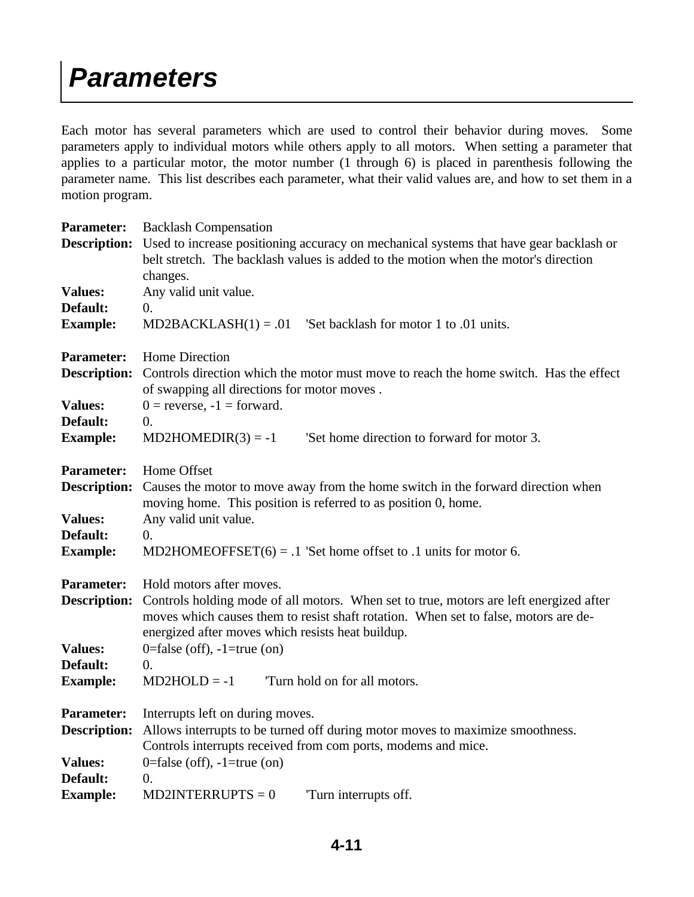### *Parameters*

Each motor has several parameters which are used to control their behavior during moves. Some parameters apply to individual motors while others apply to all motors. When setting a parameter that applies to a particular motor, the motor number (1 through 6) is placed in parenthesis following the parameter name. This list describes each parameter, what their valid values are, and how to set them in a motion program.

| <b>Backlash Compensation</b>                                                                                                                                                                                                                              |  |  |
|-----------------------------------------------------------------------------------------------------------------------------------------------------------------------------------------------------------------------------------------------------------|--|--|
| Used to increase positioning accuracy on mechanical systems that have gear backlash or<br>belt stretch. The backlash values is added to the motion when the motor's direction                                                                             |  |  |
| changes.                                                                                                                                                                                                                                                  |  |  |
| Any valid unit value.                                                                                                                                                                                                                                     |  |  |
| $\overline{0}$ .<br>$MD2BACKLASH(1) = .01$ 'Set backlash for motor 1 to .01 units.                                                                                                                                                                        |  |  |
| Home Direction                                                                                                                                                                                                                                            |  |  |
| Controls direction which the motor must move to reach the home switch. Has the effect<br>of swapping all directions for motor moves.                                                                                                                      |  |  |
| $0 =$ reverse, $-1 =$ forward.                                                                                                                                                                                                                            |  |  |
| $\overline{0}$ .                                                                                                                                                                                                                                          |  |  |
| 'Set home direction to forward for motor 3.<br>$MD2HOMEDIR(3) = -1$                                                                                                                                                                                       |  |  |
| Home Offset                                                                                                                                                                                                                                               |  |  |
| Causes the motor to move away from the home switch in the forward direction when<br>moving home. This position is referred to as position 0, home.                                                                                                        |  |  |
| Any valid unit value.                                                                                                                                                                                                                                     |  |  |
| $\overline{0}$ .                                                                                                                                                                                                                                          |  |  |
| MD2HOMEOFFSET $(6) = .1$ 'Set home offset to .1 units for motor 6.                                                                                                                                                                                        |  |  |
| Hold motors after moves.                                                                                                                                                                                                                                  |  |  |
| <b>Description:</b><br>Controls holding mode of all motors. When set to true, motors are left energized after<br>moves which causes them to resist shaft rotation. When set to false, motors are de-<br>energized after moves which resists heat buildup. |  |  |
| 0=false (off), $-1$ =true (on)                                                                                                                                                                                                                            |  |  |
| $\overline{0}$ .                                                                                                                                                                                                                                          |  |  |
| $MD2HOLD = -1$<br>Turn hold on for all motors.                                                                                                                                                                                                            |  |  |
| Interrupts left on during moves.                                                                                                                                                                                                                          |  |  |
| Allows interrupts to be turned off during motor moves to maximize smoothness.                                                                                                                                                                             |  |  |
| Controls interrupts received from com ports, modems and mice.                                                                                                                                                                                             |  |  |
| 0=false (off), $-1$ =true (on)                                                                                                                                                                                                                            |  |  |
| $\overline{0}$ .                                                                                                                                                                                                                                          |  |  |
| $MD2INTERRUPTS = 0$<br>Turn interrupts off.                                                                                                                                                                                                               |  |  |
|                                                                                                                                                                                                                                                           |  |  |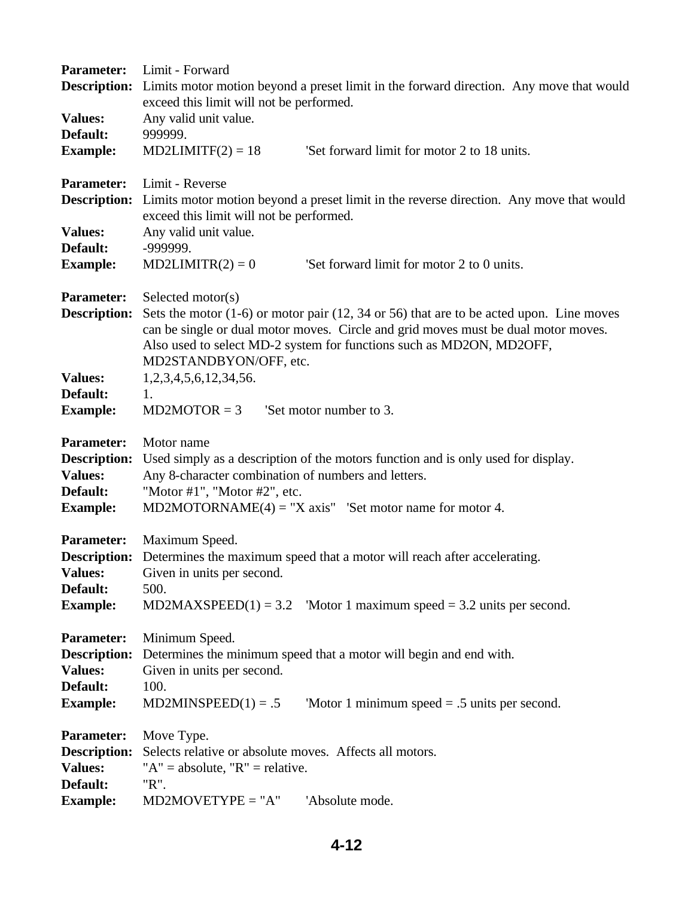| <b>Parameter:</b>                     | Limit - Forward                                                                                                                     |  |  |
|---------------------------------------|-------------------------------------------------------------------------------------------------------------------------------------|--|--|
| <b>Description:</b>                   | Limits motor motion beyond a preset limit in the forward direction. Any move that would                                             |  |  |
|                                       | exceed this limit will not be performed.                                                                                            |  |  |
| <b>Values:</b>                        | Any valid unit value.                                                                                                               |  |  |
| Default:                              | 999999.                                                                                                                             |  |  |
| <b>Example:</b>                       | 'Set forward limit for motor 2 to 18 units.<br>$MD2LIMITF(2) = 18$                                                                  |  |  |
| <b>Parameter:</b>                     | Limit - Reverse                                                                                                                     |  |  |
| <b>Description:</b>                   | Limits motor motion beyond a preset limit in the reverse direction. Any move that would<br>exceed this limit will not be performed. |  |  |
| <b>Values:</b>                        | Any valid unit value.                                                                                                               |  |  |
| Default:                              | -999999.                                                                                                                            |  |  |
| <b>Example:</b>                       | $MD2LIMITR(2) = 0$<br>'Set forward limit for motor 2 to 0 units.                                                                    |  |  |
| <b>Parameter:</b>                     | Selected motor(s)                                                                                                                   |  |  |
| <b>Description:</b>                   | Sets the motor $(1-6)$ or motor pair $(12, 34 \text{ or } 56)$ that are to be acted upon. Line moves                                |  |  |
|                                       | can be single or dual motor moves. Circle and grid moves must be dual motor moves.                                                  |  |  |
|                                       | Also used to select MD-2 system for functions such as MD2ON, MD2OFF,<br>MD2STANDBYON/OFF, etc.                                      |  |  |
| <b>Values:</b>                        | 1, 2, 3, 4, 5, 6, 12, 34, 56.                                                                                                       |  |  |
| Default:                              | 1.                                                                                                                                  |  |  |
| <b>Example:</b>                       | 'Set motor number to 3.<br>$MD2MOTOR = 3$                                                                                           |  |  |
|                                       |                                                                                                                                     |  |  |
| <b>Parameter:</b>                     | Motor name                                                                                                                          |  |  |
| <b>Description:</b><br><b>Values:</b> | Used simply as a description of the motors function and is only used for display.                                                   |  |  |
| Default:                              | Any 8-character combination of numbers and letters.                                                                                 |  |  |
| <b>Example:</b>                       | "Motor #1", "Motor #2", etc.<br>MD2MOTORNAME $(4)$ = "X axis" 'Set motor name for motor 4.                                          |  |  |
|                                       |                                                                                                                                     |  |  |
| <b>Parameter:</b>                     | Maximum Speed.                                                                                                                      |  |  |
|                                       | <b>Description:</b> Determines the maximum speed that a motor will reach after accelerating.                                        |  |  |
| <b>Values:</b>                        | Given in units per second.                                                                                                          |  |  |
| Default:                              | 500.<br>'Motor 1 maximum speed $=$ 3.2 units per second.<br>$MD2MAXSPEED(1) = 3.2$                                                  |  |  |
| <b>Example:</b>                       |                                                                                                                                     |  |  |
| <b>Parameter:</b>                     | Minimum Speed.                                                                                                                      |  |  |
| <b>Description:</b>                   | Determines the minimum speed that a motor will begin and end with.                                                                  |  |  |
| <b>Values:</b>                        | Given in units per second.                                                                                                          |  |  |
| Default:                              | 100.                                                                                                                                |  |  |
| <b>Example:</b>                       | $MD2MINSPEED(1) = .5$<br>'Motor 1 minimum speed $= .5$ units per second.                                                            |  |  |
| <b>Parameter:</b>                     | Move Type.                                                                                                                          |  |  |
| <b>Description:</b>                   | Selects relative or absolute moves. Affects all motors.                                                                             |  |  |
| <b>Values:</b>                        | " $A$ " = absolute, " $R$ " = relative.                                                                                             |  |  |
| Default:                              | "R".                                                                                                                                |  |  |
| <b>Example:</b>                       | $MD2MOVERYPE = "A"$<br>'Absolute mode.                                                                                              |  |  |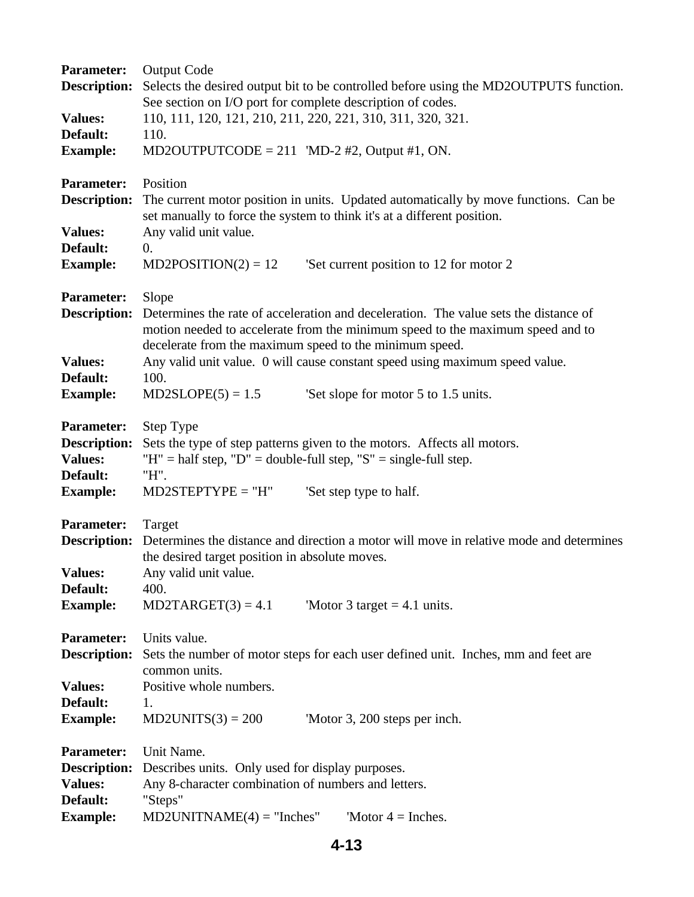| <b>Parameter:</b>   | <b>Output Code</b>                                                                      |  |  |
|---------------------|-----------------------------------------------------------------------------------------|--|--|
| <b>Description:</b> | Selects the desired output bit to be controlled before using the MD2OUTPUTS function.   |  |  |
|                     | See section on I/O port for complete description of codes.                              |  |  |
| <b>Values:</b>      | 110, 111, 120, 121, 210, 211, 220, 221, 310, 311, 320, 321.                             |  |  |
| Default:            | 110.                                                                                    |  |  |
| <b>Example:</b>     | MD2OUTPUTCODE = 211 'MD-2 #2, Output #1, ON.                                            |  |  |
| <b>Parameter:</b>   | Position                                                                                |  |  |
| <b>Description:</b> | The current motor position in units. Updated automatically by move functions. Can be    |  |  |
|                     | set manually to force the system to think it's at a different position.                 |  |  |
| <b>Values:</b>      | Any valid unit value.                                                                   |  |  |
| Default:            | 0.                                                                                      |  |  |
| <b>Example:</b>     | $MD2POSITION(2) = 12$<br>'Set current position to 12 for motor 2                        |  |  |
| <b>Parameter:</b>   | Slope                                                                                   |  |  |
| <b>Description:</b> | Determines the rate of acceleration and deceleration. The value sets the distance of    |  |  |
|                     | motion needed to accelerate from the minimum speed to the maximum speed and to          |  |  |
|                     | decelerate from the maximum speed to the minimum speed.                                 |  |  |
| <b>Values:</b>      | Any valid unit value. 0 will cause constant speed using maximum speed value.            |  |  |
| Default:            | 100.                                                                                    |  |  |
| <b>Example:</b>     | $MD2SLOPE(5) = 1.5$<br>Set slope for motor 5 to 1.5 units.                              |  |  |
| <b>Parameter:</b>   | Step Type                                                                               |  |  |
| <b>Description:</b> | Sets the type of step patterns given to the motors. Affects all motors.                 |  |  |
| <b>Values:</b>      | "H" = half step, "D" = double-full step, "S" = single-full step.                        |  |  |
| Default:            | "H".                                                                                    |  |  |
| <b>Example:</b>     | $MD2STEPTYPE = "H"$<br>'Set step type to half.                                          |  |  |
| <b>Parameter:</b>   | Target                                                                                  |  |  |
| <b>Description:</b> | Determines the distance and direction a motor will move in relative mode and determines |  |  |
|                     | the desired target position in absolute moves.                                          |  |  |
| <b>Values:</b>      | Any valid unit value.                                                                   |  |  |
| Default:            | 400.                                                                                    |  |  |
| <b>Example:</b>     | $MD2TARGET(3) = 4.1$<br>'Motor 3 target $= 4.1$ units.                                  |  |  |
| <b>Parameter:</b>   | Units value.                                                                            |  |  |
| <b>Description:</b> | Sets the number of motor steps for each user defined unit. Inches, mm and feet are      |  |  |
|                     | common units.                                                                           |  |  |
| <b>Values:</b>      | Positive whole numbers.                                                                 |  |  |
| Default:            | 1.                                                                                      |  |  |
| <b>Example:</b>     | $MD2UNITS(3) = 200$<br>'Motor 3, 200 steps per inch.                                    |  |  |
| <b>Parameter:</b>   | Unit Name.                                                                              |  |  |
| <b>Description:</b> | Describes units. Only used for display purposes.                                        |  |  |
| <b>Values:</b>      | Any 8-character combination of numbers and letters.                                     |  |  |
| Default:            | "Steps"                                                                                 |  |  |
| <b>Example:</b>     | $MD2UNITNAME(4) = "Inches"$<br>'Motor $4 =$ Inches.                                     |  |  |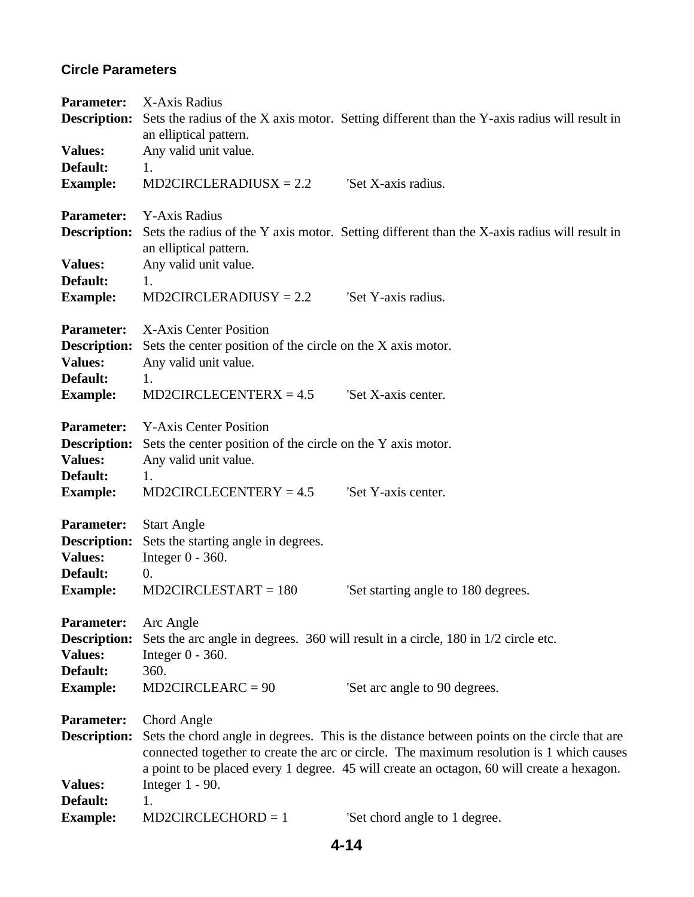### **Circle Parameters**

| <b>Parameter:</b><br><b>Description:</b>                                                  | X-Axis Radius<br>an elliptical pattern.                                                                                                                                                                                                                                                                                   | Sets the radius of the X axis motor. Setting different than the Y-axis radius will result in |  |
|-------------------------------------------------------------------------------------------|---------------------------------------------------------------------------------------------------------------------------------------------------------------------------------------------------------------------------------------------------------------------------------------------------------------------------|----------------------------------------------------------------------------------------------|--|
| <b>Values:</b><br>Default:<br><b>Example:</b>                                             | Any valid unit value.<br>1.<br>$MD2CIRCLERADIUSX = 2.2$                                                                                                                                                                                                                                                                   | 'Set X-axis radius.                                                                          |  |
| <b>Parameter:</b><br><b>Description:</b>                                                  | Y-Axis Radius                                                                                                                                                                                                                                                                                                             | Sets the radius of the Y axis motor. Setting different than the X-axis radius will result in |  |
| <b>Values:</b><br>Default:                                                                | an elliptical pattern.<br>Any valid unit value.<br>1.                                                                                                                                                                                                                                                                     |                                                                                              |  |
| <b>Example:</b>                                                                           | $MD2CIRCLERADIUSY = 2.2$                                                                                                                                                                                                                                                                                                  | 'Set Y-axis radius.                                                                          |  |
| <b>Parameter:</b><br><b>Description:</b><br><b>Values:</b><br>Default:                    | X-Axis Center Position<br>Sets the center position of the circle on the X axis motor.<br>Any valid unit value.<br>1.                                                                                                                                                                                                      |                                                                                              |  |
| <b>Example:</b>                                                                           | $MD2CIRCLECENTERX = 4.5$                                                                                                                                                                                                                                                                                                  | 'Set X-axis center.                                                                          |  |
| <b>Parameter:</b><br><b>Description:</b><br><b>Values:</b><br>Default:<br><b>Example:</b> | <b>Y-Axis Center Position</b><br>Sets the center position of the circle on the Y axis motor.<br>Any valid unit value.<br>1.<br>$MD2CIRCLECENTERV = 4.5$                                                                                                                                                                   | 'Set Y-axis center.                                                                          |  |
| <b>Parameter:</b><br><b>Description:</b><br><b>Values:</b><br>Default:<br><b>Example:</b> | <b>Start Angle</b><br>Sets the starting angle in degrees.<br>Integer $0 - 360$ .<br>0.<br>$MD2CIRCLESTART = 180$                                                                                                                                                                                                          | Set starting angle to 180 degrees.                                                           |  |
| <b>Parameter:</b><br><b>Description:</b><br><b>Values:</b><br>Default:<br><b>Example:</b> | Arc Angle<br>Sets the arc angle in degrees. 360 will result in a circle, 180 in 1/2 circle etc.<br>Integer $0 - 360$ .<br>360.<br>$MD2CIRCLEARC = 90$<br>Set arc angle to 90 degrees.                                                                                                                                     |                                                                                              |  |
| <b>Parameter:</b><br><b>Description:</b><br><b>Values:</b>                                | Chord Angle<br>Sets the chord angle in degrees. This is the distance between points on the circle that are<br>connected together to create the arc or circle. The maximum resolution is 1 which causes<br>a point to be placed every 1 degree. 45 will create an octagon, 60 will create a hexagon.<br>Integer $1 - 90$ . |                                                                                              |  |
| Default:<br><b>Example:</b>                                                               | 1.<br>$MD2CIRCLECHORD = 1$                                                                                                                                                                                                                                                                                                | 'Set chord angle to 1 degree.                                                                |  |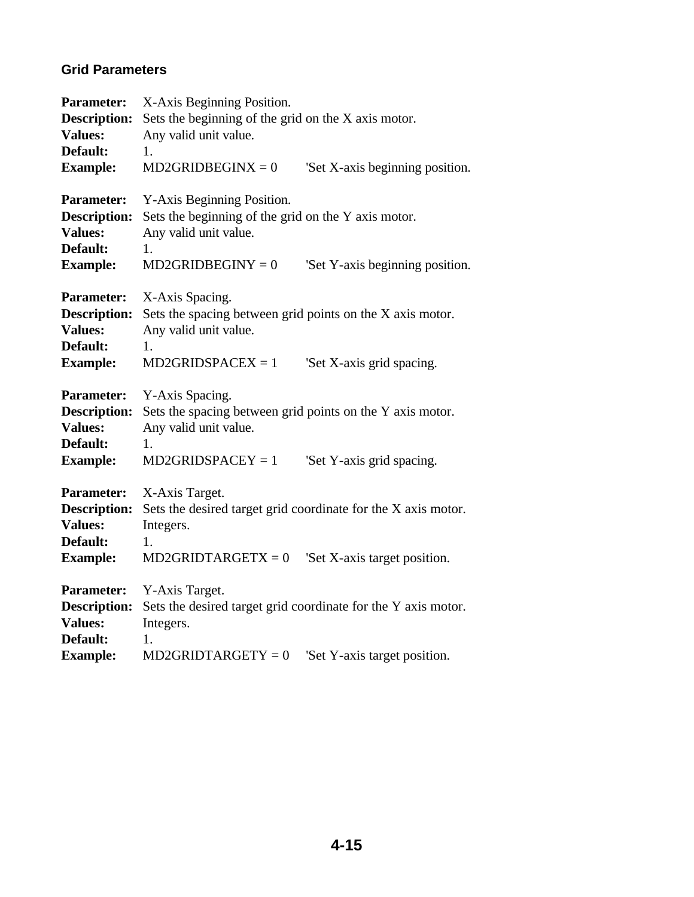### **Grid Parameters**

| <b>Parameter:</b><br>Description:<br><b>Values:</b><br>Default:                           | X-Axis Beginning Position.<br>Sets the beginning of the grid on the X axis motor.<br>Any valid unit value.<br>1.                                           |                                 |  |
|-------------------------------------------------------------------------------------------|------------------------------------------------------------------------------------------------------------------------------------------------------------|---------------------------------|--|
| <b>Example:</b>                                                                           | $MD2GRIDBEGINX = 0$                                                                                                                                        | 'Set X-axis beginning position. |  |
| <b>Parameter:</b><br><b>Description:</b><br><b>Values:</b><br>Default:<br><b>Example:</b> | Y-Axis Beginning Position.<br>Sets the beginning of the grid on the Y axis motor.<br>Any valid unit value.<br>1.<br>$MD2GRIDBEGINY = 0$                    | 'Set Y-axis beginning position. |  |
| <b>Parameter:</b><br><b>Description:</b><br><b>Values:</b><br>Default:<br><b>Example:</b> | X-Axis Spacing.<br>Sets the spacing between grid points on the X axis motor.<br>Any valid unit value.<br>1.<br>$MD2GRIDSPACEX = 1$                         | 'Set X-axis grid spacing.       |  |
| <b>Parameter:</b><br><b>Description:</b><br><b>Values:</b><br>Default:<br><b>Example:</b> | Y-Axis Spacing.<br>Sets the spacing between grid points on the Y axis motor.<br>Any valid unit value.<br>1.<br>$MD2GRIDSPACEY = 1$                         | 'Set Y-axis grid spacing.       |  |
| <b>Parameter:</b><br><b>Description:</b><br><b>Values:</b><br>Default:<br><b>Example:</b> | X-Axis Target.<br>Sets the desired target grid coordinate for the X axis motor.<br>Integers.<br>1.<br>$MD2GRIDTARGETX = 0$<br>'Set X-axis target position. |                                 |  |
| <b>Parameter:</b><br><b>Description:</b><br><b>Values:</b><br>Default:                    | Y-Axis Target.<br>Sets the desired target grid coordinate for the Y axis motor.<br>Integers.<br>1.                                                         |                                 |  |
| <b>Example:</b>                                                                           | $MD2GRIDTARGETY = 0$                                                                                                                                       | 'Set Y-axis target position.    |  |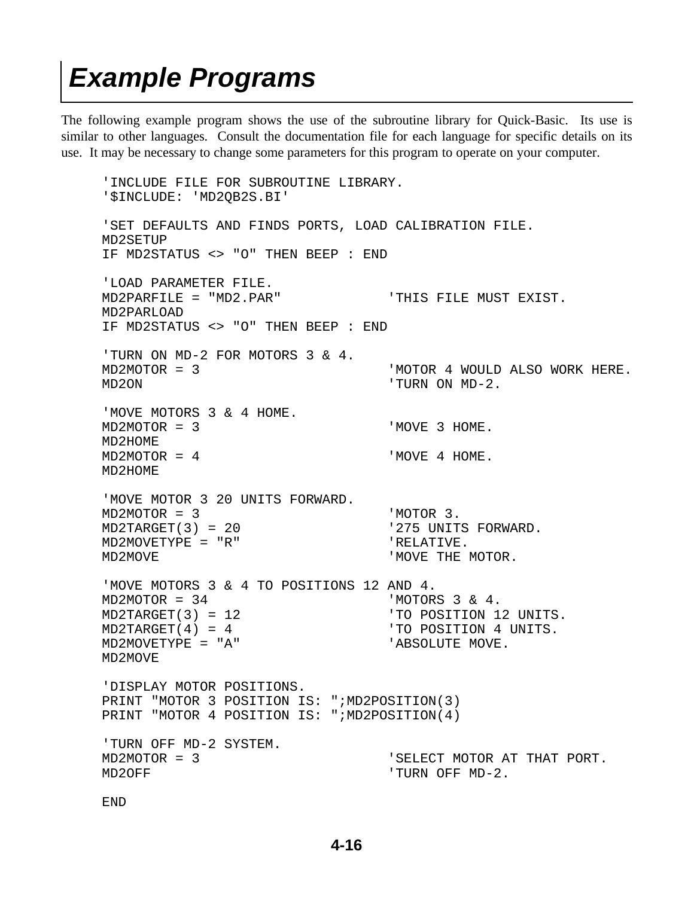### *Example Programs*

The following example program shows the use of the subroutine library for Quick-Basic. Its use is similar to other languages. Consult the documentation file for each language for specific details on its use. It may be necessary to change some parameters for this program to operate on your computer.

 'INCLUDE FILE FOR SUBROUTINE LIBRARY. '\$INCLUDE: 'MD2QB2S.BI' 'SET DEFAULTS AND FINDS PORTS, LOAD CALIBRATION FILE. MD2SETUP IF MD2STATUS <> "O" THEN BEEP : END 'LOAD PARAMETER FILE. MD2PARFILE = "MD2.PAR" 'THIS FILE MUST EXIST. MD2PARLOAD IF MD2STATUS <> "O" THEN BEEP : END 'TURN ON MD-2 FOR MOTORS 3 & 4. MD2MOTOR = 3 'MOTOR 4 WOULD ALSO WORK HERE. MD2ON 'TURN ON MD-2. 'MOVE MOTORS 3 & 4 HOME. MD2MOTOR = 3 'MOVE 3 HOME. MD2HOME MD2MOTOR = 4 'MOVE 4 HOME. MD2HOME 'MOVE MOTOR 3 20 UNITS FORWARD. MD2MOTOR = 3 'MOTOR 3. MD2TARGET(3) = 20  $'$  275 UNITS FORWARD. MD2MOVETYPE = "R" <br>
'RELATIVE. MD2MOVE WE SERVEL THE MOTOR. 'MOVE MOTORS 3 & 4 TO POSITIONS 12 AND 4. MD2MOTOR = 34 'MOTORS 3 & 4. MD2TARGET(3) = 12 'TO POSITION 12 UNITS. MD2TARGET(4) = 4  $'$  'TO POSITION 4 UNITS. MD2MOVETYPE = "A" 'ABSOLUTE MOVE. MD2MOVE 'DISPLAY MOTOR POSITIONS. PRINT "MOTOR 3 POSITION IS: ";MD2POSITION(3) PRINT "MOTOR 4 POSITION IS: ";MD2POSITION(4) 'TURN OFF MD-2 SYSTEM. MD2MOTOR = 3 'SELECT MOTOR AT THAT PORT. MD2OFF  $'$  TURN OFF MD-2. END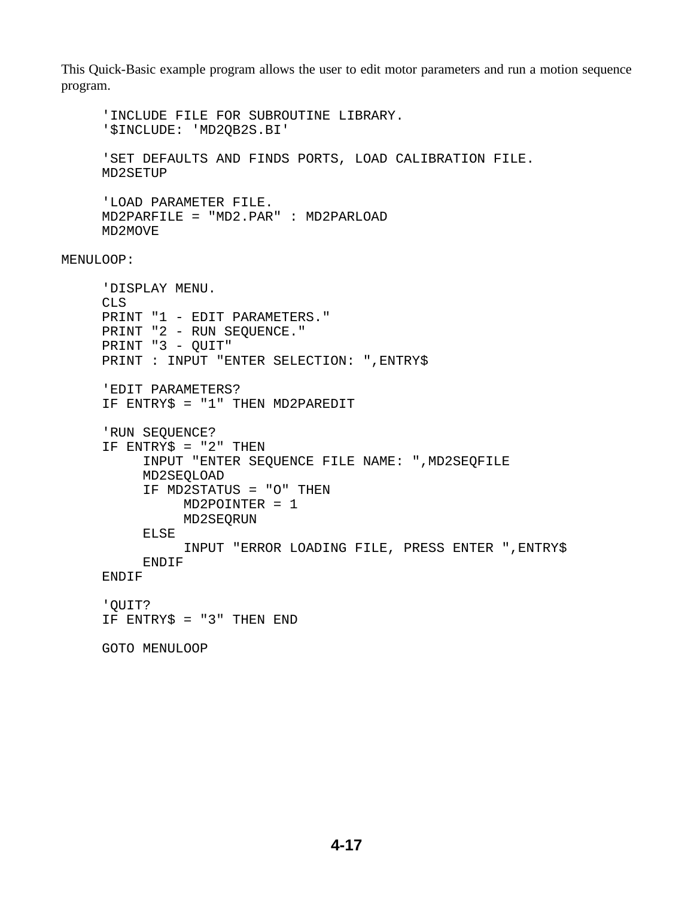This Quick-Basic example program allows the user to edit motor parameters and run a motion sequence program.

 'INCLUDE FILE FOR SUBROUTINE LIBRARY. '\$INCLUDE: 'MD2QB2S.BI' 'SET DEFAULTS AND FINDS PORTS, LOAD CALIBRATION FILE. MD2SETUP 'LOAD PARAMETER FILE. MD2PARFILE = "MD2.PAR" : MD2PARLOAD MD2MOVE MENULOOP: 'DISPLAY MENU. CLS PRINT "1 - EDIT PARAMETERS." PRINT "2 - RUN SEQUENCE." PRINT "3 - QUIT" PRINT : INPUT "ENTER SELECTION: ",ENTRY\$ 'EDIT PARAMETERS? IF ENTRY\$ = "1" THEN MD2PAREDIT 'RUN SEQUENCE? IF ENTRY\$ = "2" THEN INPUT "ENTER SEQUENCE FILE NAME: ",MD2SEQFILE MD2SEQLOAD IF MD2STATUS = "O" THEN MD2POINTER = 1 MD2SEQRUN ELSE INPUT "ERROR LOADING FILE, PRESS ENTER ",ENTRY\$ ENDIF ENDIF 'QUIT? IF ENTRY\$ = "3" THEN END GOTO MENULOOP